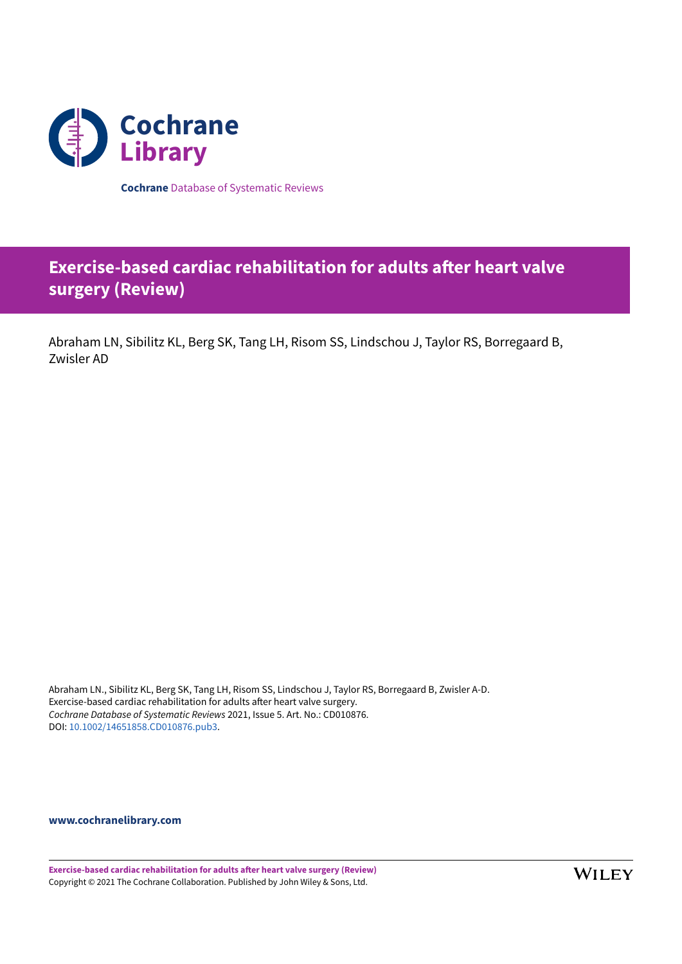

**Cochrane** Database of Systematic Reviews

# *Exercise-based cardiac rehabilitation for adults after heart valve* **surgery (Review)**

Abraham LN, Sibilitz KL, Berg SK, Tang LH, Risom SS, Lindschou J, Taylor RS, Borregaard B, Zwisler AD

Abraham LN., Sibilitz KL, Berg SK, Tang LH, Risom SS, Lindschou J, Taylor RS, Borregaard B, Zwisler A-D. Exercise-based cardiac rehabilitation for adults after heart valve surgery. *Cochrane Database of Systematic Reviews* 2021, Issue 5. Art. No.: CD010876. DOI: [10.1002/14651858.CD010876.pub3.](https://doi.org/10.1002%2F14651858.CD010876.pub3)

**[www.cochranelibrary.com](https://www.cochranelibrary.com)**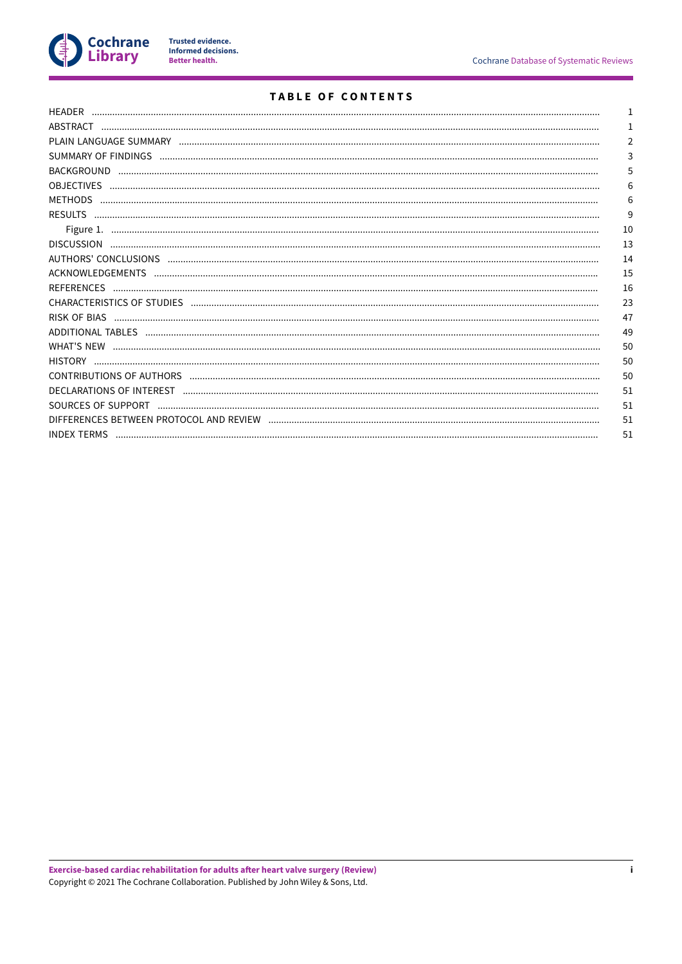

## TABLE OF CONTENTS

|                                                                    | 2  |
|--------------------------------------------------------------------|----|
|                                                                    | 3  |
|                                                                    | 5  |
|                                                                    | 6  |
| <b>METHODS</b>                                                     | 6  |
|                                                                    | 9  |
|                                                                    | 10 |
|                                                                    | 13 |
|                                                                    | 14 |
|                                                                    | 15 |
|                                                                    | 16 |
| CHARACTERISTICS OF STUDIES (Anthonormational and anthony and anti- | 23 |
|                                                                    | 47 |
|                                                                    | 49 |
|                                                                    | 50 |
|                                                                    | 50 |
|                                                                    | 50 |
|                                                                    | 51 |
|                                                                    | 51 |
|                                                                    | 51 |
|                                                                    | 51 |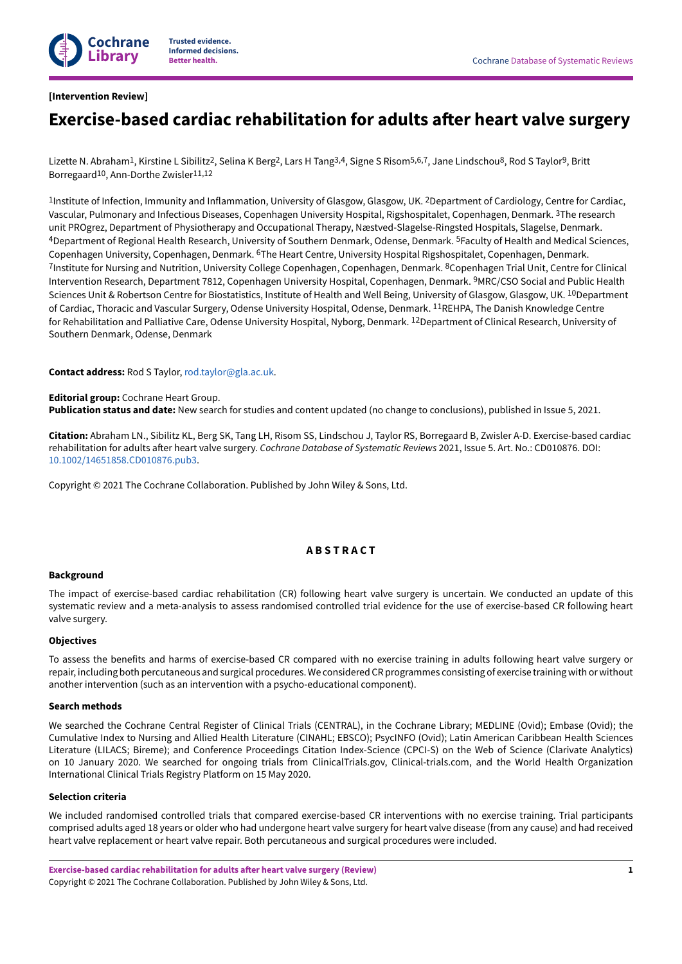

## <span id="page-2-0"></span>**[Intervention Review]**

# **Exercise-based cardiac rehabilitation for adults aer heart valve surgery**

Lizette N. Abraham<sup>1</sup>, Kirstine L Sibilitz<sup>2</sup>, Selina K Berg<sup>2</sup>, Lars H Tang<sup>3,4</sup>, Signe S Risom<sup>5,6,7</sup>, Jane Lindschou<sup>8</sup>, Rod S Taylor<sup>9</sup>, Britt Borregaard<sup>10</sup>, Ann-Dorthe Zwisler<sup>11,12</sup>

<sup>1</sup>Institute of Infection, Immunity and Inflammation, University of Glasgow, Glasgow, UK. <sup>2</sup>Department of Cardiology, Centre for Cardiac, Vascular, Pulmonary and Infectious Diseases, Copenhagen University Hospital, Rigshospitalet, Copenhagen, Denmark. <sup>3</sup>The research unit PROgrez, Department of Physiotherapy and Occupational Therapy, Næstved-Slagelse-Ringsted Hospitals, Slagelse, Denmark. 4Department of Regional Health Research, University of Southern Denmark, Odense, Denmark. 5Faculty of Health and Medical Sciences, Copenhagen University, Copenhagen, Denmark. <sup>6</sup>The Heart Centre, University Hospital Rigshospitalet, Copenhagen, Denmark. <sup>7</sup>Institute for Nursing and Nutrition, University College Copenhagen, Copenhagen, Denmark. <sup>8</sup>Copenhagen Trial Unit, Centre for Clinical Intervention Research, Department 7812, Copenhagen University Hospital, Copenhagen, Denmark. 9MRC/CSO Social and Public Health Sciences Unit & Robertson Centre for Biostatistics, Institute of Health and Well Being, University of Glasgow, Glasgow, UK. <sup>10</sup>Department of Cardiac, Thoracic and Vascular Surgery, Odense University Hospital, Odense, Denmark. 11REHPA, The Danish Knowledge Centre for Rehabilitation and Palliative Care, Odense University Hospital, Nyborg, Denmark. <sup>12</sup>Department of Clinical Research, University of Southern Denmark, Odense, Denmark

**Contact address:** Rod S Taylor, [rod.taylor@gla.ac.uk](mailto:rod.taylor@gla.ac.uk).

**Editorial group:** Cochrane Heart Group. **Publication status and date:** New search for studies and content updated (no change to conclusions), published in Issue 5, 2021.

**Citation:** Abraham LN., Sibilitz KL, Berg SK, Tang LH, Risom SS, Lindschou J, Taylor RS, Borregaard B, Zwisler A-D. Exercise-based cardiac rehabilitation for adults after heart valve surgery. *Cochrane Database of Systematic Reviews* 2021, Issue 5. Art. No.: CD010876. DOI: [10.1002/14651858.CD010876.pub3.](https://doi.org/10.1002%2F14651858.CD010876.pub3)

Copyright © 2021 The Cochrane Collaboration. Published by John Wiley & Sons, Ltd.

## **A B S T R A C T**

## <span id="page-2-1"></span>**Background**

The impact of exercise-based cardiac rehabilitation (CR) following heart valve surgery is uncertain. We conducted an update of this systematic review and a meta-analysis to assess randomised controlled trial evidence for the use of exercise-based CR following heart valve surgery.

#### **Objectives**

To assess the benefits and harms of exercise-based CR compared with no exercise training in adults following heart valve surgery or repair, including both percutaneous and surgical procedures.We considered CR programmes consisting of exercise training with or without another intervention (such as an intervention with a psycho-educational component).

#### **Search methods**

We searched the Cochrane Central Register of Clinical Trials (CENTRAL), in the Cochrane Library; MEDLINE (Ovid); Embase (Ovid); the Cumulative Index to Nursing and Allied Health Literature (CINAHL; EBSCO); PsycINFO (Ovid); Latin American Caribbean Health Sciences Literature (LILACS; Bireme); and Conference Proceedings Citation Index-Science (CPCI-S) on the Web of Science (Clarivate Analytics) on 10 January 2020. We searched for ongoing trials from ClinicalTrials.gov, Clinical-trials.com, and the World Health Organization International Clinical Trials Registry Platform on 15 May 2020.

#### **Selection criteria**

We included randomised controlled trials that compared exercise-based CR interventions with no exercise training. Trial participants comprised adults aged 18 years or older who had undergone heart valve surgery for heart valve disease (from any cause) and had received heart valve replacement or heart valve repair. Both percutaneous and surgical procedures were included.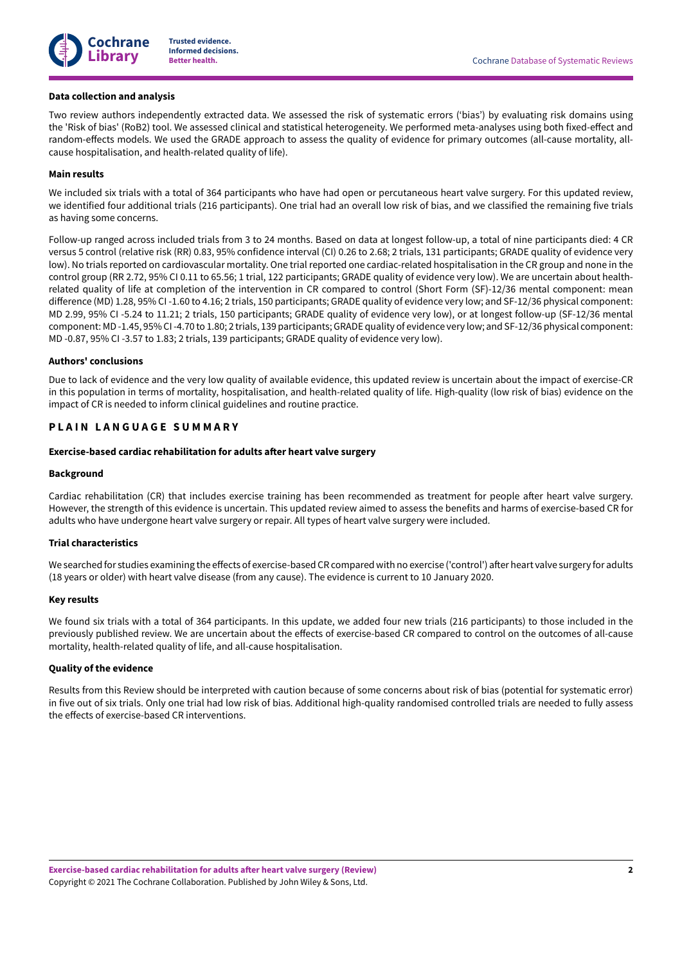

#### **Data collection and analysis**

Two review authors independently extracted data. We assessed the risk of systematic errors ('bias') by evaluating risk domains using the 'Risk of bias' (RoB2) tool. We assessed clinical and statistical heterogeneity. We performed meta-analyses using both fixed-effect and random-effects models. We used the GRADE approach to assess the quality of evidence for primary outcomes (all-cause mortality, allcause hospitalisation, and health-related quality of life).

## **Main results**

We included six trials with a total of 364 participants who have had open or percutaneous heart valve surgery. For this updated review, we identified four additional trials (216 participants). One trial had an overall low risk of bias, and we classified the remaining five trials as having some concerns.

Follow-up ranged across included trials from 3 to 24 months. Based on data at longest follow-up, a total of nine participants died: 4 CR versus 5 control (relative risk (RR) 0.83, 95% confidence interval (CI) 0.26 to 2.68; 2 trials, 131 participants; GRADE quality of evidence very low). No trials reported on cardiovascular mortality. One trial reported one cardiac-related hospitalisation in the CR group and none in the control group (RR 2.72, 95% CI 0.11 to 65.56; 1 trial, 122 participants; GRADE quality of evidence very low). We are uncertain about healthrelated quality of life at completion of the intervention in CR compared to control (Short Form (SF)-12/36 mental component: mean difference (MD) 1.28, 95% CI-1.60 to 4.16; 2 trials, 150 participants; GRADE quality of evidence very low; and SF-12/36 physical component: MD 2.99, 95% CI -5.24 to 11.21; 2 trials, 150 participants; GRADE quality of evidence very low), or at longest follow-up (SF-12/36 mental component: MD-1.45, 95% CI-4.70 to 1.80; 2 trials, 139 participants;GRADE quality of evidence very low; and SF-12/36 physical component: MD -0.87, 95% CI -3.57 to 1.83; 2 trials, 139 participants; GRADE quality of evidence very low).

#### **Authors' conclusions**

Due to lack of evidence and the very low quality of available evidence, this updated review is uncertain about the impact of exercise-CR in this population in terms of mortality, hospitalisation, and health-related quality of life. High-quality (low risk of bias) evidence on the impact of CR is needed to inform clinical guidelines and routine practice.

## <span id="page-3-0"></span>**P L A I N L A N G U A G E S U M M A R Y**

#### **Exercise-based cardiac rehabilitation for adults aer heart valve surgery**

#### **Background**

Cardiac rehabilitation (CR) that includes exercise training has been recommended as treatment for people after heart valve surgery. However, the strength of this evidence is uncertain. This updated review aimed to assess the benefits and harms of exercise-based CR for adults who have undergone heart valve surgery or repair. All types of heart valve surgery were included.

#### **Trial characteristics**

We searched for studies examining the effects of exercise-based CR compared with no exercise ('control') after heart valve surgery for adults (18 years or older) with heart valve disease (from any cause). The evidence is current to 10 January 2020.

#### **Key results**

We found six trials with a total of 364 participants. In this update, we added four new trials (216 participants) to those included in the previously published review. We are uncertain about the effects of exercise-based CR compared to control on the outcomes of all-cause mortality, health-related quality of life, and all-cause hospitalisation.

## **Quality of the evidence**

Results from this Review should be interpreted with caution because of some concerns about risk of bias (potential for systematic error) in five out of six trials. Only one trial had low risk of bias. Additional high-quality randomised controlled trials are needed to fully assess the effects of exercise-based CR interventions.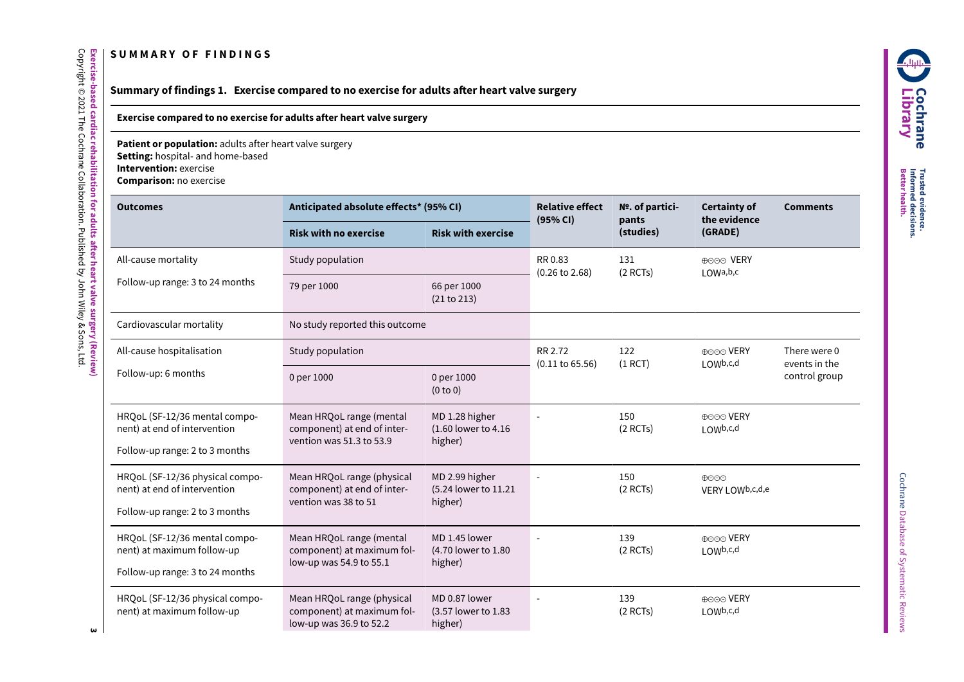## **S U M M A R Y O F F I N D I N G S**

## **Summary of findings 1. Exercise compared to no exercise for adults aer heart valve surgery**

## **Exercise compared to no exercise for adults after heart valve surgery**

**Patient or population:** adults after heart valve surgery

**Setting:** hospital- and home-based

**Intervention:** exercise

**Exercise-based**

Copyright © 2021

The

Cochrane

Collaboration.

Published

হ John

Wiley & Sons,

ltd.<br>E

**cardiac**

**rehabilitation**

**for adults**

**aer heart**

**valve**

**surgery**

<span id="page-4-1"></span><span id="page-4-0"></span>**(Review)**

**Comparison:** no exercise

| <b>Outcomes</b>                                                                                   | Anticipated absolute effects* (95% CI)                                              |                                                   | <b>Relative effect</b><br>(95% CI)    | Nº. of partici-<br>pants | <b>Certainty of</b><br>the evidence                  | <b>Comments</b>               |
|---------------------------------------------------------------------------------------------------|-------------------------------------------------------------------------------------|---------------------------------------------------|---------------------------------------|--------------------------|------------------------------------------------------|-------------------------------|
|                                                                                                   | <b>Risk with no exercise</b>                                                        | <b>Risk with exercise</b>                         |                                       | (studies)                | (GRADE)                                              |                               |
| All-cause mortality                                                                               | Study population                                                                    |                                                   | RR 0.83<br>$(0.26 \text{ to } 2.68)$  | 131<br>$(2$ RCTs)        | ⊕⊝⊝⊙ VERY<br>$1$ OWa, b, c                           |                               |
| Follow-up range: 3 to 24 months                                                                   | 79 per 1000                                                                         | 66 per 1000<br>(21 to 213)                        |                                       |                          |                                                      |                               |
| Cardiovascular mortality                                                                          | No study reported this outcome                                                      |                                                   |                                       |                          |                                                      |                               |
| All-cause hospitalisation                                                                         | Study population                                                                    |                                                   | RR 2.72<br>$(0.11 \text{ to } 65.56)$ | 122<br>$(1$ RCT)         | ⊕⊝⊝⊙ VERY<br>$1$ OWb, c, d                           | There were 0<br>events in the |
| Follow-up: 6 months                                                                               | 0 per 1000                                                                          | 0 per 1000<br>(0 to 0)                            |                                       |                          |                                                      | control group                 |
| HRQoL (SF-12/36 mental compo-<br>nent) at end of intervention<br>Follow-up range: 2 to 3 months   | Mean HRQoL range (mental<br>component) at end of inter-<br>vention was 51.3 to 53.9 | MD 1.28 higher<br>(1.60 lower to 4.16)<br>higher) |                                       | 150<br>$(2$ RCTs)        | ⊕⊝⊝⊙ VERY<br>LOWb,c,d                                |                               |
| HRQoL (SF-12/36 physical compo-<br>nent) at end of intervention<br>Follow-up range: 2 to 3 months | Mean HRQoL range (physical<br>component) at end of inter-<br>vention was 38 to 51   | MD 2.99 higher<br>(5.24 lower to 11.21<br>higher) |                                       | 150<br>$(2$ RCTs)        | $\bigoplus$ $\bigodot$ $\bigodot$<br>VERY LOWb,c,d,e |                               |
| HRQoL (SF-12/36 mental compo-<br>nent) at maximum follow-up<br>Follow-up range: 3 to 24 months    | Mean HRQoL range (mental<br>component) at maximum fol-<br>low-up was 54.9 to 55.1   | MD 1.45 lower<br>(4.70 lower to 1.80)<br>higher)  |                                       | 139<br>$(2$ RCTs)        | ⊕⊝⊝⊙ VERY<br>LOW <sub>b,c,d</sub>                    |                               |
| HRQoL (SF-12/36 physical compo-<br>nent) at maximum follow-up                                     | Mean HRQoL range (physical<br>component) at maximum fol-<br>low-up was 36.9 to 52.2 | MD 0.87 lower<br>(3.57 lower to 1.83<br>higher)   |                                       | 139<br>$(2$ RCTs)        | ⊕⊝⊝⊙ VERY<br>LOWb,c,d                                |                               |

**AUNIT C o c hra n e Lib r a r y**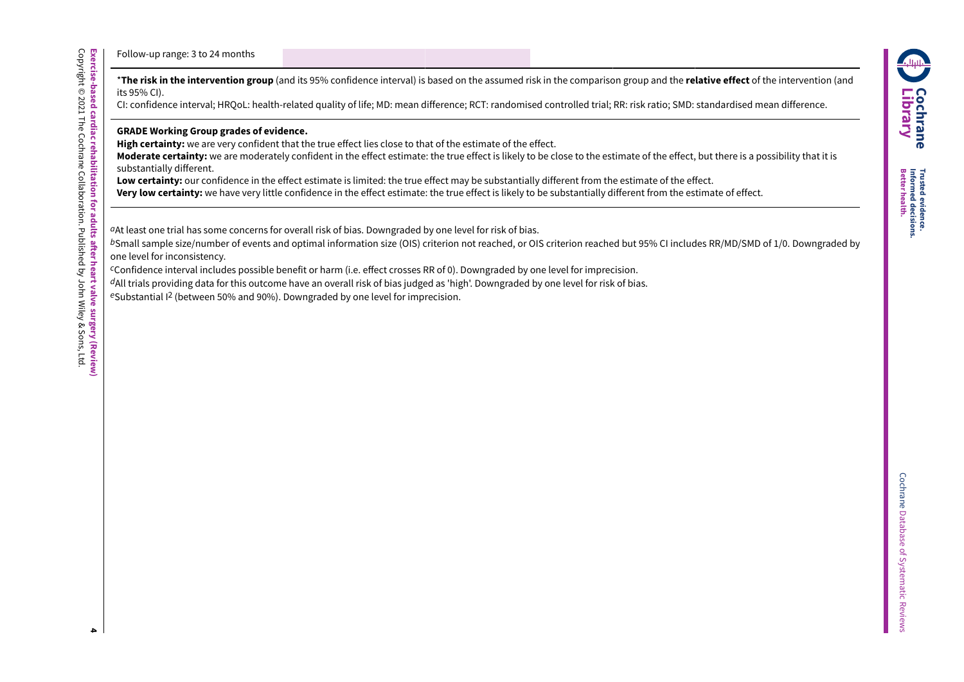**evidence.**

**decisions. health.**

Follow-up range: 3 to 24 months

\***The risk in the intervention group** (and its 95% confidence interval) is based on the assumed risk in the comparison group and the **relative effect** of the intervention (and its 95% CI).

CI: confidence interval; HRQoL: health-related quality of life; MD: mean difference; RCT: randomised controlled trial; RR: risk ratio; SMD: standardised mean difference.

**GRADE Working Group grades of evidence.**

**High certainty:** we are very confident that the true effect lies close to that of the estimate of the effect.

**Moderate certainty:** we are moderately confident in the effect estimate: the true effect is likely to be close to the estimate of the effect, but there is a possibility that it is substantially different.

Low certainty: our confidence in the effect estimate is limited: the true effect may be substantially different from the estimate of the effect.

**Very low certainty:** we have very little confidence in the effect estimate: the true effect is likely to be substantially different from the estimate of effect.

*a*At least one trial has some concerns for overall risk of bias. Downgraded by one level for risk of bias.

*b*Small sample size/number of events and optimal information size (OIS) criterion not reached, or OIS criterion reached but 95% CI includes RR/MD/SMD of 1/0. Downgraded by one level for inconsistency.

*c*Confidence interval includes possible benefit or harm (i.e. effect crosses RR of 0). Downgraded by one level for imprecision.

*d*All trials providing data for this outcome have an overall risk of bias judged as 'high'. Downgraded by one level for risk of bias.

*e*Substantial I 2 (between 50% and 90%). Downgraded by one level for imprecision.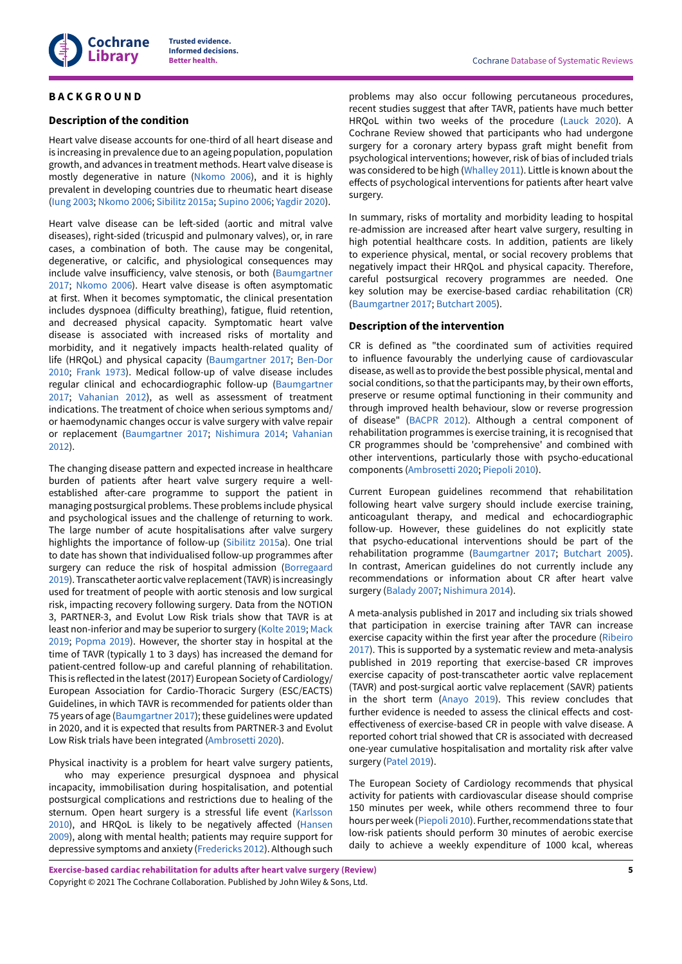

## <span id="page-6-0"></span>**B A C K G R O U N D**

## **Description of the condition**

Heart valve disease accounts for one-third of all heart disease and is increasing in prevalence due to an ageing population, population growth, and advances in treatment methods. Heart valve disease is mostly degenerative in nature [\(Nkomo](#page-23-0) 2006), and it is highly prevalent in developing countries due to rheumatic heart disease [\(Iung 2003;](#page-22-0) [Nkomo](#page-23-0) 2006; [Sibilitz 2015a;](#page-23-1) [Supino 2006](#page-24-1); [Yagdir](#page-24-2) 2020).

Heart valve disease can be left-sided (aortic and mitral valve diseases), right-sided (tricuspid and pulmonary valves), or, in rare cases, a combination of both. The cause may be congenital, degenerative, or calcific, and physiological consequences may include valve insufficiency, valve stenosis, or both ([Baumgartner](#page-21-0) [2017](#page-21-0); [Nkomo](#page-23-0) 2006). Heart valve disease is often asymptomatic at first. When it becomes symptomatic, the clinical presentation includes dyspnoea (difficulty breathing), fatigue, fluid retention, and decreased physical capacity. Symptomatic heart valve disease is associated with increased risks of mortality and morbidity, and it negatively impacts health-related quality of life (HRQoL) and physical capacity ([Baumgartner](#page-21-0) 2017; [Ben-Dor](#page-21-1) [2010](#page-21-1); [Frank](#page-22-1) 1973). Medical follow-up of valve disease includes regular clinical and echocardiographic follow-up ([Baumgartner](#page-21-0) [2017](#page-21-0); [Vahanian](#page-24-3) 2012), as well as assessment of treatment indications. The treatment of choice when serious symptoms and/ or haemodynamic changes occur is valve surgery with valve repair or replacement [\(Baumgartner](#page-21-0) 2017; [Nishimura](#page-23-2) 2014; [Vahanian](#page-24-3) [2012](#page-24-3)).

The changing disease pattern and expected increase in healthcare burden of patients after heart valve surgery require a wellestablished after-care programme to support the patient in managing postsurgical problems. These problems include physical and psychological issues and the challenge of returning to work. The large number of acute hospitalisations after valve surgery highlights the importance of follow-up ([Sibilitz 2015](#page-23-3)a). One trial to date has shown that individualised follow-up programmes after surgery can reduce the risk of hospital admission [\(Borregaard](#page-21-2) [2019](#page-21-2)). Transcatheter aortic valve replacement (TAVR) is increasingly used for treatment of people with aortic stenosis and low surgical risk, impacting recovery following surgery. Data from the NOTION 3, PARTNER-3, and Evolut Low Risk trials show that TAVR is at least non-inferior and may be superior to surgery ([Kolte](#page-22-2) 2019; [Mack](#page-23-4) [2019](#page-23-4); [Popma](#page-23-5) 2019). However, the shorter stay in hospital at the time of TAVR (typically 1 to 3 days) has increased the demand for patient-centred follow-up and careful planning of rehabilitation. This is reflected in the latest(2017) European Society of Cardiology/ European Association for Cardio-Thoracic Surgery (ESC/EACTS) Guidelines, in which TAVR is recommended for patients older than 75 years of age ([Baumgartner](#page-21-0) 2017); these guidelines were updated in 2020, and it is expected that results from PARTNER-3 and Evolut Low Risk trials have been integrated ([Ambrosetti](#page-21-3) 2020).

Physical inactivity is a problem for heart valve surgery patients,

who may experience presurgical dyspnoea and physical incapacity, immobilisation during hospitalisation, and potential postsurgical complications and restrictions due to healing of the sternum. Open heart surgery is a stressful life event [\(Karlsson](#page-22-3) [2010](#page-22-3)), and HRQoL is likely to be negatively affected [\(Hansen](#page-22-4) [2009](#page-22-4)), along with mental health; patients may require support for depressive symptoms and anxiety [\(Fredericks](#page-22-5) 2012). Although such

problems may also occur following percutaneous procedures, recent studies suggest that after TAVR, patients have much better HRQoL within two weeks of the procedure ([Lauck 2020](#page-22-6)). A Cochrane Review showed that participants who had undergone surgery for a coronary artery bypass graft might benefit from psychological interventions; however, risk of bias of included trials was considered to be high [\(Whalley](#page-24-4) 2011). Little is known about the effects of psychological interventions for patients after heart valve surgery.

In summary, risks of mortality and morbidity leading to hospital re-admission are increased after heart valve surgery, resulting in high potential healthcare costs. In addition, patients are likely to experience physical, mental, or social recovery problems that negatively impact their HRQoL and physical capacity. Therefore, careful postsurgical recovery programmes are needed. One key solution may be exercise-based cardiac rehabilitation (CR) [\(Baumgartner](#page-21-0) 2017; [Butchart](#page-21-4) 2005).

## **Description of the intervention**

CR is defined as "the coordinated sum of activities required to influence favourably the underlying cause of cardiovascular disease, as well as to provide the best possible physical, mental and social conditions, so that the participants may, by their own efforts, preserve or resume optimal functioning in their community and through improved health behaviour, slow or reverse progression of disease" [\(BACPR](#page-21-5) 2012). Although a central component of rehabilitation programmes is exercise training, it is recognised that CR programmes should be 'comprehensive' and combined with other interventions, particularly those with psycho-educational components [\(Ambrosetti](#page-21-3) 2020; [Piepoli 2010](#page-23-6)).

Current European guidelines recommend that rehabilitation following heart valve surgery should include exercise training, anticoagulant therapy, and medical and echocardiographic follow-up. However, these guidelines do not explicitly state that psycho-educational interventions should be part of the rehabilitation programme ([Baumgartner](#page-21-0) 2017; [Butchart](#page-21-4) 2005). In contrast, American guidelines do not currently include any recommendations or information about CR after heart valve surgery [\(Balady 2007;](#page-21-6) [Nishimura](#page-23-2) 2014).

A meta-analysis published in 2017 and including six trials showed that participation in exercise training after TAVR can increase exercise capacity within the first year after the procedure ([Ribeiro](#page-23-7) [2017\)](#page-23-7). This is supported by a systematic review and meta-analysis published in 2019 reporting that exercise-based CR improves exercise capacity of post-transcatheter aortic valve replacement (TAVR) and post-surgical aortic valve replacement (SAVR) patients in the short term ([Anayo](#page-21-7) 2019). This review concludes that further evidence is needed to assess the clinical effects and costeffectiveness of exercise-based CR in people with valve disease. A reported cohort trial showed that CR is associated with decreased one-year cumulative hospitalisation and mortality risk after valve surgery [\(Patel](#page-19-0) 2019).

The European Society of Cardiology recommends that physical activity for patients with cardiovascular disease should comprise 150 minutes per week, while others recommend three to four hours per week [\(Piepoli 2010](#page-23-6)). Further, recommendations state that low-risk patients should perform 30 minutes of aerobic exercise daily to achieve a weekly expenditure of 1000 kcal, whereas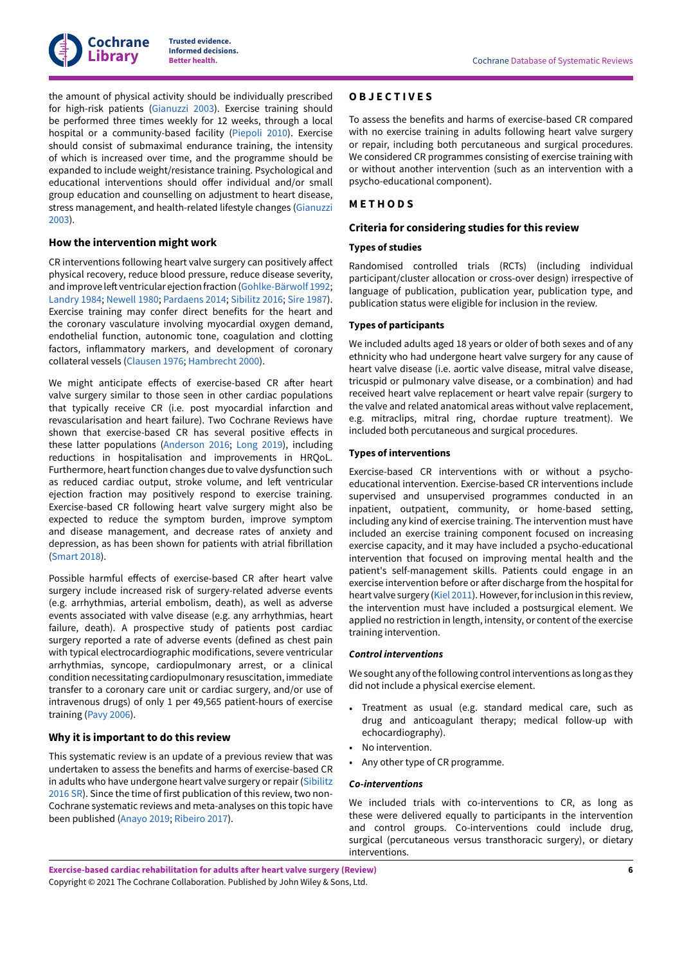

the amount of physical activity should be individually prescribed for high-risk patients ([Gianuzzi 2003\)](#page-22-7). Exercise training should be performed three times weekly for 12 weeks, through a local hospital or a community-based facility ([Piepoli 2010\)](#page-23-6). Exercise should consist of submaximal endurance training, the intensity of which is increased over time, and the programme should be expanded to include weight/resistance training. Psychological and educational interventions should offer individual and/or small group education and counselling on adjustment to heart disease, stress management, and health-related lifestyle changes ([Gianuzzi](#page-22-7) [2003](#page-22-7)).

#### **How the intervention might work**

CR interventions following heart valve surgery can positively affect physical recovery, reduce blood pressure, reduce disease severity, and improve left ventricular ejection fraction ([Gohlke-Bärwolf](#page-22-8) 1992; [Landry](#page-22-9) 1984; [Newell](#page-19-1) 1980; [Pardaens](#page-23-8) 2014; [Sibilitz 2016](#page-17-1); Sire [1987\)](#page-17-2). Exercise training may confer direct benefits for the heart and the coronary vasculature involving myocardial oxygen demand, endothelial function, autonomic tone, coagulation and clotting factors, inflammatory markers, and development of coronary collateral vessels ([Clausen 1976](#page-21-8); [Hambrecht](#page-22-10) 2000).

We might anticipate effects of exercise-based CR after heart valve surgery similar to those seen in other cardiac populations that typically receive CR (i.e. post myocardial infarction and revascularisation and heart failure). Two Cochrane Reviews have shown that exercise-based CR has several positive effects in these latter populations ([Anderson](#page-21-9) 2016; [Long](#page-23-9) 2019), including reductions in hospitalisation and improvements in HRQoL. Furthermore, heart function changes due to valve dysfunction such as reduced cardiac output, stroke volume, and left ventricular ejection fraction may positively respond to exercise training. Exercise-based CR following heart valve surgery might also be expected to reduce the symptom burden, improve symptom and disease management, and decrease rates of anxiety and depression, as has been shown for patients with atrial fibrillation [\(Smart 2018\)](#page-23-10).

Possible harmful effects of exercise-based CR after heart valve surgery include increased risk of surgery-related adverse events (e.g. arrhythmias, arterial embolism, death), as well as adverse events associated with valve disease (e.g. any arrhythmias, heart failure, death). A prospective study of patients post cardiac surgery reported a rate of adverse events (defined as chest pain with typical electrocardiographic modifications, severe ventricular arrhythmias, syncope, cardiopulmonary arrest, or a clinical condition necessitating cardiopulmonary resuscitation, immediate transfer to a coronary care unit or cardiac surgery, and/or use of intravenous drugs) of only 1 per 49,565 patient-hours of exercise training (Pavy [2006\)](#page-23-11).

## **Why it is important to do this review**

This systematic review is an update of a previous review that was undertaken to assess the benefits and harms of exercise-based CR in adults who have undergone heart valve surgery or repair ([Sibilitz](#page-23-12) [2016 SR](#page-23-12)). Since the time of first publication of this review, two non-Cochrane systematic reviews and meta-analyses on this topic have been published [\(Anayo](#page-21-7) 2019; [Ribeiro](#page-23-7) 2017).

### <span id="page-7-0"></span>**O B J E C T I V E S**

To assess the benefits and harms of exercise-based CR compared with no exercise training in adults following heart valve surgery or repair, including both percutaneous and surgical procedures. We considered CR programmes consisting of exercise training with or without another intervention (such as an intervention with a psycho-educational component).

#### <span id="page-7-1"></span>**M E T H O D S**

#### **Criteria for considering studies for this review**

#### **Types of studies**

Randomised controlled trials (RCTs) (including individual participant/cluster allocation or cross-over design) irrespective of language of publication, publication year, publication type, and publication status were eligible for inclusion in the review.

#### **Types of participants**

We included adults aged 18 years or older of both sexes and of any ethnicity who had undergone heart valve surgery for any cause of heart valve disease (i.e. aortic valve disease, mitral valve disease, tricuspid or pulmonary valve disease, or a combination) and had received heart valve replacement or heart valve repair (surgery to the valve and related anatomical areas without valve replacement, e.g. mitraclips, mitral ring, chordae rupture treatment). We included both percutaneous and surgical procedures.

#### **Types of interventions**

Exercise-based CR interventions with or without a psychoeducational intervention. Exercise-based CR interventions include supervised and unsupervised programmes conducted in an inpatient, outpatient, community, or home-based setting, including any kind of exercise training. The intervention must have included an exercise training component focused on increasing exercise capacity, and it may have included a psycho-educational intervention that focused on improving mental health and the patient's self-management skills. Patients could engage in an exercise intervention before or after discharge from the hospital for heart valve surgery ([Kiel 2011](#page-22-11)). However, for inclusion in this review, the intervention must have included a postsurgical element. We applied no restriction in length, intensity, or content of the exercise training intervention.

#### *Control interventions*

We sought any of the following control interventions as long as they did not include a physical exercise element.

- Treatment as usual (e.g. standard medical care, such as drug and anticoagulant therapy; medical follow-up with echocardiography).
- No intervention.
- Any other type of CR programme.

#### *Co-interventions*

We included trials with co-interventions to CR, as long as these were delivered equally to participants in the intervention and control groups. Co-interventions could include drug, surgical (percutaneous versus transthoracic surgery), or dietary interventions.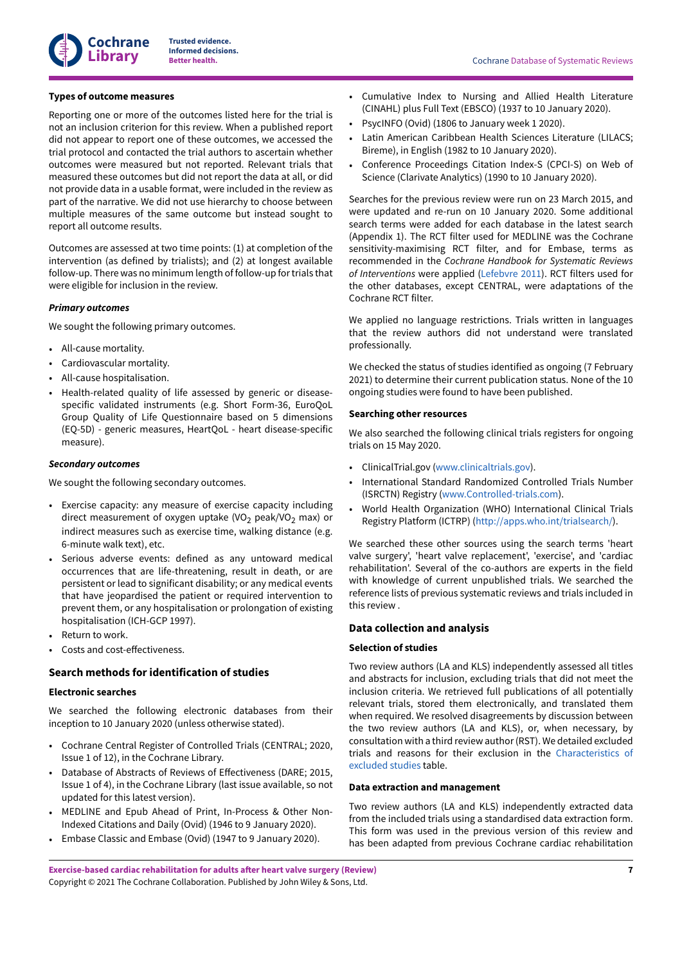

## **Types of outcome measures**

Reporting one or more of the outcomes listed here for the trial is not an inclusion criterion for this review. When a published report did not appear to report one of these outcomes, we accessed the trial protocol and contacted the trial authors to ascertain whether outcomes were measured but not reported. Relevant trials that measured these outcomes but did not report the data at all, or did not provide data in a usable format, were included in the review as part of the narrative. We did not use hierarchy to choose between multiple measures of the same outcome but instead sought to report all outcome results.

Outcomes are assessed at two time points: (1) at completion of the intervention (as defined by trialists); and (2) at longest available follow-up. There was no minimum length of follow-up fortrials that were eligible for inclusion in the review.

## *Primary outcomes*

We sought the following primary outcomes.

- All-cause mortality.
- Cardiovascular mortality.
- All-cause hospitalisation.
- Health-related quality of life assessed by generic or diseasespecific validated instruments (e.g. Short Form-36, EuroQoL Group Quality of Life Questionnaire based on 5 dimensions (EQ-5D) - generic measures, HeartQoL - heart disease-specific measure).

## *Secondary outcomes*

We sought the following secondary outcomes.

- Exercise capacity: any measure of exercise capacity including direct measurement of oxygen uptake (VO<sub>2</sub> peak/VO<sub>2</sub> max) or indirect measures such as exercise time, walking distance (e.g. 6-minute walk text), etc.
- Serious adverse events: defined as any untoward medical occurrences that are life-threatening, result in death, or are persistent or lead to significant disability; or any medical events that have jeopardised the patient or required intervention to prevent them, or any hospitalisation or prolongation of existing hospitalisation (ICH-GCP 1997).
- Return to work.
- Costs and cost-effectiveness.

## **Search methods for identification of studies**

### **Electronic searches**

We searched the following electronic databases from their inception to 10 January 2020 (unless otherwise stated).

- Cochrane Central Register of Controlled Trials (CENTRAL; 2020, Issue 1 of 12), in the Cochrane Library.
- Database of Abstracts of Reviews of Effectiveness (DARE; 2015, Issue 1 of 4), in the Cochrane Library (last issue available, so not updated for this latest version).
- MEDLINE and Epub Ahead of Print, In-Process & Other Non-Indexed Citations and Daily (Ovid) (1946 to 9 January 2020).
- Embase Classic and Embase (Ovid) (1947 to 9 January 2020).
- Cumulative Index to Nursing and Allied Health Literature (CINAHL) plus Full Text (EBSCO) (1937 to 10 January 2020).
- PsycINFO (Ovid) (1806 to January week 1 2020).
- Latin American Caribbean Health Sciences Literature (LILACS; Bireme), in English (1982 to 10 January 2020).
- Conference Proceedings Citation Index-S (CPCI-S) on Web of Science (Clarivate Analytics) (1990 to 10 January 2020).

Searches for the previous review were run on 23 March 2015, and were updated and re-run on 10 January 2020. Some additional search terms were added for each database in the latest search (Appendix 1). The RCT filter used for MEDLINE was the Cochrane sensitivity-maximising RCT filter, and for Embase, terms as recommended in the *Cochrane Handbook for Systematic Reviews of Interventions* were applied ([Lefebvre](#page-23-13) 2011). RCT filters used for the other databases, except CENTRAL, were adaptations of the Cochrane RCT filter.

We applied no language restrictions. Trials written in languages that the review authors did not understand were translated professionally.

We checked the status of studies identified as ongoing (7 February 2021) to determine their current publication status. None of the 10 ongoing studies were found to have been published.

## **Searching other resources**

We also searched the following clinical trials registers for ongoing trials on 15 May 2020.

- ClinicalTrial.gov [\(www.clinicaltrials.gov\)](http://www.clinicaltrials.gov).
- International Standard Randomized Controlled Trials Number (ISRCTN) Registry [\(www.Controlled-trials.com](http://www.Controlled-trials.com)).
- World Health Organization (WHO) International Clinical Trials Registry Platform (ICTRP) [\(http://apps.who.int/trialsearch/\)](http://apps.who.int/trialsearch/).

We searched these other sources using the search terms 'heart valve surgery', 'heart valve replacement', 'exercise', and 'cardiac rehabilitation'. Several of the co-authors are experts in the field with knowledge of current unpublished trials. We searched the reference lists of previous systematic reviews and trials included in this review .

#### **Data collection and analysis**

#### **Selection of studies**

Two review authors (LA and KLS) independently assessed all titles and abstracts for inclusion, excluding trials that did not meet the inclusion criteria. We retrieved full publications of all potentially relevant trials, stored them electronically, and translated them when required. We resolved disagreements by discussion between the two review authors (LA and KLS), or, when necessary, by consultation with a third review author(RST). We detailed excluded trials and reasons for their exclusion in the [Characteristics](#page-36-0) of [excluded](#page-36-0) studies table.

#### **Data extraction and management**

Two review authors (LA and KLS) independently extracted data from the included trials using a standardised data extraction form. This form was used in the previous version of this review and has been adapted from previous Cochrane cardiac rehabilitation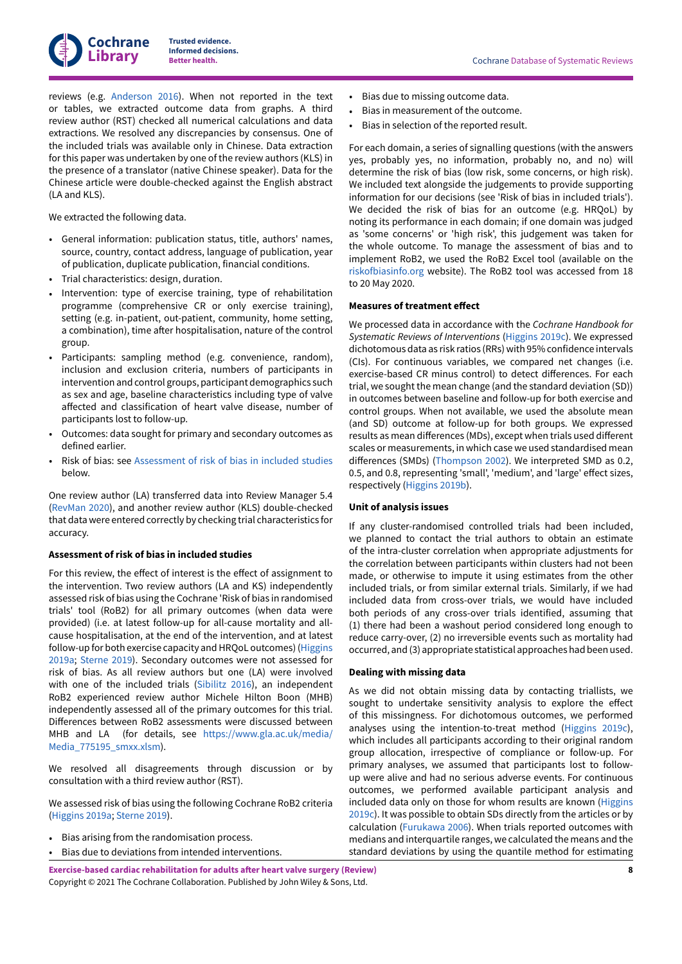reviews (e.g. [Anderson](#page-21-9) 2016). When not reported in the text or tables, we extracted outcome data from graphs. A third review author (RST) checked all numerical calculations and data extractions. We resolved any discrepancies by consensus. One of the included trials was available only in Chinese. Data extraction for this paper was undertaken by one of the review authors (KLS) in the presence of a translator (native Chinese speaker). Data for the Chinese article were double-checked against the English abstract (LA and KLS).

We extracted the following data.

- General information: publication status, title, authors' names, source, country, contact address, language of publication, year of publication, duplicate publication, financial conditions.
- Trial characteristics: design, duration.
- Intervention: type of exercise training, type of rehabilitation programme (comprehensive CR or only exercise training), setting (e.g. in-patient, out-patient, community, home setting, a combination), time after hospitalisation, nature of the control group.
- Participants: sampling method (e.g. convenience, random), inclusion and exclusion criteria, numbers of participants in intervention and control groups, participant demographics such as sex and age, baseline characteristics including type of valve affected and classification of heart valve disease, number of participants lost to follow-up.
- Outcomes: data sought for primary and secondary outcomes as defined earlier.
- Risk of bias: see [Assessment](#page-9-0) of risk of bias in included studies below.

One review author (LA) transferred data into Review Manager 5.4 [\(RevMan](#page-23-14) 2020), and another review author (KLS) double-checked that data were entered correctly by checking trial characteristics for accuracy.

## <span id="page-9-0"></span>**Assessment of risk of bias in included studies**

For this review, the effect of interest is the effect of assignment to the intervention. Two review authors (LA and KS) independently assessed risk of bias using the Cochrane 'Risk of bias in randomised trials' tool (RoB2) for all primary outcomes (when data were provided) (i.e. at latest follow-up for all-cause mortality and allcause hospitalisation, at the end of the intervention, and at latest follow-up for both exercise capacity and HRQoL outcomes) [\(Higgins](#page-22-12) [2019a;](#page-22-12) [Sterne](#page-24-5) 2019). Secondary outcomes were not assessed for risk of bias. As all review authors but one (LA) were involved with one of the included trials [\(Sibilitz 2016\)](#page-17-1), an independent RoB2 experienced review author Michele Hilton Boon (MHB) independently assessed all of the primary outcomes for this trial. Differences between RoB2 assessments were discussed between MHB and LA (for details, see [https://www.gla.ac.uk/media/](https://www.gla.ac.uk/media/Media_775195_smxx.xlsm) [Media\\_775195\\_smxx.xlsm](https://www.gla.ac.uk/media/Media_775195_smxx.xlsm)).

We resolved all disagreements through discussion or by consultation with a third review author (RST).

We assessed risk of bias using the following Cochrane RoB2 criteria [\(Higgins 2019a;](#page-22-12) [Sterne](#page-24-5) 2019).

- Bias arising from the randomisation process.
- Bias due to deviations from intended interventions.

**Exercise-based cardiac rehabilitation for adults after heart valve surgery (Review)** Copyright © 2021 The Cochrane Collaboration. Published by John Wiley & Sons, Ltd.

- **Better health.** Cochrane Database of Systematic Reviews
- Bias due to missing outcome data.
- Bias in measurement of the outcome.
- Bias in selection of the reported result.

For each domain, a series of signalling questions (with the answers yes, probably yes, no information, probably no, and no) will determine the risk of bias (low risk, some concerns, or high risk). We included text alongside the judgements to provide supporting information for our decisions (see 'Risk of bias in included trials'). We decided the risk of bias for an outcome (e.g. HRQoL) by noting its performance in each domain; if one domain was judged as 'some concerns' or 'high risk', this judgement was taken for the whole outcome. To manage the assessment of bias and to implement RoB2, we used the RoB2 Excel tool (available on the [riskofbiasinfo.org](https://www.riskofbias.info/welcome/rob-2-0-tool/current-version-of-rob-2) website). The RoB2 tool was accessed from 18 to 20 May 2020.

#### **Measures of treatment effect**

We processed data in accordance with the *Cochrane Handbook for Systematic Reviews of Interventions* ([Higgins 2019c\)](#page-22-13). We expressed dichotomous data as risk ratios (RRs) with 95% confidence intervals (CIs). For continuous variables, we compared net changes (i.e. exercise-based CR minus control) to detect differences. For each trial, we sought the mean change (and the standard deviation (SD)) in outcomes between baseline and follow-up for both exercise and control groups. When not available, we used the absolute mean (and SD) outcome at follow-up for both groups. We expressed results as mean differences (MDs), except when trials used different scales or measurements, in which case we used standardised mean differences (SMDs) [\(Thompson 2002\)](#page-24-6). We interpreted SMD as 0.2, 0.5, and 0.8, representing 'small', 'medium', and 'large' effect sizes, respectively [\(Higgins 2019b](#page-22-14)).

#### **Unit of analysis issues**

If any cluster-randomised controlled trials had been included, we planned to contact the trial authors to obtain an estimate of the intra-cluster correlation when appropriate adjustments for the correlation between participants within clusters had not been made, or otherwise to impute it using estimates from the other included trials, or from similar external trials. Similarly, if we had included data from cross-over trials, we would have included both periods of any cross-over trials identified, assuming that (1) there had been a washout period considered long enough to reduce carry-over, (2) no irreversible events such as mortality had occurred, and (3) appropriate statistical approaches had been used.

#### <span id="page-9-1"></span>**Dealing with missing data**

As we did not obtain missing data by contacting triallists, we sought to undertake sensitivity analysis to explore the effect of this missingness. For dichotomous outcomes, we performed analyses using the intention-to-treat method ([Higgins 2019c\)](#page-22-13), which includes all participants according to their original random group allocation, irrespective of compliance or follow-up. For primary analyses, we assumed that participants lost to followup were alive and had no serious adverse events. For continuous outcomes, we performed available participant analysis and included data only on those for whom results are known ([Higgins](#page-22-13) [2019c\)](#page-22-13). It was possible to obtain SDs directly from the articles or by calculation ([Furukawa](#page-22-15) 2006). When trials reported outcomes with medians and interquartile ranges, we calculated the means and the standard deviations by using the quantile method for estimating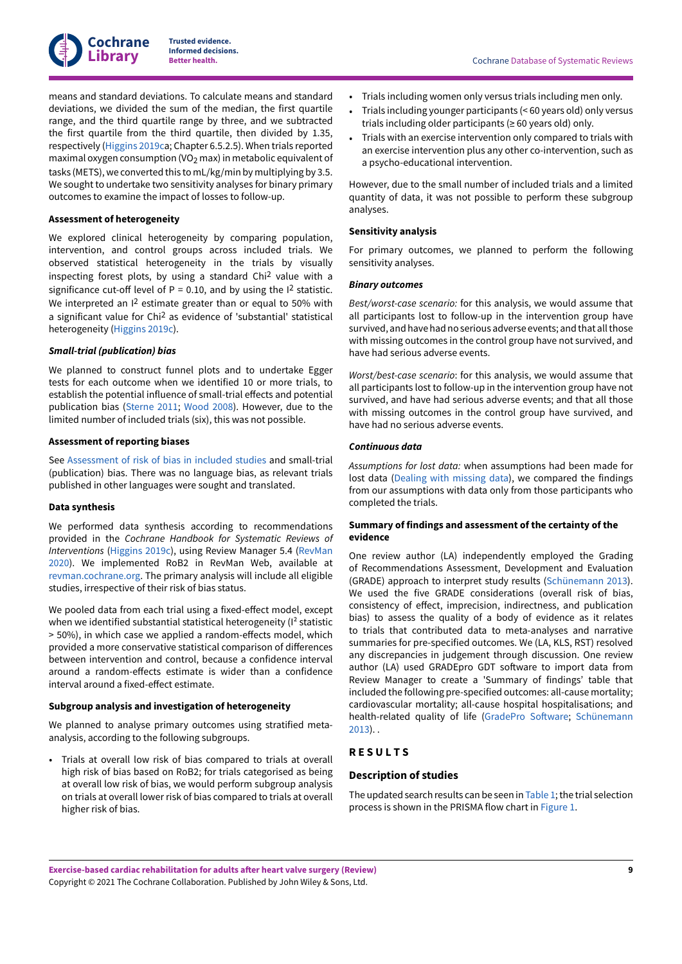

means and standard deviations. To calculate means and standard deviations, we divided the sum of the median, the first quartile range, and the third quartile range by three, and we subtracted the first quartile from the third quartile, then divided by 1.35, respectively ([Higgins 2019c](#page-22-13)a; Chapter 6.5.2.5). When trials reported maximal oxygen consumption (VO<sub>2</sub> max) in metabolic equivalent of tasks (METS), we converted this to mL/kg/min by multiplying by 3.5. We sought to undertake two sensitivity analyses for binary primary outcomes to examine the impact of losses to follow-up.

## **Assessment of heterogeneity**

We explored clinical heterogeneity by comparing population, intervention, and control groups across included trials. We observed statistical heterogeneity in the trials by visually inspecting forest plots, by using a standard Chi 2 value with a significance cut-off level of  $P = 0.10$ , and by using the  $12$  statistic. We interpreted an I<sup>2</sup> estimate greater than or equal to 50% with a significant value for Chi 2 as evidence of 'substantial' statistical heterogeneity [\(Higgins 2019c](#page-22-13)).

## *Small-trial (publication) bias*

We planned to construct funnel plots and to undertake Egger tests for each outcome when we identified 10 or more trials, to establish the potential influence of small-trial effects and potential publication bias ([Sterne](#page-23-15) 2011; [Wood 2008\)](#page-24-7). However, due to the limited number of included trials (six), this was not possible.

## **Assessment of reporting biases**

See [Assessment](#page-9-0) of risk of bias in included studies and small-trial (publication) bias. There was no language bias, as relevant trials published in other languages were sought and translated.

## **Data synthesis**

We performed data synthesis according to recommendations provided in the *Cochrane Handbook for Systematic Reviews of Interventions* [\(Higgins 2019c\)](#page-22-13), using Review Manager 5.4 ([RevMan](#page-23-14) [2020](#page-23-14)). We implemented RoB2 in RevMan Web, available at [revman.cochrane.org.](http://revman.cochrane.org/) The primary analysis will include all eligible studies, irrespective of their risk of bias status.

We pooled data from each trial using a fixed-effect model, except when we identified substantial statistical heterogeneity ( $I<sup>2</sup>$  statistic  $>$  50%), in which case we applied a random-effects model, which provided a more conservative statistical comparison of differences between intervention and control, because a confidence interval around a random-effects estimate is wider than a confidence interval around a fixed-effect estimate.

## **Subgroup analysis and investigation of heterogeneity**

We planned to analyse primary outcomes using stratified metaanalysis, according to the following subgroups.

• Trials at overall low risk of bias compared to trials at overall high risk of bias based on RoB2; for trials categorised as being at overall low risk of bias, we would perform subgroup analysis on trials at overall lower risk of bias compared to trials at overall higher risk of bias.

- Trials including women only versus trials including men only.
- Trials including younger participants (< 60 years old) only versus trials including older participants ( $\geq 60$  years old) only.
- Trials with an exercise intervention only compared to trials with an exercise intervention plus any other co-intervention, such as a psycho-educational intervention.

However, due to the small number of included trials and a limited quantity of data, it was not possible to perform these subgroup analyses.

## **Sensitivity analysis**

For primary outcomes, we planned to perform the following sensitivity analyses.

#### *Binary outcomes*

*Best/worst-case scenario:* for this analysis, we would assume that all participants lost to follow-up in the intervention group have survived, and have had no serious adverse events; and that all those with missing outcomes in the control group have not survived, and have had serious adverse events.

*Worst/best-case scenario*: for this analysis, we would assume that all participants lost to follow-up in the intervention group have not survived, and have had serious adverse events; and that all those with missing outcomes in the control group have survived, and have had no serious adverse events.

#### *Continuous data*

*Assumptions for lost data:* when assumptions had been made for lost data (Dealing with [missing](#page-9-1) data), we compared the findings from our assumptions with data only from those participants who completed the trials.

## **Summary of findings and assessment of the certainty of the evidence**

One review author (LA) independently employed the Grading of Recommendations Assessment, Development and Evaluation (GRADE) approach to interpret study results [\(Schünemann 2013\)](#page-23-16). We used the five GRADE considerations (overall risk of bias, consistency of effect, imprecision, indirectness, and publication bias) to assess the quality of a body of evidence as it relates to trials that contributed data to meta-analyses and narrative summaries for pre-specified outcomes. We (LA, KLS, RST) resolved any discrepancies in judgement through discussion. One review author (LA) used GRADEpro GDT software to import data from Review Manager to create a 'Summary of findings' table that included the following pre-specified outcomes: all-cause mortality; cardiovascular mortality; all-cause hospital hospitalisations; and health-related quality of life [\(GradePro](#page-22-16) Software; [Schünemann](#page-23-16) [2013\)](#page-23-16). .

## <span id="page-10-0"></span>**R E S U L T S**

## **Description of studies**

The updated search results can be seen in  $Table 1$  $Table 1$ ; the trial selection process is shown in the PRISMA flow chart in [Figure](#page-11-0) 1.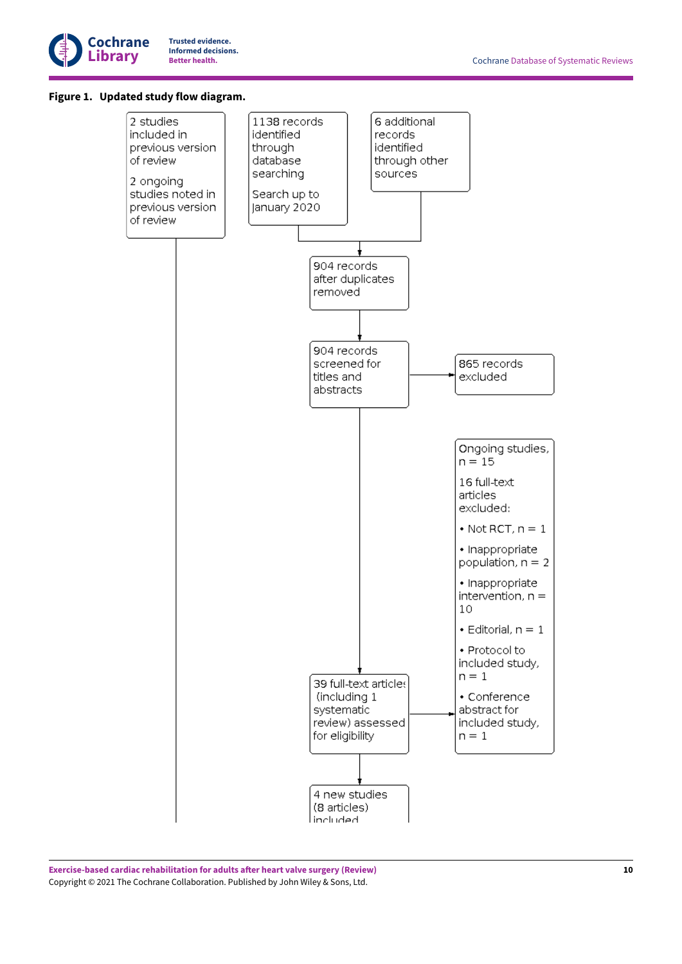

## <span id="page-11-0"></span>**Figure 1. Updated study flow diagram.**

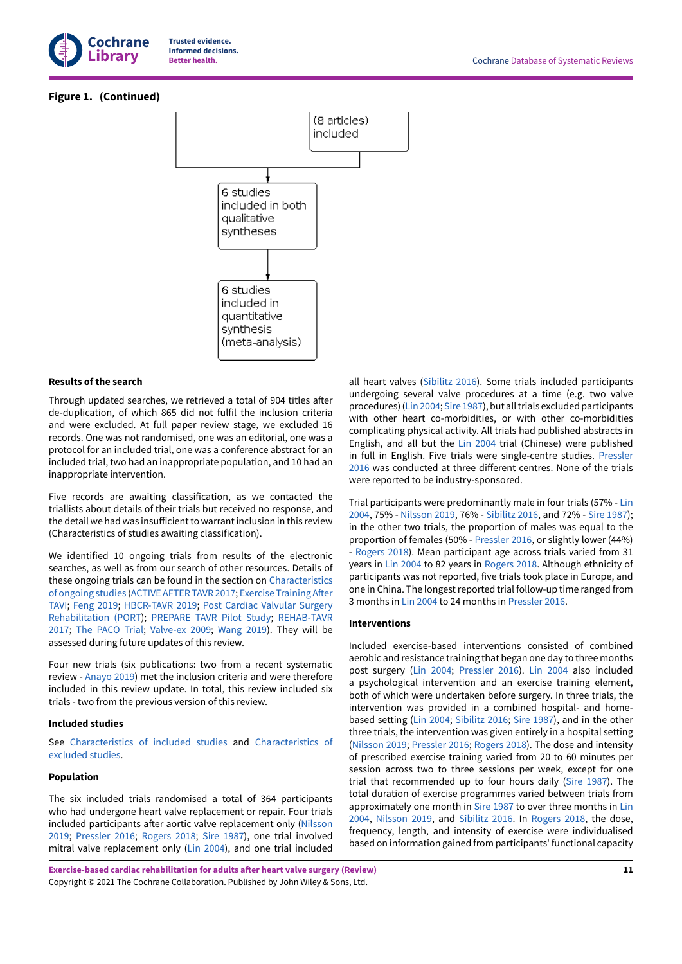

## **Figure 1. (Continued)**



## **Results of the search**

Through updated searches, we retrieved a total of 904 titles after de-duplication, of which 865 did not fulfil the inclusion criteria and were excluded. At full paper review stage, we excluded 16 records. One was not randomised, one was an editorial, one was a protocol for an included trial, one was a conference abstract for an included trial, two had an inappropriate population, and 10 had an inappropriate intervention.

Five records are awaiting classification, as we contacted the triallists about details of their trials but received no response, and the detail we had was insufficient to warrant inclusion in this review (Characteristics of studies awaiting classification).

We identified 10 ongoing trials from results of the electronic searches, as well as from our search of other resources. Details of these ongoing trials can be found in the section on [Characteristics](#page-38-0) of [ongoing](#page-38-0) studies [\(ACTIVE](#page-20-0) AFTER TAVR 2017; Exercise [Training](#page-20-1) After [TAVI;](#page-20-1) [Feng](#page-20-2) 2019; [HBCR-TAVR](#page-20-3) 2019; Post Cardiac [Valvular](#page-20-4) Surgery [Rehabilitation](#page-20-4) (PORT); [PREPARE](#page-20-5) TAVR Pilot Study; [REHAB-TAVR](#page-21-10) [2017](#page-21-10); The [PACO](#page-21-11) Trial; [Valve-ex](#page-21-12) 2009; [Wang](#page-21-13) 2019). They will be assessed during future updates of this review.

Four new trials (six publications: two from a recent systematic review - [Anayo](#page-21-7) 2019) met the inclusion criteria and were therefore included in this review update. In total, this review included six trials - two from the previous version of this review.

#### **Included studies**

See [Characteristics](#page-24-8) of included studies and [Characteristics](#page-36-0) of [excluded](#page-36-0) studies.

#### **Population**

The six included trials randomised a total of 364 participants who had undergone heart valve replacement or repair. Four trials included participants after aortic valve replacement only ([Nilsson](#page-17-3) [2019](#page-17-3); [Pressler](#page-17-4) 2016; [Rogers](#page-17-5) 2018; Sire [1987\)](#page-17-2), one trial involved mitral valve replacement only ([Lin 2004](#page-17-6)), and one trial included

**Exercise-based cardiac rehabilitation for adults after heart valve surgery (Review)** Copyright © 2021 The Cochrane Collaboration. Published by John Wiley & Sons, Ltd.

all heart valves [\(Sibilitz 2016](#page-17-1)). Some trials included participants undergoing several valve procedures at a time (e.g. two valve procedures) ([Lin 2004](#page-17-6); Sire [1987\)](#page-17-2), but all trials excluded participants with other heart co-morbidities, or with other co-morbidities complicating physical activity. All trials had published abstracts in English, and all but the [Lin 2004](#page-17-6) trial (Chinese) were published in full in English. Five trials were single-centre studies. [Pressler](#page-17-4) [2016](#page-17-4) was conducted at three different centres. None of the trials were reported to be industry-sponsored.

Trial participants were predominantly male in four trials (57% - [Lin](#page-17-6) [2004,](#page-17-6) 75% - [Nilsson 2019](#page-17-3), 76% - [Sibilitz 2016,](#page-17-1) and 72% - Sire [1987\)](#page-17-2); in the other two trials, the proportion of males was equal to the proportion of females (50% - [Pressler](#page-17-4) 2016, or slightly lower (44%) - [Rogers](#page-17-5) 2018). Mean participant age across trials varied from 31 years in [Lin 2004](#page-17-6) to 82 years in [Rogers](#page-17-5) 2018. Although ethnicity of participants was not reported, five trials took place in Europe, and one in China. The longest reported trial follow-up time ranged from 3 months in [Lin 2004](#page-17-6) to 24 months in [Pressler](#page-17-4) 2016.

### **Interventions**

Included exercise-based interventions consisted of combined aerobic and resistance training that began one day to three months post surgery ([Lin 2004](#page-17-6); [Pressler](#page-17-4) 2016). [Lin 2004](#page-17-6)  also included a psychological intervention and an exercise training element, both of which were undertaken before surgery. In three trials, the intervention was provided in a combined hospital- and homebased setting ([Lin 2004;](#page-17-6) [Sibilitz 2016;](#page-17-1) Sire [1987](#page-17-2)), and in the other three trials, the intervention was given entirely in a hospital setting [\(Nilsson 2019](#page-17-3); [Pressler](#page-17-4) 2016; [Rogers](#page-17-5) 2018). The dose and intensity of prescribed exercise training varied from 20 to 60 minutes per session across two to three sessions per week, except for one trial that recommended up to four hours daily (Sire [1987](#page-17-2)). The total duration of exercise programmes varied between trials from approximately one month in Sire [1987](#page-17-2) to over three months in [Lin](#page-17-6) [2004,](#page-17-6) [Nilsson 2019](#page-17-3), and [Sibilitz 2016.](#page-17-1) In [Rogers](#page-17-5) 2018, the dose, frequency, length, and intensity of exercise were individualised based on information gained from participants' functional capacity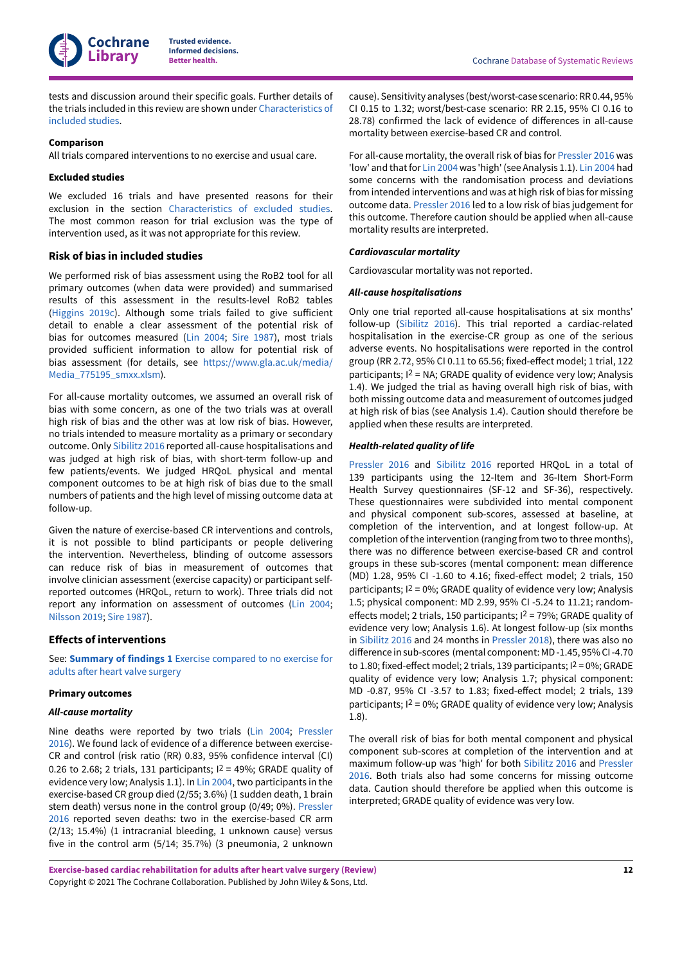

tests and discussion around their specific goals. Further details of the trials included in this review are shown under [Characteristics](#page-24-8) of [included](#page-24-8) studies.

#### **Comparison**

All trials compared interventions to no exercise and usual care.

#### **Excluded studies**

We excluded 16 trials and have presented reasons for their exclusion in the section [Characteristics](#page-36-0) of excluded studies. The most common reason for trial exclusion was the type of intervention used, as it was not appropriate for this review.

#### **Risk of bias in included studies**

We performed risk of bias assessment using the RoB2 tool for all primary outcomes (when data were provided) and summarised results of this assessment in the results-level RoB2 tables [\(Higgins 2019c\)](#page-22-13). Although some trials failed to give sufficient detail to enable a clear assessment of the potential risk of bias for outcomes measured ([Lin 2004](#page-17-6); Sire [1987](#page-17-2)), most trials provided sufficient information to allow for potential risk of bias assessment (for details, see [https://www.gla.ac.uk/media/](https://www.gla.ac.uk/media/Media_775195_smxx.xlsm) [Media\\_775195\\_smxx.xlsm](https://www.gla.ac.uk/media/Media_775195_smxx.xlsm)).

For all-cause mortality outcomes, we assumed an overall risk of bias with some concern, as one of the two trials was at overall high risk of bias and the other was at low risk of bias. However, no trials intended to measure mortality as a primary or secondary outcome. Only [Sibilitz 2016](#page-17-1) reported all-cause hospitalisations and was judged at high risk of bias, with short-term follow-up and few patients/events. We judged HRQoL physical and mental component outcomes to be at high risk of bias due to the small numbers of patients and the high level of missing outcome data at follow-up.

Given the nature of exercise-based CR interventions and controls, it is not possible to blind participants or people delivering the intervention. Nevertheless, blinding of outcome assessors can reduce risk of bias in measurement of outcomes that involve clinician assessment (exercise capacity) or participant selfreported outcomes (HRQoL, return to work). Three trials did not report any information on assessment of outcomes ([Lin 2004](#page-17-6); [Nilsson 2019;](#page-17-3) Sire [1987](#page-17-2)).

#### **Effects of interventions**

See: **[Summary](#page-4-1) of findings 1** Exercise compared to no exercise for adults after heart valve [surgery](#page-4-1)

## **Primary outcomes**

#### *All-cause mortality*

Nine deaths were reported by two trials [\(Lin 2004](#page-17-6); [Pressler](#page-17-4) [2016](#page-17-4)). We found lack of evidence of a difference between exercise-CR and control (risk ratio (RR) 0.83, 95% confidence interval (CI) 0.26 to 2.68; 2 trials, 131 participants;  $1^2$  = 49%; GRADE quality of evidence very low; Analysis 1.1). In [Lin 2004,](#page-17-6) two participants in the exercise-based CR group died (2/55; 3.6%) (1 sudden death, 1 brain stem death) versus none in the control group (0/49; 0%). [Pressler](#page-17-4) [2016](#page-17-4) reported seven deaths: two in the exercise-based CR arm (2/13; 15.4%) (1 intracranial bleeding, 1 unknown cause) versus five in the control arm (5/14; 35.7%) (3 pneumonia, 2 unknown

cause). Sensitivity analyses (best/worst-case scenario:RR0.44, 95% CI 0.15 to 1.32; worst/best-case scenario: RR 2.15, 95% CI 0.16 to 28.78) confirmed the lack of evidence of differences in all-cause mortality between exercise-based CR and control.

For all-cause mortality, the overall risk of bias for [Pressler](#page-17-4) 2016 was 'low' and that for [Lin 2004](#page-17-6) was 'high' (see Analysis 1.1). [Lin 2004](#page-17-6) had some concerns with the randomisation process and deviations from intended interventions and was at high risk of bias for missing outcome data. [Pressler](#page-17-4) 2016 led to a low risk of bias judgement for this outcome. Therefore caution should be applied when all-cause mortality results are interpreted.

#### *Cardiovascular mortality*

Cardiovascular mortality was not reported.

#### *All-cause hospitalisations*

Only one trial reported all-cause hospitalisations at six months' follow-up ([Sibilitz 2016](#page-17-1)). This trial reported a cardiac-related hospitalisation in the exercise-CR group as one of the serious adverse events. No hospitalisations were reported in the control group (RR 2.72, 95% CI 0.11 to 65.56; fixed-effect model; 1 trial, 122 participants;  $I^2$  = NA; GRADE quality of evidence very low; Analysis 1.4). We judged the trial as having overall high risk of bias, with both missing outcome data and measurement of outcomes judged at high risk of bias (see Analysis 1.4). Caution should therefore be applied when these results are interpreted.

#### *Health-related quality of life*

[Pressler](#page-17-4) 2016 and [Sibilitz 2016](#page-17-1) reported HRQoL in a total of 139 participants using the 12-Item and 36-Item Short-Form Health Survey questionnaires (SF-12 and SF-36), respectively. These questionnaires were subdivided into mental component and physical component sub-scores, assessed at baseline, at completion of the intervention, and at longest follow-up. At completion of the intervention (ranging from two to three months), there was no difference between exercise-based CR and control groups in these sub-scores (mental component: mean difference (MD) 1.28, 95% CI -1.60 to 4.16; fixed-effect model; 2 trials, 150 participants;  $12 = 0\%$ ; GRADE quality of evidence very low; Analysis 1.5; physical component: MD 2.99, 95% CI -5.24 to 11.21; randomeffects model; 2 trials, 150 participants;  $1^2$  = 79%; GRADE quality of evidence very low; Analysis 1.6). At longest follow-up (six months in [Sibilitz 2016](#page-17-1) and 24 months in [Pressler](#page-23-17) 2018), there was also no difference in sub-scores (mental component: MD-1.45, 95% CI-4.70 to 1.80; fixed-effect model; 2 trials, 139 participants;  $1^2 = 0\%$ ; GRADE quality of evidence very low; Analysis 1.7; physical component: MD -0.87, 95% CI -3.57 to 1.83; fixed-effect model; 2 trials, 139 participants;  $12 = 0\%$ ; GRADE quality of evidence very low; Analysis 1.8).

The overall risk of bias for both mental component and physical component sub-scores at completion of the intervention and at maximum follow-up was 'high' for both [Sibilitz 2016](#page-17-1) and [Pressler](#page-17-4) [2016.](#page-17-4) Both trials also had some concerns for missing outcome data. Caution should therefore be applied when this outcome is interpreted; GRADE quality of evidence was very low.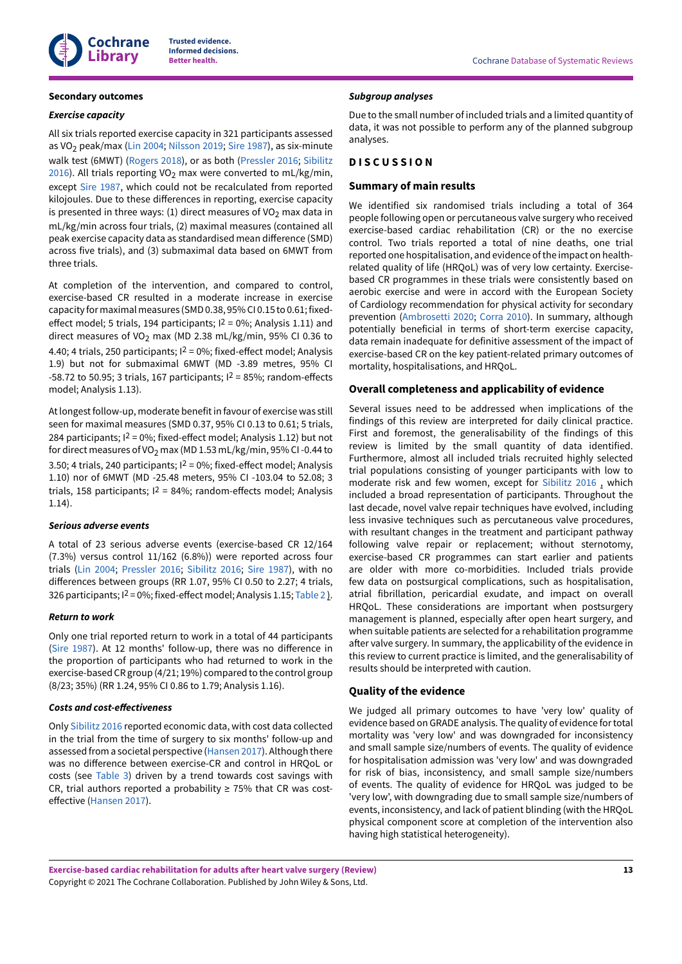

## **Secondary outcomes**

#### *Exercise capacity*

All six trials reported exercise capacity in 321 participants assessed as VO<sub>2</sub> peak/max ([Lin 2004;](#page-17-6) [Nilsson 2019;](#page-17-3) Sire [1987\)](#page-17-2), as six-minute walk test (6MWT) ([Rogers](#page-17-5) 2018), or as both ([Pressler](#page-17-4) 2016; [Sibilitz](#page-17-1) [2016](#page-17-1)). All trials reporting VO<sub>2</sub> max were converted to mL/kg/min, except Sire [1987](#page-17-2), which could not be recalculated from reported kilojoules. Due to these differences in reporting, exercise capacity is presented in three ways: (1) direct measures of VO<sub>2</sub> max data in mL/kg/min across four trials, (2) maximal measures (contained all peak exercise capacity data as standardised mean difference (SMD) across five trials), and (3) submaximal data based on 6MWT from three trials.

At completion of the intervention, and compared to control, exercise-based CR resulted in a moderate increase in exercise capacity for maximal measures (SMD 0.38, 95% CI 0.15 to 0.61; fixedeffect model; 5 trials, 194 participants;  $1^2 = 0\%$ ; Analysis 1.11) and direct measures of VO<sub>2</sub> max (MD 2.38 mL/kg/min, 95% CI 0.36 to 4.40; 4 trials, 250 participants;  $I^2 = 0\%$ ; fixed-effect model; Analysis 1.9) but not for submaximal 6MWT (MD -3.89 metres, 95% CI  $-58.72$  to 50.95; 3 trials, 167 participants;  $1^2 = 85\%$ ; random-effects model; Analysis 1.13).

At longest follow-up, moderate benefit in favour of exercise was still seen for maximal measures (SMD 0.37, 95% CI 0.13 to 0.61; 5 trials, 284 participants;  $I^2 = 0\%$ ; fixed-effect model; Analysis 1.12) but not for direct measures of VO<sub>2</sub> max (MD 1.53 mL/kg/min, 95% CI-0.44 to 3.50; 4 trials, 240 participants; I<sup>2</sup> = 0%; fixed-effect model; Analysis 1.10) nor of 6MWT (MD -25.48 meters, 95% CI -103.04 to 52.08; 3 trials, 158 participants;  $1^2 = 84\%$ ; random-effects model; Analysis 1.14).

#### *Serious adverse events*

A total of 23 serious adverse events (exercise-based CR 12/164 (7.3%) versus control 11/162 (6.8%)) were reported across four trials ([Lin 2004;](#page-17-6) [Pressler](#page-17-4) 2016; [Sibilitz 2016;](#page-17-1) Sire [1987](#page-17-2)), with no differences between groups (RR 1.07, 95% CI 0.50 to 2.27; 4 trials, 326 participants; I<sup>2</sup> = 0%; fixed-effect model; Analysis 1.15; [Table](#page-50-2) 2).

#### *Return to work*

Only one trial reported return to work in a total of 44 participants (Sire [1987\)](#page-17-2). At 12 months' follow-up, there was no difference in the proportion of participants who had returned to work in the exercise-basedCRgroup (4/21; 19%) compared to the control group (8/23; 35%) (RR 1.24, 95% CI 0.86 to 1.79; Analysis 1.16).

#### *Costs and cost-e\$ectiveness*

Only [Sibilitz 2016](#page-17-1) reported economic data, with cost data collected in the trial from the time of surgery to six months' follow-up and assessed from a societal perspective ([Hansen 2017\)](#page-22-17). Although there was no difference between exercise-CR and control in HRQoL or costs (see [Table](#page-51-3) 3) driven by a trend towards cost savings with CR, trial authors reported a probability  $\geq$  75% that CR was cost-effective ([Hansen 2017](#page-22-17)).

#### *Subgroup analyses*

Due to the small number of included trials and a limited quantity of data, it was not possible to perform any of the planned subgroup analyses.

## <span id="page-14-0"></span>**D I S C U S S I O N**

## **Summary of main results**

We identified six randomised trials including a total of 364 people following open or percutaneous valve surgery who received exercise-based cardiac rehabilitation (CR) or the no exercise control. Two trials reported a total of nine deaths, one trial reported one hospitalisation, and evidence ofthe impact on healthrelated quality of life (HRQoL) was of very low certainty. Exercisebased CR programmes in these trials were consistently based on aerobic exercise and were in accord with the European Society of Cardiology recommendation for physical activity for secondary prevention [\(Ambrosetti](#page-21-3) 2020; [Corra](#page-21-14) 2010). In summary, although potentially beneficial in terms of short-term exercise capacity, data remain inadequate for definitive assessment of the impact of exercise-based CR on the key patient-related primary outcomes of mortality, hospitalisations, and HRQoL.

## **Overall completeness and applicability of evidence**

Several issues need to be addressed when implications of the findings of this review are interpreted for daily clinical practice. First and foremost, the generalisability of the findings of this review is limited by the small quantity of data identified. Furthermore, almost all included trials recruited highly selected trial populations consisting of younger participants with low to moderate risk and few women, except for [Sibilitz 2016](#page-17-1) , which included a broad representation of participants. Throughout the last decade, novel valve repair techniques have evolved, including less invasive techniques such as percutaneous valve procedures, with resultant changes in the treatment and participant pathway following valve repair or replacement; without sternotomy, exercise-based CR programmes can start earlier and patients are older with more co-morbidities. Included trials provide few data on postsurgical complications, such as hospitalisation, atrial fibrillation, pericardial exudate, and impact on overall HRQoL. These considerations are important when postsurgery management is planned, especially after open heart surgery, and when suitable patients are selected for a rehabilitation programme after valve surgery. In summary, the applicability of the evidence in this review to current practice is limited, and the generalisability of results should be interpreted with caution.

## **Quality of the evidence**

We judged all primary outcomes to have 'very low' quality of evidence based on GRADE analysis. The quality of evidence for total mortality was 'very low' and was downgraded for inconsistency and small sample size/numbers of events. The quality of evidence for hospitalisation admission was 'very low' and was downgraded for risk of bias, inconsistency, and small sample size/numbers of events. The quality of evidence for HRQoL was judged to be 'very low', with downgrading due to small sample size/numbers of events, inconsistency, and lack of patient blinding (with the HRQoL physical component score at completion of the intervention also having high statistical heterogeneity).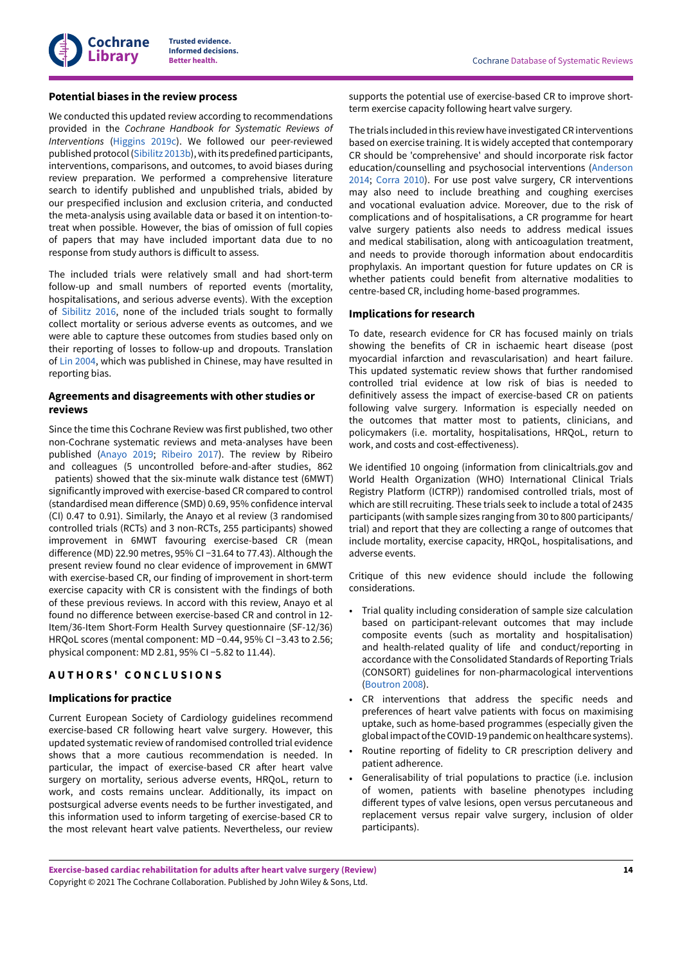## **Potential biases in the review process**

We conducted this updated review according to recommendations provided in the *Cochrane Handbook for Systematic Reviews of Interventions* ([Higgins 2019c\)](#page-22-13). We followed our peer-reviewed published protocol ([Sibilitz 2013b\)](#page-24-9), with its predefined participants, interventions, comparisons, and outcomes, to avoid biases during review preparation. We performed a comprehensive literature search to identify published and unpublished trials, abided by our prespecified inclusion and exclusion criteria, and conducted the meta-analysis using available data or based it on intention-totreat when possible. However, the bias of omission of full copies of papers that may have included important data due to no response from study authors is difficult to assess.

The included trials were relatively small and had short-term follow-up and small numbers of reported events (mortality, hospitalisations, and serious adverse events). With the exception of [Sibilitz 2016](#page-17-1), none of the included trials sought to formally collect mortality or serious adverse events as outcomes, and we were able to capture these outcomes from studies based only on their reporting of losses to follow-up and dropouts. Translation of [Lin 2004,](#page-17-6) which was published in Chinese, may have resulted in reporting bias.

## **Agreements and disagreements with other studies or reviews**

Since the time this Cochrane Review was first published, two other non-Cochrane systematic reviews and meta-analyses have been published ([Anayo](#page-21-7) 2019; [Ribeiro](#page-23-7) 2017). The review by Ribeiro and colleagues (5 uncontrolled before-and-after studies, 862 patients) showed that the six-minute walk distance test (6MWT) significantly improved with exercise-based CR compared to control (standardised mean difference (SMD) 0.69, 95% confidence interval (CI) 0.47 to 0.91). Similarly, the Anayo et al review (3 randomised controlled trials (RCTs) and 3 non-RCTs, 255 participants) showed improvement in 6MWT favouring exercise-based CR (mean difference (MD) 22.90 metres, 95% CI −31.64 to 77.43). Although the present review found no clear evidence of improvement in 6MWT with exercise-based CR, our finding of improvement in short-term exercise capacity with CR is consistent with the findings of both of these previous reviews. In accord with this review, Anayo et al found no difference between exercise-based CR and control in 12-Item/36-Item Short-Form Health Survey questionnaire (SF-12/36) HRQoL scores (mental component: MD −0.44, 95% CI −3.43 to 2.56; physical component: MD 2.81, 95% CI −5.82 to 11.44).

## <span id="page-15-0"></span>**A U T H O R S ' C O N C L U S I O N S**

## **Implications for practice**

Current European Society of Cardiology guidelines recommend exercise-based CR following heart valve surgery. However, this updated systematic review ofrandomised controlled trial evidence shows that a more cautious recommendation is needed. In particular, the impact of exercise-based CR after heart valve surgery on mortality, serious adverse events, HRQoL, return to work, and costs remains unclear. Additionally, its impact on postsurgical adverse events needs to be further investigated, and this information used to inform targeting of exercise-based CR to the most relevant heart valve patients. Nevertheless, our review

supports the potential use of exercise-based CR to improve shortterm exercise capacity following heart valve surgery.

The trials included in this review have investigated CR interventions based on exercise training. It is widely accepted that contemporary CR should be 'comprehensive' and should incorporate risk factor education/counselling and psychosocial interventions ([Anderson](#page-21-15) [2014;](#page-21-15) [Corra](#page-21-14) 2010). For use post valve surgery, CR interventions may also need to include breathing and coughing exercises and vocational evaluation advice. Moreover, due to the risk of complications and of hospitalisations, a CR programme for heart valve surgery patients also needs to address medical issues and medical stabilisation, along with anticoagulation treatment, and needs to provide thorough information about endocarditis prophylaxis. An important question for future updates on CR is whether patients could benefit from alternative modalities to centre-based CR, including home-based programmes.

## **Implications for research**

To date, research evidence for CR has focused mainly on trials showing the benefits of CR in ischaemic heart disease (post myocardial infarction and revascularisation) and heart failure. This updated systematic review shows that further randomised controlled trial evidence at low risk of bias is needed to definitively assess the impact of exercise-based CR on patients following valve surgery. Information is especially needed on the outcomes that matter most to patients, clinicians, and policymakers (i.e. mortality, hospitalisations, HRQoL, return to work, and costs and cost-effectiveness).

We identified 10 ongoing (information from clinicaltrials.gov and World Health Organization (WHO) International Clinical Trials Registry Platform (ICTRP)) randomised controlled trials, most of which are still recruiting. These trials seek to include a total of 2435 participants (with sample sizes ranging from 30 to 800 participants/ trial) and report that they are collecting a range of outcomes that include mortality, exercise capacity, HRQoL, hospitalisations, and adverse events.

Critique of this new evidence should include the following considerations.

- Trial quality including consideration of sample size calculation based on participant-relevant outcomes that may include composite events (such as mortality and hospitalisation) and health-related quality of life and conduct/reporting in accordance with the Consolidated Standards of Reporting Trials (CONSORT) guidelines for non-pharmacological interventions ([Boutron](#page-21-16) 2008).
- CR interventions that address the specific needs and preferences of heart valve patients with focus on maximising uptake, such as home-based programmes (especially given the global impact of the COVID-19 pandemic on healthcare systems).
- Routine reporting of fidelity to CR prescription delivery and patient adherence.
- Generalisability of trial populations to practice (i.e. inclusion of women, patients with baseline phenotypes including different types of valve lesions, open versus percutaneous and replacement versus repair valve surgery, inclusion of older participants).

**Exercise-based cardiac rehabilitation for adults after heart valve surgery (Review)** Copyright © 2021 The Cochrane Collaboration. Published by John Wiley & Sons, Ltd.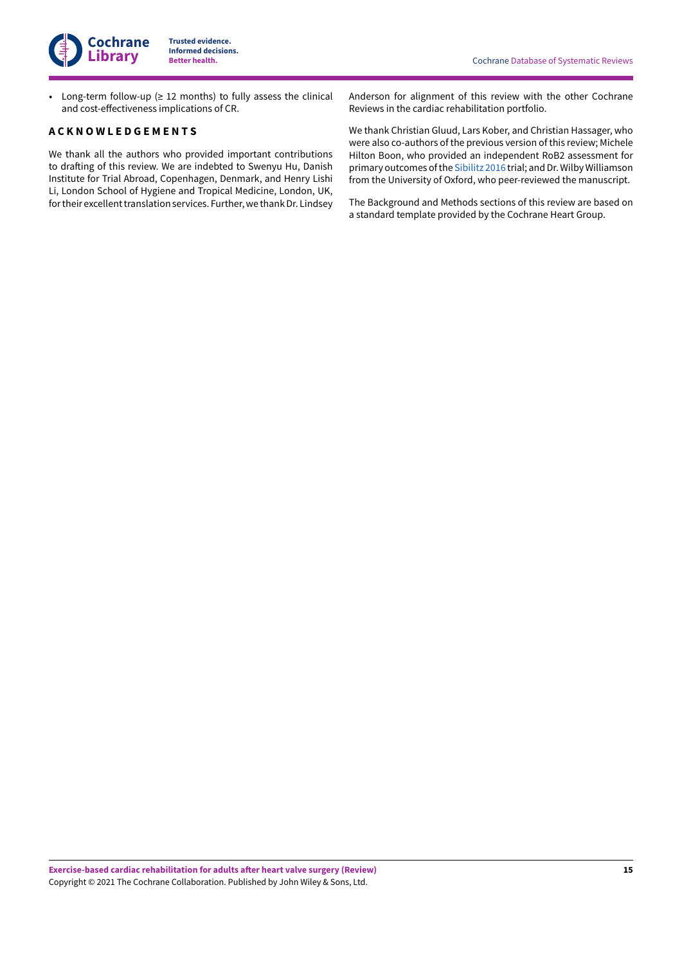• Long-term follow-up (≥ 12 months) to fully assess the clinical and cost-effectiveness implications of CR.

## <span id="page-16-0"></span>**A C K N O W L E D G E M E N T S**

We thank all the authors who provided important contributions to drafting of this review. We are indebted to Swenyu Hu, Danish Institute for Trial Abroad, Copenhagen, Denmark, and Henry Lishi Li, London School of Hygiene and Tropical Medicine, London, UK, for their excellent translation services. Further, we thank Dr. Lindsey

Anderson for alignment of this review with the other Cochrane Reviews in the cardiac rehabilitation portfolio.

We thank Christian Gluud, Lars Kober, and Christian Hassager, who were also co-authors of the previous version of this review; Michele Hilton Boon, who provided an independent RoB2 assessment for primary outcomes of the [Sibilitz 2016](#page-17-1) trial; and Dr. Wilby Williamson from the University of Oxford, who peer-reviewed the manuscript.

The Background and Methods sections of this review are based on a standard template provided by the Cochrane Heart Group.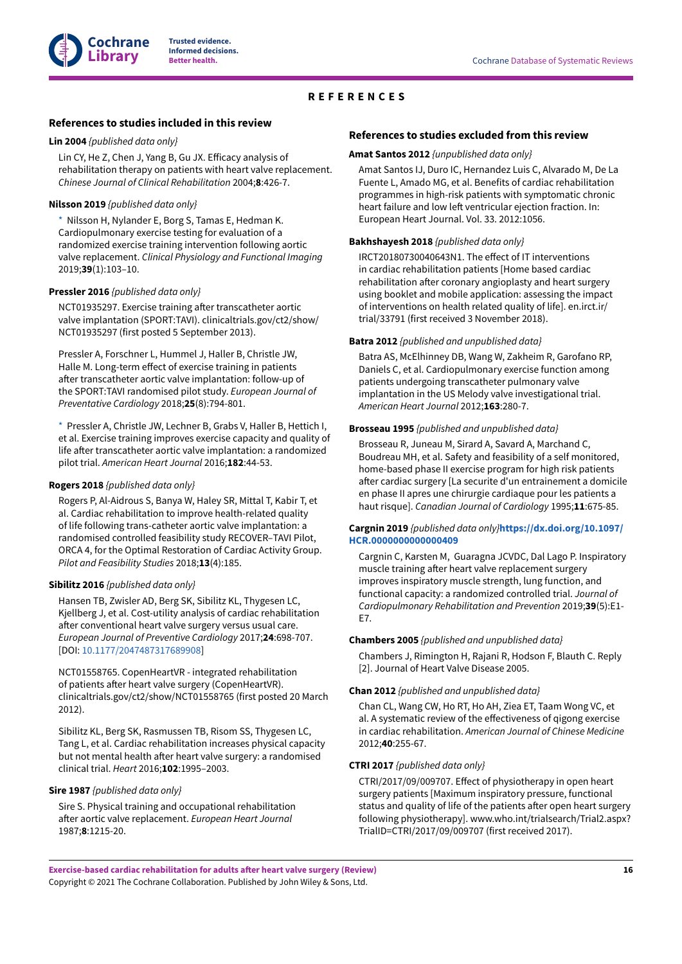## **REFERENCES**

## <span id="page-17-0"></span>**References to studies included in this review**

#### <span id="page-17-6"></span>**Lin 2004** *{published data only}*

Lin CY, He Z, Chen J, Yang B, Gu JX. Efficacy analysis of rehabilitation therapy on patients with heart valve replacement. *Chinese Journal of Clinical Rehabilitation* 2004;**8**:426-7.

#### <span id="page-17-3"></span>**Nilsson 2019** *{published data only}*

[\\*](#page-24-10)  Nilsson H, Nylander E, Borg S, Tamas E, Hedman K. Cardiopulmonary exercise testing for evaluation of a randomized exercise training intervention following aortic valve replacement. *Clinical Physiology and Functional Imaging* 2019;**39**(1):103–10.

#### <span id="page-17-4"></span>**Pressler 2016** *{published data only}*

NCT01935297. Exercise training after transcatheter aortic valve implantation (SPORT:TAVI). clinicaltrials.gov/ct2/show/ NCT01935297 (first posted 5 September 2013).

Pressler A, Forschner L, Hummel J, Haller B, Christle JW, Halle M. Long-term effect of exercise training in patients after transcatheter aortic valve implantation: follow-up of the SPORT:TAVI randomised pilot study. *European Journal of Preventative Cardiology* 2018;**25**(8):794-801.

[\\*](#page-24-10)  Pressler A, Christle JW, Lechner B, Grabs V, Haller B, Hettich I, et al. Exercise training improves exercise capacity and quality of life after transcatheter aortic valve implantation: a randomized pilot trial. *American Heart Journal* 2016;**182**:44-53.

## <span id="page-17-5"></span>**Rogers 2018** *{published data only}*

Rogers P, Al-Aidrous S, Banya W, Haley SR, Mittal T, Kabir T, et al. Cardiac rehabilitation to improve health-related quality of life following trans-catheter aortic valve implantation: a randomised controlled feasibility study RECOVER–TAVI Pilot, ORCA 4, for the Optimal Restoration of Cardiac Activity Group. *Pilot and Feasibility Studies* 2018;**13**(4):185.

## <span id="page-17-1"></span>**Sibilitz 2016** *{published data only}*

Hansen TB, Zwisler AD, Berg SK, Sibilitz KL, Thygesen LC, Kjellberg J, et al. Cost-utility analysis of cardiac rehabilitation after conventional heart valve surgery versus usual care. *European Journal of Preventive Cardiology* 2017;**24**:698-707. [DOI: [10.1177/2047487317689908](https://doi.org/10.1177%2F2047487317689908)]

NCT01558765. CopenHeartVR - integrated rehabilitation of patients after heart valve surgery (CopenHeartVR). clinicaltrials.gov/ct2/show/NCT01558765 (first posted 20 March 2012).

Sibilitz KL, Berg SK, Rasmussen TB, Risom SS, Thygesen LC, Tang L, et al. Cardiac rehabilitation increases physical capacity but not mental health after heart valve surgery: a randomised clinical trial. *Heart* 2016;**102**:1995–2003.

#### <span id="page-17-2"></span>**Sire 1987** *{published data only}*

Sire S. Physical training and occupational rehabilitation after aortic valve replacement. *European Heart Journal* 1987;**8**:1215-20.

## **References to studies excluded from this review**

#### <span id="page-17-7"></span>**Amat Santos 2012** *{unpublished data only}*

Amat Santos IJ, Duro IC, Hernandez Luis C, Alvarado M, De La Fuente L, Amado MG, et al. Benefits of cardiac rehabilitation programmes in high-risk patients with symptomatic chronic heart failure and low left ventricular ejection fraction. In: European Heart Journal. Vol. 33. 2012:1056.

#### <span id="page-17-8"></span>**Bakhshayesh 2018** *{published data only}*

IRCT20180730040643N1. The effect of IT interventions in cardiac rehabilitation patients [Home based cardiac rehabilitation after coronary angioplasty and heart surgery using booklet and mobile application: assessing the impact of interventions on health related quality of life]. en.irct.ir/ trial/33791 (first received 3 November 2018).

#### <span id="page-17-9"></span>**Batra 2012** *{published and unpublished data}*

Batra AS, McElhinney DB, Wang W, Zakheim R, Garofano RP, Daniels C, et al. Cardiopulmonary exercise function among patients undergoing transcatheter pulmonary valve implantation in the US Melody valve investigational trial. *American Heart Journal* 2012;**163**:280-7.

#### <span id="page-17-10"></span>**Brosseau 1995** *{published and unpublished data}*

Brosseau R, Juneau M, Sirard A, Savard A, Marchand C, Boudreau MH, et al. Safety and feasibility of a self monitored, home-based phase II exercise program for high risk patients after cardiac surgery [La securite d'un entrainement a domicile en phase II apres une chirurgie cardiaque pour les patients a haut risque]. *Canadian Journal of Cardiology* 1995;**11**:675-85.

#### <span id="page-17-11"></span>**Cargnin 2019** *{published data only}***[https://dx.doi.org/10.1097/](https://doi.org/https%3A%2F%2Fdx.doi.org%2F10.1097%2FHCR.0000000000000409) [HCR.0000000000000409](https://doi.org/https%3A%2F%2Fdx.doi.org%2F10.1097%2FHCR.0000000000000409)**

Cargnin C, Karsten M, Guaragna JCVDC, Dal Lago P. Inspiratory muscle training after heart valve replacement surgery improves inspiratory muscle strength, lung function, and functional capacity: a randomized controlled trial. *Journal of Cardiopulmonary Rehabilitation and Prevention* 2019;**39**(5):E1- E7.

#### <span id="page-17-12"></span>**Chambers 2005** *{published and unpublished data}*

Chambers J, Rimington H, Rajani R, Hodson F, Blauth C. Reply [2]. Journal of Heart Valve Disease 2005.

#### <span id="page-17-13"></span>**Chan 2012** *{published and unpublished data}*

Chan CL, Wang CW, Ho RT, Ho AH, Ziea ET, Taam Wong VC, et al. A systematic review of the effectiveness of qigong exercise in cardiac rehabilitation. *American Journal of Chinese Medicine* 2012;**40**:255-67.

#### <span id="page-17-14"></span>**CTRI 2017** *{published data only}*

CTRI/2017/09/009707. Effect of physiotherapy in open heart surgery patients [Maximum inspiratory pressure, functional status and quality of life of the patients after open heart surgery following physiotherapy]. www.who.int/trialsearch/Trial2.aspx? TrialID=CTRI/2017/09/009707 (first received 2017).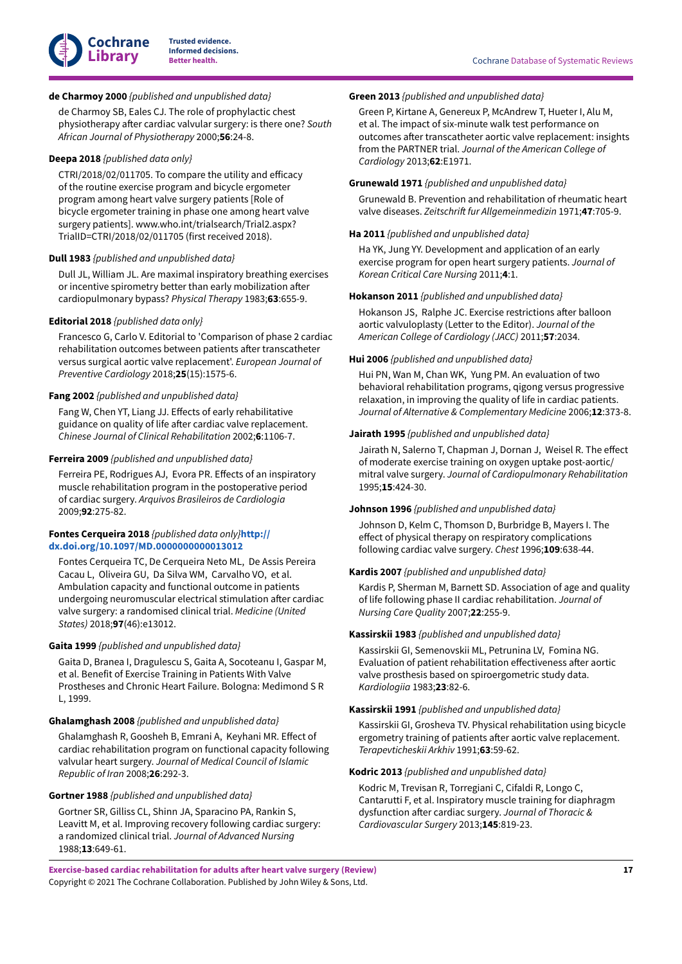

## <span id="page-18-0"></span>**de Charmoy 2000** *{published and unpublished data}*

de Charmoy SB, Eales CJ. The role of prophylactic chest physiotherapy after cardiac valvular surgery: is there one? South *African Journal of Physiotherapy* 2000;**56**:24-8.

#### <span id="page-18-1"></span>**Deepa 2018** *{published data only}*

 $CTRI/2018/02/011705$ . To compare the utility and efficacy of the routine exercise program and bicycle ergometer program among heart valve surgery patients [Role of bicycle ergometer training in phase one among heart valve surgery patients]. www.who.int/trialsearch/Trial2.aspx? TrialID=CTRI/2018/02/011705 (first received 2018).

#### <span id="page-18-2"></span>**Dull 1983** *{published and unpublished data}*

Dull JL, William JL. Are maximal inspiratory breathing exercises or incentive spirometry better than early mobilization after cardiopulmonary bypass? *Physical Therapy* 1983;**63**:655-9.

## <span id="page-18-3"></span>**Editorial 2018** *{published data only}*

Francesco G, Carlo V. Editorial to 'Comparison of phase 2 cardiac rehabilitation outcomes between patients after transcatheter versus surgical aortic valve replacement'. *European Journal of Preventive Cardiology* 2018;**25**(15):1575-6.

#### <span id="page-18-4"></span>**Fang 2002** *{published and unpublished data}*

Fang W, Chen YT, Liang JJ. Effects of early rehabilitative guidance on quality of life after cardiac valve replacement. *Chinese Journal of Clinical Rehabilitation* 2002;**6**:1106-7.

## <span id="page-18-5"></span>**Ferreira 2009** *{published and unpublished data}*

Ferreira PE, Rodrigues AJ, Evora PR. Effects of an inspiratory muscle rehabilitation program in the postoperative period of cardiac surgery. *Arquivos Brasileiros de Cardiologia* 2009;**92**:275-82.

## <span id="page-18-6"></span>**Fontes Cerqueira 2018** *{published data only}***[http://](https://doi.org/http%3A%2F%2Fdx.doi.org%2F10.1097%2FMD.0000000000013012) [dx.doi.org/10.1097/MD.0000000000013012](https://doi.org/http%3A%2F%2Fdx.doi.org%2F10.1097%2FMD.0000000000013012)**

Fontes Cerqueira TC, De Cerqueira Neto ML, De Assis Pereira Cacau L, Oliveira GU, Da Silva WM, Carvalho VO, et al. Ambulation capacity and functional outcome in patients undergoing neuromuscular electrical stimulation after cardiac valve surgery: a randomised clinical trial. *Medicine (United States)* 2018;**97**(46):e13012.

## <span id="page-18-7"></span>**Gaita 1999** *{published and unpublished data}*

Gaita D, Branea I, Dragulescu S, Gaita A, Socoteanu I, Gaspar M, et al. Benefit of Exercise Training in Patients With Valve Prostheses and Chronic Heart Failure. Bologna: Medimond S R L, 1999.

#### <span id="page-18-8"></span>**Ghalamghash 2008** *{published and unpublished data}*

Ghalamghash R, Goosheh B, Emrani A, Keyhani MR, Effect of cardiac rehabilitation program on functional capacity following valvular heart surgery. *Journal of Medical Council of Islamic Republic of Iran* 2008;**26**:292-3.

#### <span id="page-18-9"></span>**Gortner 1988** *{published and unpublished data}*

Gortner SR, Gilliss CL, Shinn JA, Sparacino PA, Rankin S, Leavitt M, et al. Improving recovery following cardiac surgery: a randomized clinical trial. *Journal of Advanced Nursing* 1988;**13**:649-61.

#### <span id="page-18-10"></span>**Green 2013** *{published and unpublished data}*

Green P, Kirtane A, Genereux P, McAndrew T, Hueter I, Alu M, et al. The impact of six-minute walk test performance on outcomes after transcatheter aortic valve replacement: insights from the PARTNER trial. *Journal of the American College of Cardiology* 2013;**62**:E1971.

## <span id="page-18-11"></span>**Grunewald 1971** *{published and unpublished data}*

Grunewald B. Prevention and rehabilitation of rheumatic heart valve diseases. Zeitschrift fur Allgemeinmedizin 1971;47:705-9.

#### <span id="page-18-12"></span>**Ha 2011** *{published and unpublished data}*

Ha YK, Jung YY. Development and application of an early exercise program for open heart surgery patients. *Journal of Korean Critical Care Nursing* 2011;**4**:1.

## <span id="page-18-13"></span>**Hokanson 2011** *{published and unpublished data}*

Hokanson JS, Ralphe JC. Exercise restrictions after balloon aortic valvuloplasty (Letter to the Editor). *Journal of the American College of Cardiology (JACC)* 2011;**57**:2034.

#### <span id="page-18-14"></span>**Hui 2006** *{published and unpublished data}*

Hui PN, Wan M, Chan WK, Yung PM. An evaluation of two behavioral rehabilitation programs, qigong versus progressive relaxation, in improving the quality of life in cardiac patients. *Journal of Alternative & Complementary Medicine* 2006;**12**:373-8.

## <span id="page-18-15"></span>**Jairath 1995** *{published and unpublished data}*

Jairath N, Salerno T, Chapman J, Dornan J, Weisel R. The effect of moderate exercise training on oxygen uptake post-aortic/ mitral valve surgery. *Journal of Cardiopulmonary Rehabilitation* 1995;**15**:424-30.

#### <span id="page-18-16"></span>**Johnson 1996** *{published and unpublished data}*

Johnson D, Kelm C, Thomson D, Burbridge B, Mayers I. The effect of physical therapy on respiratory complications following cardiac valve surgery. *Chest* 1996;**109**:638-44.

#### <span id="page-18-17"></span>**Kardis 2007** *{published and unpublished data}*

Kardis P, Sherman M, Barnett SD. Association of age and quality of life following phase II cardiac rehabilitation. *Journal of Nursing Care Quality* 2007;**22**:255-9.

#### <span id="page-18-18"></span>**Kassirskii 1983** *{published and unpublished data}*

Kassirskii GI, Semenovskii ML, Petrunina LV, Fomina NG. Evaluation of patient rehabilitation effectiveness after aortic valve prosthesis based on spiroergometric study data. *Kardiologiia* 1983;**23**:82-6.

#### <span id="page-18-19"></span>**Kassirskii 1991** *{published and unpublished data}*

Kassirskii GI, Grosheva TV. Physical rehabilitation using bicycle ergometry training of patients after aortic valve replacement. *Terapevticheskii Arkhiv* 1991;**63**:59-62.

## <span id="page-18-20"></span>**Kodric 2013** *{published and unpublished data}*

Kodric M, Trevisan R, Torregiani C, Cifaldi R, Longo C, Cantarutti F, et al. Inspiratory muscle training for diaphragm dysfunction after cardiac surgery. Journal of Thoracic & *Cardiovascular Surgery* 2013;**145**:819-23.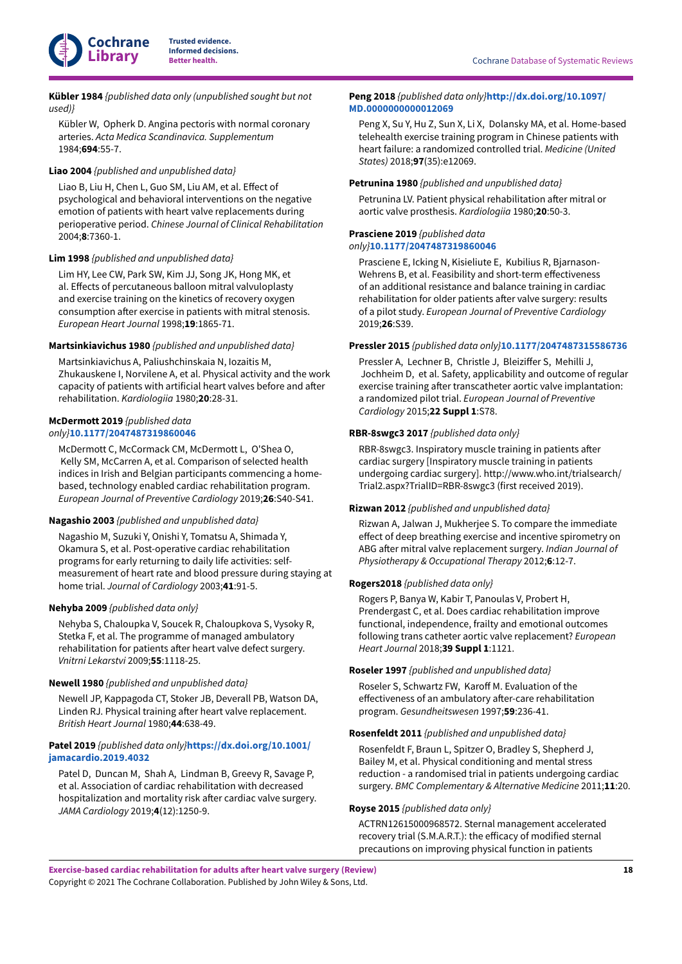

<span id="page-19-2"></span>**Kübler 1984** *{published data only (unpublished sought but not used)}*

Kübler W, Opherk D. Angina pectoris with normal coronary arteries. *Acta Medica Scandinavica. Supplementum* 1984;**694**:55-7.

## <span id="page-19-3"></span>**Liao 2004** *{published and unpublished data}*

Liao B, Liu H, Chen L, Guo SM, Liu AM, et al. Effect of psychological and behavioral interventions on the negative emotion of patients with heart valve replacements during perioperative period. *Chinese Journal of Clinical Rehabilitation* 2004;**8**:7360-1.

#### <span id="page-19-4"></span>**Lim 1998** *{published and unpublished data}*

Lim HY, Lee CW, Park SW, Kim JJ, Song JK, Hong MK, et al. Effects of percutaneous balloon mitral valvuloplasty and exercise training on the kinetics of recovery oxygen consumption after exercise in patients with mitral stenosis. *European Heart Journal* 1998;**19**:1865-71.

#### <span id="page-19-5"></span>**Martsinkiavichus 1980** *{published and unpublished data}*

Martsinkiavichus A, Paliushchinskaia N, Iozaitis M, Zhukauskene I, Norvilene A, et al. Physical activity and the work capacity of patients with artificial heart valves before and after rehabilitation. *Kardiologiia* 1980;**20**:28-31.

## <span id="page-19-6"></span>**McDermott 2019** *{published data*

*only}***[10.1177/2047487319860046](https://doi.org/10.1177%2F2047487319860046)**

McDermott C, McCormack CM, McDermott L, O'Shea O, Kelly SM, McCarren A, et al. Comparison of selected health indices in Irish and Belgian participants commencing a homebased, technology enabled cardiac rehabilitation program. *European Journal of Preventive Cardiology* 2019;**26**:S40-S41.

### <span id="page-19-7"></span>**Nagashio 2003** *{published and unpublished data}*

Nagashio M, Suzuki Y, Onishi Y, Tomatsu A, Shimada Y, Okamura S, et al. Post-operative cardiac rehabilitation programs for early returning to daily life activities: selfmeasurement of heart rate and blood pressure during staying at home trial. *Journal of Cardiology* 2003;**41**:91-5.

## <span id="page-19-8"></span>**Nehyba 2009** *{published data only}*

Nehyba S, Chaloupka V, Soucek R, Chaloupkova S, Vysoky R, Stetka F, et al. The programme of managed ambulatory rehabilitation for patients after heart valve defect surgery. *Vnitrni Lekarstvi* 2009;**55**:1118-25.

#### <span id="page-19-1"></span>**Newell 1980** *{published and unpublished data}*

Newell JP, Kappagoda CT, Stoker JB, Deverall PB, Watson DA, Linden RJ. Physical training after heart valve replacement. *British Heart Journal* 1980;**44**:638-49.

## <span id="page-19-0"></span>**Patel 2019** *{published data only}***[https://dx.doi.org/10.1001/](https://doi.org/https%3A%2F%2Fdx.doi.org%2F10.1001%2Fjamacardio.2019.4032) [jamacardio.2019.4032](https://doi.org/https%3A%2F%2Fdx.doi.org%2F10.1001%2Fjamacardio.2019.4032)**

Patel D, Duncan M, Shah A, Lindman B, Greevy R, Savage P, et al. Association of cardiac rehabilitation with decreased hospitalization and mortality risk after cardiac valve surgery. *JAMA Cardiology* 2019;**4**(12):1250-9.

### <span id="page-19-9"></span>**Peng 2018** *{published data only}***[http://dx.doi.org/10.1097/](https://doi.org/http%3A%2F%2Fdx.doi.org%2F10.1097%2FMD.0000000000012069) [MD.0000000000012069](https://doi.org/http%3A%2F%2Fdx.doi.org%2F10.1097%2FMD.0000000000012069)**

Peng X, Su Y, Hu Z, Sun X, Li X, Dolansky MA, et al. Home-based telehealth exercise training program in Chinese patients with heart failure: a randomized controlled trial. *Medicine (United States)* 2018;**97**(35):e12069.

#### <span id="page-19-10"></span>**Petrunina 1980** *{published and unpublished data}*

Petrunina LV. Patient physical rehabilitation after mitral or aortic valve prosthesis. *Kardiologiia* 1980;**20**:50-3.

#### <span id="page-19-11"></span>**Prasciene 2019** *{published data only}***[10.1177/2047487319860046](https://doi.org/10.1177%2F2047487319860046)**

Prasciene E, Icking N, Kisieliute E, Kubilius R, Bjarnason-Wehrens B, et al. Feasibility and short-term effectiveness of an additional resistance and balance training in cardiac rehabilitation for older patients after valve surgery: results of a pilot study. *European Journal of Preventive Cardiology* 2019;**26**:S39.

#### <span id="page-19-12"></span>**Pressler 2015** *{published data only}***[10.1177/2047487315586736](https://doi.org/10.1177%2F2047487315586736)**

Pressler A, Lechner B, Christle J, Bleiziffer S, Mehilli J, Jochheim D, et al. Safety, applicability and outcome of regular exercise training after transcatheter aortic valve implantation: a randomized pilot trial. *European Journal of Preventive Cardiology* 2015;**22 Suppl 1**:S78.

## <span id="page-19-13"></span>**RBR-8swgc3 2017** *{published data only}*

RBR-8swgc3. Inspiratory muscle training in patients after cardiac surgery [Inspiratory muscle training in patients undergoing cardiac surgery]. http://www.who.int/trialsearch/ Trial2.aspx?TrialID=RBR-8swgc3 (first received 2019).

#### <span id="page-19-14"></span>**Rizwan 2012** *{published and unpublished data}*

Rizwan A, Jalwan J, Mukherjee S. To compare the immediate effect of deep breathing exercise and incentive spirometry on ABG after mitral valve replacement surgery. *Indian Journal of Physiotherapy & Occupational Therapy* 2012;**6**:12-7.

#### <span id="page-19-15"></span>**Rogers2018** *{published data only}*

Rogers P, Banya W, Kabir T, Panoulas V, Probert H, Prendergast C, et al. Does cardiac rehabilitation improve functional, independence, frailty and emotional outcomes following trans catheter aortic valve replacement? *European Heart Journal* 2018;**39 Suppl 1**:1121.

#### <span id="page-19-16"></span>**Roseler 1997** *{published and unpublished data}*

Roseler S, Schwartz FW, Karoff M. Evaluation of the effectiveness of an ambulatory after-care rehabilitation program. *Gesundheitswesen* 1997;**59**:236-41.

## <span id="page-19-17"></span>**Rosenfeldt 2011** *{published and unpublished data}*

Rosenfeldt F, Braun L, Spitzer O, Bradley S, Shepherd J, Bailey M, et al. Physical conditioning and mental stress reduction - a randomised trial in patients undergoing cardiac surgery. *BMC Complementary & Alternative Medicine* 2011;**11**:20.

#### <span id="page-19-18"></span>**Royse 2015** *{published data only}*

ACTRN12615000968572. Sternal management accelerated recovery trial (S.M.A.R.T.): the efficacy of modified sternal precautions on improving physical function in patients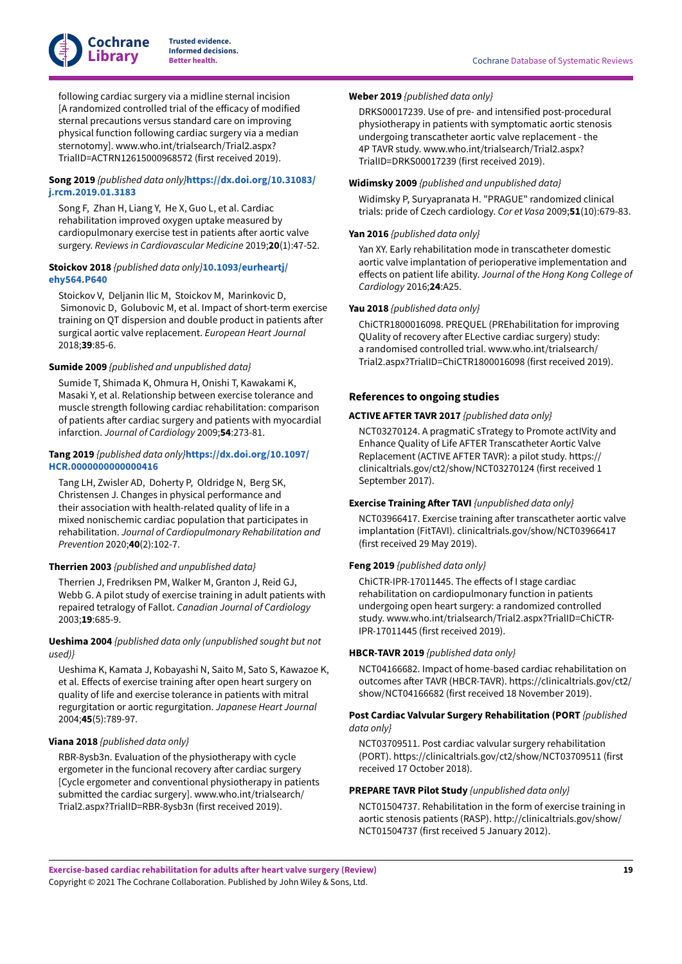

following cardiac surgery via a midline sternal incision [A randomized controlled trial of the efficacy of modified sternal precautions versus standard care on improving physical function following cardiac surgery via a median sternotomy]. www.who.int/trialsearch/Trial2.aspx? TrialID=ACTRN12615000968572 (first received 2019).

## <span id="page-20-6"></span>**Song 2019** *{published data only}***[https://dx.doi.org/10.31083/](https://doi.org/https%3A%2F%2Fdx.doi.org%2F10.31083%2Fj.rcm.2019.01.3183) [j.rcm.2019.01.3183](https://doi.org/https%3A%2F%2Fdx.doi.org%2F10.31083%2Fj.rcm.2019.01.3183)**

Song F, Zhan H, Liang Y, He X, Guo L, et al. Cardiac rehabilitation improved oxygen uptake measured by cardiopulmonary exercise test in patients after aortic valve surgery. *Reviews in Cardiovascular Medicine* 2019;**20**(1):47-52.

## <span id="page-20-7"></span>**Stoickov 2018** *{published data only}***[10.1093/eurheartj/](https://doi.org/10.1093%2Feurheartj%2Fehy564.P640) [ehy564.P640](https://doi.org/10.1093%2Feurheartj%2Fehy564.P640)**

Stoickov V, Deljanin Ilic M, Stoickov M, Marinkovic D, Simonovic D, Golubovic M, et al. Impact of short-term exercise training on QT dispersion and double product in patients after surgical aortic valve replacement. *European Heart Journal* 2018;**39**:85-6.

## <span id="page-20-8"></span>**Sumide 2009** *{published and unpublished data}*

Sumide T, Shimada K, Ohmura H, Onishi T, Kawakami K, Masaki Y, et al. Relationship between exercise tolerance and muscle strength following cardiac rehabilitation: comparison of patients after cardiac surgery and patients with myocardial infarction. *Journal of Cardiology* 2009;**54**:273-81.

## <span id="page-20-9"></span>**Tang 2019** *{published data only}***[https://dx.doi.org/10.1097/](https://doi.org/https%3A%2F%2Fdx.doi.org%2F10.1097%2FHCR.0000000000000416) [HCR.0000000000000416](https://doi.org/https%3A%2F%2Fdx.doi.org%2F10.1097%2FHCR.0000000000000416)**

Tang LH, Zwisler AD, Doherty P, Oldridge N, Berg SK, Christensen J. Changes in physical performance and their association with health-related quality of life in a mixed nonischemic cardiac population that participates in rehabilitation. *Journal of Cardiopulmonary Rehabilitation and Prevention* 2020;**40**(2):102-7.

## <span id="page-20-10"></span>**Therrien 2003** *{published and unpublished data}*

Therrien J, Fredriksen PM, Walker M, Granton J, Reid GJ, Webb G. A pilot study of exercise training in adult patients with repaired tetralogy of Fallot. *Canadian Journal of Cardiology* 2003;**19**:685-9.

## <span id="page-20-11"></span>**Ueshima 2004** *{published data only (unpublished sought but not used)}*

Ueshima K, Kamata J, Kobayashi N, Saito M, Sato S, Kawazoe K, et al. Effects of exercise training after open heart surgery on quality of life and exercise tolerance in patients with mitral regurgitation or aortic regurgitation. *Japanese Heart Journal* 2004;**45**(5):789-97.

## <span id="page-20-12"></span>**Viana 2018** *{published data only}*

RBR-8ysb3n. Evaluation of the physiotherapy with cycle ergometer in the funcional recovery after cardiac surgery [Cycle ergometer and conventional physiotherapy in patients submitted the cardiac surgery]. www.who.int/trialsearch/ Trial2.aspx?TrialID=RBR-8ysb3n (first received 2019).

## <span id="page-20-13"></span>**Weber 2019** *{published data only}*

DRKS00017239. Use of pre- and intensified post-procedural physiotherapy in patients with symptomatic aortic stenosis undergoing transcatheter aortic valve replacement - the 4P TAVR study. www.who.int/trialsearch/Trial2.aspx? TrialID=DRKS00017239 (first received 2019).

## <span id="page-20-14"></span>**Widimsky 2009** *{published and unpublished data}*

Widimsky P, Suryapranata H. "PRAGUE" randomized clinical trials: pride of Czech cardiology. *Cor et Vasa* 2009;**51**(10):679-83.

## <span id="page-20-15"></span>**Yan 2016** *{published data only}*

Yan XY. Early rehabilitation mode in transcatheter domestic aortic valve implantation of perioperative implementation and effects on patient life ability. *Journal of the Hong Kong College of Cardiology* 2016;**24**:A25.

## <span id="page-20-16"></span>**Yau 2018** *{published data only}*

ChiCTR1800016098. PREQUEL (PREhabilitation for improving QUality of recovery after ELective cardiac surgery) study: a randomised controlled trial. www.who.int/trialsearch/ Trial2.aspx?TrialID=ChiCTR1800016098 (first received 2019).

## **References to ongoing studies**

## <span id="page-20-0"></span>**ACTIVE AFTER TAVR 2017** *{published data only}*

NCT03270124. A pragmatiC sTrategy to Promote actIVity and Enhance Quality of Life AFTER Transcatheter Aortic Valve Replacement (ACTIVE AFTER TAVR): a pilot study. https:// clinicaltrials.gov/ct2/show/NCT03270124 (first received 1 September 2017).

## <span id="page-20-1"></span>**Exercise Training After TAVI** *{unpublished data only}*

NCT03966417. Exercise training after transcatheter aortic valve implantation (FitTAVI). clinicaltrials.gov/show/NCT03966417 (first received 29 May 2019).

## <span id="page-20-2"></span>**Feng 2019** *{published data only}*

ChiCTR-IPR-17011445. The effects of I stage cardiac rehabilitation on cardiopulmonary function in patients undergoing open heart surgery: a randomized controlled study. www.who.int/trialsearch/Trial2.aspx?TrialID=ChiCTR-IPR-17011445 (first received 2019).

## <span id="page-20-3"></span>**HBCR-TAVR 2019** *{published data only}*

NCT04166682. Impact of home-based cardiac rehabilitation on outcomes after TAVR (HBCR-TAVR). https://clinicaltrials.gov/ct2/ show/NCT04166682 (first received 18 November 2019).

## <span id="page-20-4"></span>**Post Cardiac Valvular Surgery Rehabilitation (PORT** *{published data only}*

NCT03709511. Post cardiac valvular surgery rehabilitation (PORT). https://clinicaltrials.gov/ct2/show/NCT03709511 (first received 17 October 2018).

#### <span id="page-20-5"></span>**PREPARE TAVR Pilot Study** *{unpublished data only}*

NCT01504737. Rehabilitation in the form of exercise training in aortic stenosis patients (RASP). http://clinicaltrials.gov/show/ NCT01504737 (first received 5 January 2012).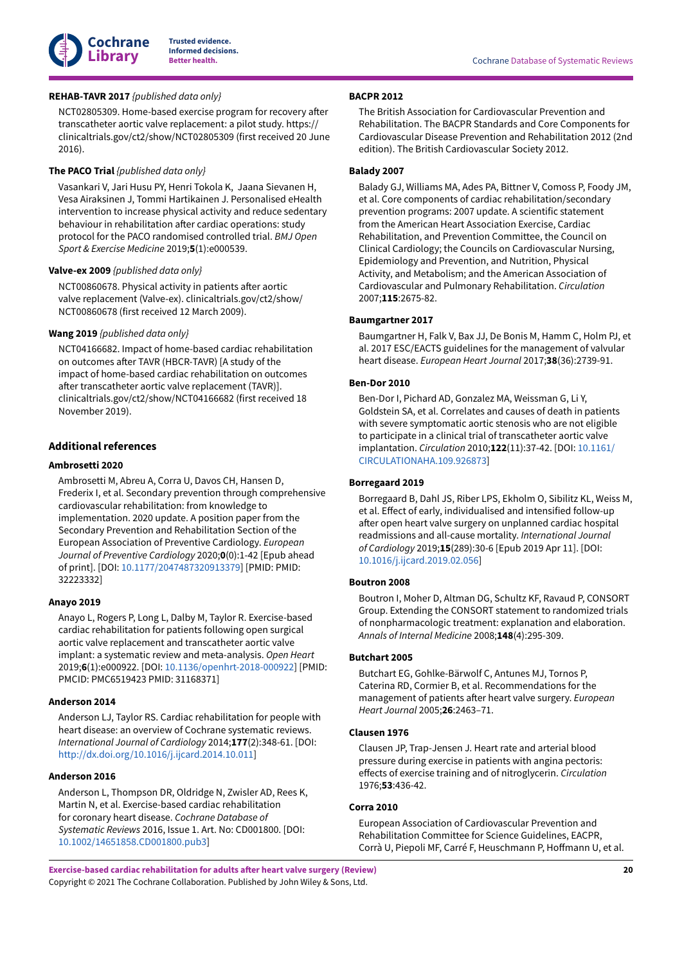

## <span id="page-21-10"></span>**REHAB-TAVR 2017** *{published data only}*

NCT02805309. Home-based exercise program for recovery after transcatheter aortic valve replacement: a pilot study. https:// clinicaltrials.gov/ct2/show/NCT02805309 (first received 20 June 2016).

## <span id="page-21-11"></span>**The PACO Trial** *{published data only}*

Vasankari V, Jari Husu PY, Henri Tokola K, Jaana Sievanen H, Vesa Airaksinen J, Tommi Hartikainen J. Personalised eHealth intervention to increase physical activity and reduce sedentary behaviour in rehabilitation after cardiac operations: study protocol for the PACO randomised controlled trial. *BMJ Open Sport & Exercise Medicine* 2019;**5**(1):e000539.

#### <span id="page-21-12"></span>**Valve-ex 2009** *{published data only}*

NCT00860678. Physical activity in patients after aortic valve replacement (Valve-ex). clinicaltrials.gov/ct2/show/ NCT00860678 (first received 12 March 2009).

## <span id="page-21-13"></span>**Wang 2019** *{published data only}*

NCT04166682. Impact of home-based cardiac rehabilitation on outcomes after TAVR (HBCR-TAVR) [A study of the impact of home-based cardiac rehabilitation on outcomes after transcatheter aortic valve replacement (TAVR)]. clinicaltrials.gov/ct2/show/NCT04166682 (first received 18 November 2019).

## **Additional references**

#### <span id="page-21-3"></span>**Ambrosetti 2020**

Ambrosetti M, Abreu A, Corra U, Davos CH, Hansen D, Frederix I, et al. Secondary prevention through comprehensive cardiovascular rehabilitation: from knowledge to implementation. 2020 update. A position paper from the Secondary Prevention and Rehabilitation Section of the European Association of Preventive Cardiology. *European Journal of Preventive Cardiology* 2020;**0**(0):1-42 [Epub ahead of print]. [DOI: [10.1177/2047487320913379\]](https://doi.org/10.1177%2F2047487320913379) [PMID: PMID: 32223332]

#### <span id="page-21-7"></span>**Anayo 2019**

Anayo L, Rogers P, Long L, Dalby M, Taylor R. Exercise-based cardiac rehabilitation for patients following open surgical aortic valve replacement and transcatheter aortic valve implant: a systematic review and meta-analysis. *Open Heart* 2019;**6**(1):e000922. [DOI: [10.1136/openhrt-2018-000922\]](https://doi.org/10.1136%2Fopenhrt-2018-000922) [PMID: PMCID: PMC6519423 PMID: 31168371]

### <span id="page-21-15"></span>**Anderson 2014**

Anderson LJ, Taylor RS. Cardiac rehabilitation for people with heart disease: an overview of Cochrane systematic reviews. *International Journal of Cardiology* 2014;**177**(2):348-61. [DOI: [http://dx.doi.org/10.1016/j.ijcard.2014.10.011](https://doi.org/http%3A%2F%2Fdx.doi.org%2F10.1016%2Fj.ijcard.2014.10.011)]

#### <span id="page-21-9"></span>**Anderson 2016**

Anderson L, Thompson DR, Oldridge N, Zwisler AD, Rees K, Martin N, et al. Exercise-based cardiac rehabilitation for coronary heart disease. *Cochrane Database of Systematic Reviews* 2016, Issue 1. Art. No: CD001800. [DOI: [10.1002/14651858.CD001800.pub3](https://doi.org/10.1002%2F14651858.CD001800.pub3)]

## <span id="page-21-5"></span>**BACPR 2012**

The British Association for Cardiovascular Prevention and Rehabilitation. The BACPR Standards and Core Components for Cardiovascular Disease Prevention and Rehabilitation 2012 (2nd edition). The British Cardiovascular Society 2012.

## <span id="page-21-6"></span>**Balady 2007**

Balady GJ, Williams MA, Ades PA, Bittner V, Comoss P, Foody JM, et al. Core components of cardiac rehabilitation/secondary prevention programs: 2007 update. A scientific statement from the American Heart Association Exercise, Cardiac Rehabilitation, and Prevention Committee, the Council on Clinical Cardiology; the Councils on Cardiovascular Nursing, Epidemiology and Prevention, and Nutrition, Physical Activity, and Metabolism; and the American Association of Cardiovascular and Pulmonary Rehabilitation. *Circulation* 2007;**115**:2675-82.

### <span id="page-21-0"></span>**Baumgartner 2017**

Baumgartner H, Falk V, Bax JJ, De Bonis M, Hamm C, Holm PJ, et al. 2017 ESC/EACTS guidelines for the management of valvular heart disease. *European Heart Journal* 2017;**38**(36):2739-91.

## <span id="page-21-1"></span>**Ben-Dor 2010**

Ben-Dor I, Pichard AD, Gonzalez MA, Weissman G, Li Y, Goldstein SA, et al. Correlates and causes of death in patients with severe symptomatic aortic stenosis who are not eligible to participate in a clinical trial of transcatheter aortic valve implantation. *Circulation* 2010;**122**(11):37-42. [DOI: [10.1161/](https://doi.org/10.1161%2FCIRCULATIONAHA.109.926873) [CIRCULATIONAHA.109.926873\]](https://doi.org/10.1161%2FCIRCULATIONAHA.109.926873)

## <span id="page-21-2"></span>**Borregaard 2019**

Borregaard B, Dahl JS, Riber LPS, Ekholm O, Sibilitz KL, Weiss M, et al. Effect of early, individualised and intensified follow-up after open heart valve surgery on unplanned cardiac hospital readmissions and all-cause mortality. *International Journal of Cardiology* 2019;**15**(289):30-6 [Epub 2019 Apr 11]. [DOI: [10.1016/j.ijcard.2019.02.056\]](https://doi.org/10.1016%2Fj.ijcard.2019.02.056)

#### <span id="page-21-16"></span>**Boutron 2008**

Boutron I, Moher D, Altman DG, Schultz KF, Ravaud P, CONSORT Group. Extending the CONSORT statement to randomized trials of nonpharmacologic treatment: explanation and elaboration. *Annals of Internal Medicine* 2008;**148**(4):295-309.

#### <span id="page-21-4"></span>**Butchart 2005**

Butchart EG, Gohlke-Bärwolf C, Antunes MJ, Tornos P, Caterina RD, Cormier B, et al. Recommendations for the management of patients after heart valve surgery. *European Heart Journal* 2005;**26**:2463–71.

## <span id="page-21-8"></span>**Clausen 1976**

Clausen JP, Trap-Jensen J. Heart rate and arterial blood pressure during exercise in patients with angina pectoris: effects of exercise training and of nitroglycerin. *Circulation* 1976;**53**:436-42.

## <span id="page-21-14"></span>**Corra 2010**

European Association of Cardiovascular Prevention and Rehabilitation Committee for Science Guidelines, EACPR, Corrà U, Piepoli MF, Carré F, Heuschmann P, Hoffmann U, et al.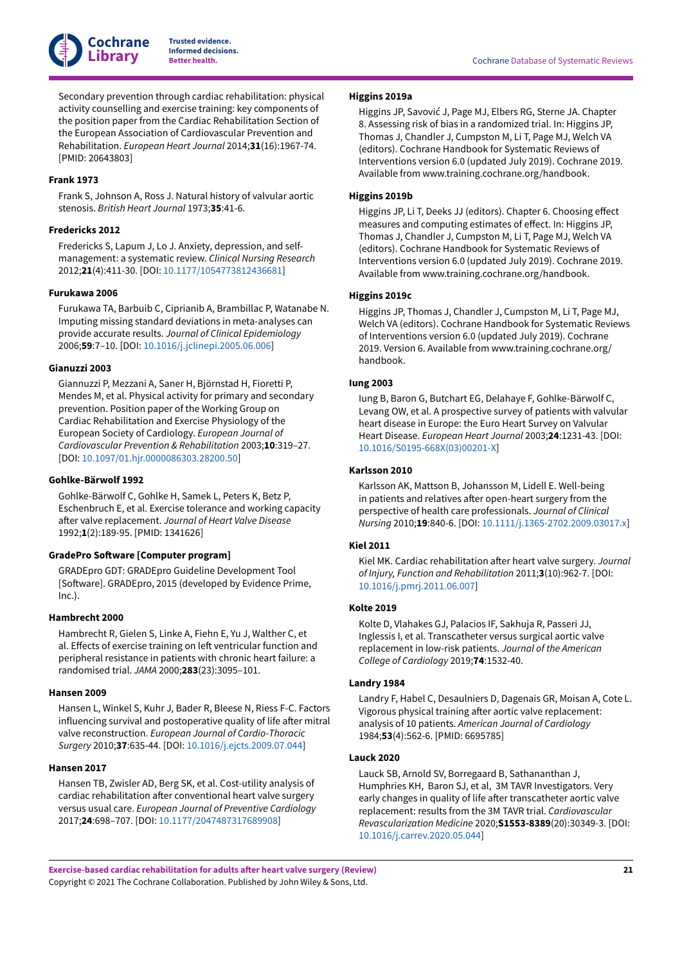

Secondary prevention through cardiac rehabilitation: physical activity counselling and exercise training: key components of the position paper from the Cardiac Rehabilitation Section of the European Association of Cardiovascular Prevention and Rehabilitation. *European Heart Journal* 2014;**31**(16):1967-74. [PMID: 20643803]

## <span id="page-22-1"></span>**Frank 1973**

Frank S, Johnson A, Ross J. Natural history of valvular aortic stenosis. *British Heart Journal* 1973;**35**:41-6.

#### <span id="page-22-5"></span>**Fredericks 2012**

Fredericks S, Lapum J, Lo J. Anxiety, depression, and selfmanagement: a systematic review. *Clinical Nursing Research* 2012;**21**(4):411-30. [DOI: [10.1177/1054773812436681](https://doi.org/10.1177%2F1054773812436681)]

#### <span id="page-22-15"></span>**Furukawa 2006**

Furukawa TA, Barbuib C, Ciprianib A, Brambillac P, Watanabe N. Imputing missing standard deviations in meta-analyses can provide accurate results. *Journal of Clinical Epidemiology* 2006;**59**:7–10. [DOI: [10.1016/j.jclinepi.2005.06.006\]](https://doi.org/10.1016%2Fj.jclinepi.2005.06.006)

#### <span id="page-22-7"></span>**Gianuzzi 2003**

Giannuzzi P, Mezzani A, Saner H, Björnstad H, Fioretti P, Mendes M, et al. Physical activity for primary and secondary prevention. Position paper of the Working Group on Cardiac Rehabilitation and Exercise Physiology of the European Society of Cardiology. *European Journal of Cardiovascular Prevention & Rehabilitation* 2003;**10**:319–27. [DOI: [10.1097/01.hjr.0000086303.28200.50\]](https://doi.org/10.1097%2F01.hjr.0000086303.28200.50)

## <span id="page-22-8"></span>**Gohlke-Bärwolf 1992**

Gohlke-Bärwolf C, Gohlke H, Samek L, Peters K, Betz P, Eschenbruch E, et al. Exercise tolerance and working capacity a)er valve replacement. *Journal of Heart Valve Disease* 1992;**1**(2):189-95. [PMID: 1341626]

### <span id="page-22-16"></span> $GradePro$  **Software** [Computer program]

GRADEpro GDT: GRADEpro Guideline Development Tool [Software]. GRADEpro, 2015 (developed by Evidence Prime, Inc.).

### <span id="page-22-10"></span>**Hambrecht 2000**

Hambrecht R, Gielen S, Linke A, Fiehn E, Yu J, Walther C, et al. Effects of exercise training on left ventricular function and peripheral resistance in patients with chronic heart failure: a randomised trial. *JAMA* 2000;**283**(23):3095–101.

#### <span id="page-22-4"></span>**Hansen 2009**

Hansen L, Winkel S, Kuhr J, Bader R, Bleese N, Riess F-C. Factors influencing survival and postoperative quality of life after mitral valve reconstruction. *European Journal of Cardio-Thoracic Surgery* 2010;**37**:635-44. [DOI: [10.1016/j.ejcts.2009.07.044](https://doi.org/10.1016%2Fj.ejcts.2009.07.044)]

#### <span id="page-22-17"></span>**Hansen 2017**

Hansen TB, Zwisler AD, Berg SK, et al. Cost-utility analysis of cardiac rehabilitation after conventional heart valve surgery versus usual care. *European Journal of Preventive Cardiology* 2017;**24**:698–707. [DOI: [10.1177/2047487317689908\]](https://doi.org/10.1177%2F2047487317689908)

#### <span id="page-22-12"></span>**Higgins 2019a**

Higgins JP, Savović J, Page MJ, Elbers RG, Sterne JA. Chapter 8. Assessing risk of bias in a randomized trial. In: Higgins JP, Thomas J, Chandler J, Cumpston M, Li T, Page MJ, Welch VA (editors). Cochrane Handbook for Systematic Reviews of Interventions version 6.0 (updated July 2019). Cochrane 2019. Available from www.training.cochrane.org/handbook.

#### <span id="page-22-14"></span>**Higgins 2019b**

Higgins JP, Li T, Deeks JJ (editors). Chapter 6. Choosing effect measures and computing estimates of effect. In: Higgins JP, Thomas J, Chandler J, Cumpston M, Li T, Page MJ, Welch VA (editors). Cochrane Handbook for Systematic Reviews of Interventions version 6.0 (updated July 2019). Cochrane 2019. Available from www.training.cochrane.org/handbook.

## <span id="page-22-13"></span>**Higgins 2019c**

Higgins JP, Thomas J, Chandler J, Cumpston M, Li T, Page MJ, Welch VA (editors). Cochrane Handbook for Systematic Reviews of Interventions version 6.0 (updated July 2019). Cochrane 2019. Version 6. Available from www.training.cochrane.org/ handbook.

## <span id="page-22-0"></span>**Iung 2003**

Iung B, Baron G, Butchart EG, Delahaye F, Gohlke-Bärwolf C, Levang OW, et al. A prospective survey of patients with valvular heart disease in Europe: the Euro Heart Survey on Valvular Heart Disease. *European Heart Journal* 2003;**24**:1231-43. [DOI: [10.1016/S0195-668X\(03\)00201-X](https://doi.org/10.1016%2FS0195-668X%2803%2900201-X)]

### <span id="page-22-3"></span>**Karlsson 2010**

Karlsson AK, Mattson B, Johansson M, Lidell E. Well-being in patients and relatives after open-heart surgery from the perspective of health care professionals. *Journal of Clinical Nursing* 2010;**19**:840-6. [DOI: [10.1111/j.1365-2702.2009.03017.x](https://doi.org/10.1111%2Fj.1365-2702.2009.03017.x)]

## <span id="page-22-11"></span>**Kiel 2011**

Kiel MK. Cardiac rehabilitation after heart valve surgery. *Journal of Injury, Function and Rehabilitation* 2011;**3**(10):962-7. [DOI: [10.1016/j.pmrj.2011.06.007\]](https://doi.org/10.1016%2Fj.pmrj.2011.06.007)

## <span id="page-22-2"></span>**Kolte 2019**

Kolte D, Vlahakes GJ, Palacios IF, Sakhuja R, Passeri JJ, Inglessis I, et al. Transcatheter versus surgical aortic valve replacement in low-risk patients. *Journal of the American College of Cardiology* 2019;**74**:1532-40.

## <span id="page-22-9"></span>**Landry 1984**

Landry F, Habel C, Desaulniers D, Dagenais GR, Moisan A, Cote L. Vigorous physical training after aortic valve replacement: analysis of 10 patients. *American Journal of Cardiology* 1984;**53**(4):562-6. [PMID: 6695785]

#### <span id="page-22-6"></span>**Lauck 2020**

Lauck SB, Arnold SV, Borregaard B, Sathananthan J, Humphries KH, Baron SJ, et al, 3M TAVR Investigators. Very early changes in quality of life after transcatheter aortic valve replacement: results from the 3M TAVR trial. *Cardiovascular Revascularization Medicine* 2020;**S1553-8389**(20):30349-3. [DOI: [10.1016/j.carrev.2020.05.044\]](https://doi.org/10.1016%2Fj.carrev.2020.05.044)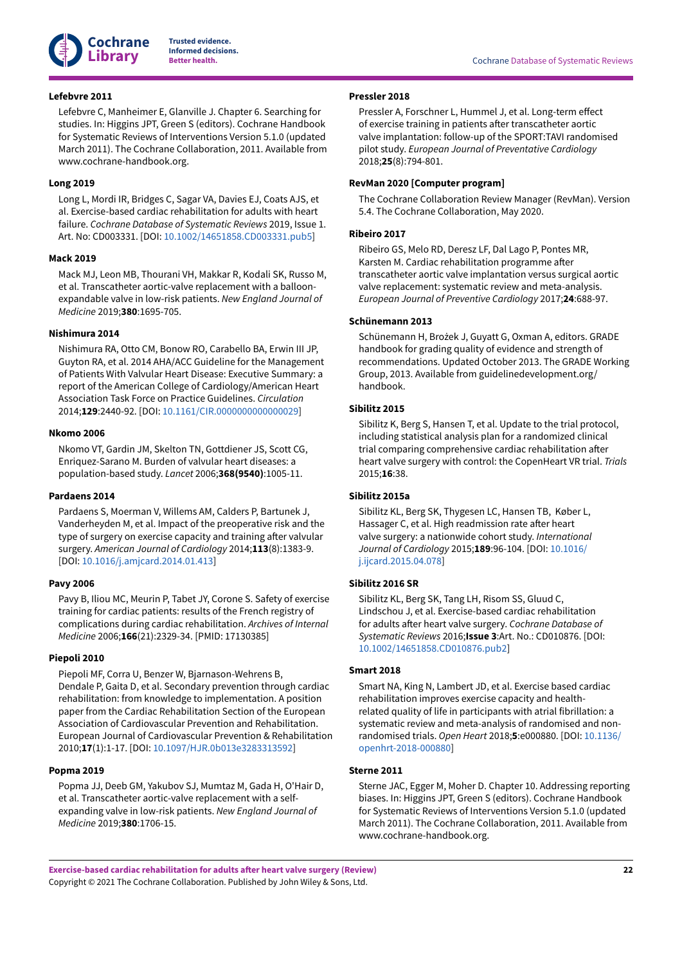

#### <span id="page-23-13"></span>**Lefebvre 2011**

Lefebvre C, Manheimer E, Glanville J. Chapter 6. Searching for studies. In: Higgins JPT, Green S (editors). Cochrane Handbook for Systematic Reviews of Interventions Version 5.1.0 (updated March 2011). The Cochrane Collaboration, 2011. Available from www.cochrane-handbook.org.

#### <span id="page-23-9"></span>**Long 2019**

Long L, Mordi IR, Bridges C, Sagar VA, Davies EJ, Coats AJS, et al. Exercise-based cardiac rehabilitation for adults with heart failure. *Cochrane Database of Systematic Reviews* 2019, Issue 1. Art. No: CD003331. [DOI: [10.1002/14651858.CD003331.pub5](https://doi.org/10.1002%2F14651858.CD003331.pub5)]

#### <span id="page-23-4"></span>**Mack 2019**

Mack MJ, Leon MB, Thourani VH, Makkar R, Kodali SK, Russo M, et al. Transcatheter aortic-valve replacement with a balloonexpandable valve in low-risk patients. *New England Journal of Medicine* 2019;**380**:1695-705.

#### <span id="page-23-2"></span>**Nishimura 2014**

Nishimura RA, Otto CM, Bonow RO, Carabello BA, Erwin III JP, Guyton RA, et al. 2014 AHA/ACC Guideline for the Management of Patients With Valvular Heart Disease: Executive Summary: a report of the American College of Cardiology/American Heart Association Task Force on Practice Guidelines. *Circulation* 2014;**129**:2440-92. [DOI: [10.1161/CIR.0000000000000029\]](https://doi.org/10.1161%2FCIR.0000000000000029)

#### <span id="page-23-0"></span>**Nkomo 2006**

Nkomo VT, Gardin JM, Skelton TN, Gottdiener JS, Scott CG, Enriquez-Sarano M. Burden of valvular heart diseases: a population-based study. *Lancet* 2006;**368(9540)**:1005-11.

#### <span id="page-23-8"></span>**Pardaens 2014**

Pardaens S, Moerman V, Willems AM, Calders P, Bartunek J, Vanderheyden M, et al. Impact of the preoperative risk and the type of surgery on exercise capacity and training after valvular surgery. *American Journal of Cardiology* 2014;**113**(8):1383-9. [DOI: [10.1016/j.amjcard.2014.01.413](https://doi.org/10.1016%2Fj.amjcard.2014.01.413)]

#### <span id="page-23-11"></span>**Pavy 2006**

Pavy B, Iliou MC, Meurin P, Tabet JY, Corone S. Safety of exercise training for cardiac patients: results of the French registry of complications during cardiac rehabilitation. *Archives of Internal Medicine* 2006;**166**(21):2329-34. [PMID: 17130385]

## <span id="page-23-6"></span>**Piepoli 2010**

Piepoli MF, Corra U, Benzer W, Bjarnason-Wehrens B, Dendale P, Gaita D, et al. Secondary prevention through cardiac rehabilitation: from knowledge to implementation. A position paper from the Cardiac Rehabilitation Section of the European Association of Cardiovascular Prevention and Rehabilitation. European Journal of Cardiovascular Prevention & Rehabilitation 2010;**17**(1):1-17. [DOI: [10.1097/HJR.0b013e3283313592\]](https://doi.org/10.1097%2FHJR.0b013e3283313592)

#### <span id="page-23-5"></span>**Popma 2019**

Popma JJ, Deeb GM, Yakubov SJ, Mumtaz M, Gada H, O'Hair D, et al. Transcatheter aortic-valve replacement with a selfexpanding valve in low-risk patients. *New England Journal of Medicine* 2019;**380**:1706-15.

#### <span id="page-23-17"></span>**Pressler 2018**

Pressler A, Forschner L, Hummel J, et al. Long-term effect of exercise training in patients after transcatheter aortic valve implantation: follow-up of the SPORT:TAVI randomised pilot study. *European Journal of Preventative Cardiology* 2018;**25**(8):794-801.

#### <span id="page-23-14"></span>**RevMan 2020 [Computer program]**

The Cochrane Collaboration Review Manager (RevMan). Version 5.4. The Cochrane Collaboration, May 2020.

#### <span id="page-23-7"></span>**Ribeiro 2017**

Ribeiro GS, Melo RD, Deresz LF, Dal Lago P, Pontes MR, Karsten M. Cardiac rehabilitation programme after transcatheter aortic valve implantation versus surgical aortic valve replacement: systematic review and meta-analysis. *European Journal of Preventive Cardiology* 2017;**24**:688-97.

## <span id="page-23-16"></span>**Schünemann 2013**

Schünemann H, Brożek J, Guyatt G, Oxman A, editors. GRADE handbook for grading quality of evidence and strength of recommendations. Updated October 2013. The GRADE Working Group, 2013. Available from guidelinedevelopment.org/ handbook.

## <span id="page-23-3"></span>**Sibilitz 2015**

Sibilitz K, Berg S, Hansen T, et al. Update to the trial protocol, including statistical analysis plan for a randomized clinical trial comparing comprehensive cardiac rehabilitation after heart valve surgery with control: the CopenHeart VR trial. *Trials* 2015;**16**:38.

## <span id="page-23-1"></span>**Sibilitz 2015a**

Sibilitz KL, Berg SK, Thygesen LC, Hansen TB, Køber L, Hassager C, et al. High readmission rate after heart valve surgery: a nationwide cohort study. *International Journal of Cardiology* 2015;**189**:96-104. [DOI: [10.1016/](https://doi.org/10.1016%2Fj.ijcard.2015.04.078) [j.ijcard.2015.04.078\]](https://doi.org/10.1016%2Fj.ijcard.2015.04.078)

### <span id="page-23-12"></span>**Sibilitz 2016 SR**

Sibilitz KL, Berg SK, Tang LH, Risom SS, Gluud C, Lindschou J, et al. Exercise-based cardiac rehabilitation for adults after heart valve surgery. Cochrane Database of *Systematic Reviews* 2016;**Issue 3**:Art. No.: CD010876. [DOI: [10.1002/14651858.CD010876.pub2\]](https://doi.org/10.1002%2F14651858.CD010876.pub2)

#### <span id="page-23-10"></span>**Smart 2018**

Smart NA, King N, Lambert JD, et al. Exercise based cardiac rehabilitation improves exercise capacity and healthrelated quality of life in participants with atrial fibrillation: a systematic review and meta-analysis of randomised and nonrandomised trials. *Open Heart* 2018;**5**:e000880. [DOI: [10.1136/](https://doi.org/10.1136%2Fopenhrt-2018-000880) [openhrt-2018-000880\]](https://doi.org/10.1136%2Fopenhrt-2018-000880)

#### <span id="page-23-15"></span>**Sterne 2011**

Sterne JAC, Egger M, Moher D. Chapter 10. Addressing reporting biases. In: Higgins JPT, Green S (editors). Cochrane Handbook for Systematic Reviews of Interventions Version 5.1.0 (updated March 2011). The Cochrane Collaboration, 2011. Available from www.cochrane-handbook.org.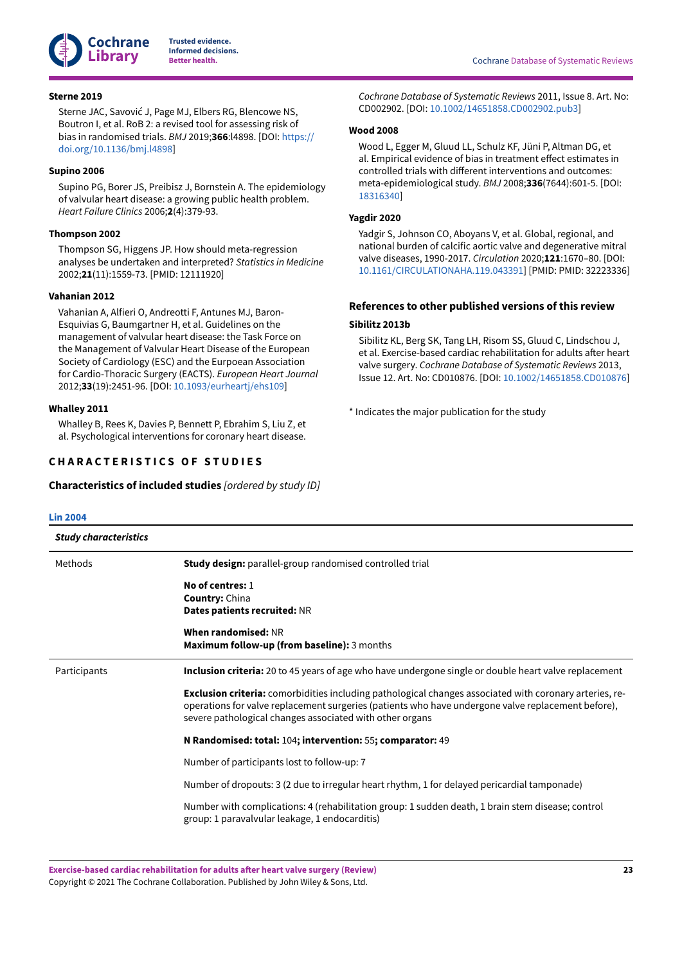

#### <span id="page-24-5"></span>**Sterne 2019**

Sterne JAC, Savović J, Page MJ, Elbers RG, Blencowe NS, Boutron I, et al. RoB 2: a revised tool for assessing risk of bias in randomised trials. *BMJ* 2019;**366**:l4898. [DOI: [https://](https://doi.org/https%3A%2F%2Fdoi.org%2F10.1136%2Fbmj.l4898) [doi.org/10.1136/bmj.l4898\]](https://doi.org/https%3A%2F%2Fdoi.org%2F10.1136%2Fbmj.l4898)

## <span id="page-24-1"></span>**Supino 2006**

Supino PG, Borer JS, Preibisz J, Bornstein A. The epidemiology of valvular heart disease: a growing public health problem. *Heart Failure Clinics* 2006;**2**(4):379-93.

#### <span id="page-24-6"></span>**Thompson 2002**

Thompson SG, Higgens JP. How should meta-regression analyses be undertaken and interpreted? *Statistics in Medicine* 2002;**21**(11):1559-73. [PMID: 12111920]

## <span id="page-24-3"></span>**Vahanian 2012**

Vahanian A, Alfieri O, Andreotti F, Antunes MJ, Baron-Esquivias G, Baumgartner H, et al. Guidelines on the management of valvular heart disease: the Task Force on the Management of Valvular Heart Disease of the European Society of Cardiology (ESC) and the Eurpoean Association for Cardio-Thoracic Surgery (EACTS). *European Heart Journal* 2012;**33**(19):2451-96. [DOI: [10.1093/eurheartj/ehs109](https://doi.org/10.1093%2Feurheartj%2Fehs109)]

#### <span id="page-24-4"></span>**Whalley 2011**

Whalley B, Rees K, Davies P, Bennett P, Ebrahim S, Liu Z, et al. Psychological interventions for coronary heart disease.

## <span id="page-24-0"></span>**C H A R A C T E R I S T I C S O F S T U D I E S**

<span id="page-24-8"></span>**Characteristics of included studies** *[ordered by study ID]*

*Cochrane Database of Systematic Reviews* 2011, Issue 8. Art. No: CD002902. [DOI: [10.1002/14651858.CD002902.pub3\]](https://doi.org/10.1002%2F14651858.CD002902.pub3)

#### <span id="page-24-7"></span>**Wood 2008**

Wood L, Egger M, Gluud LL, Schulz KF, Jüni P, Altman DG, et al. Empirical evidence of bias in treatment effect estimates in controlled trials with different interventions and outcomes: meta-epidemiological study. *BMJ* 2008;**336**(7644):601-5. [DOI: [18316340](https://doi.org/18316340)]

## <span id="page-24-2"></span>**Yagdir 2020**

Yadgir S, Johnson CO, Aboyans V, et al. Global, regional, and national burden of calcific aortic valve and degenerative mitral valve diseases, 1990-2017. *Circulation* 2020;**121**:1670–80. [DOI: [10.1161/CIRCULATIONAHA.119.043391](https://doi.org/10.1161%2FCIRCULATIONAHA.119.043391)] [PMID: PMID: 32223336]

## **References to other published versions of this review**

## <span id="page-24-9"></span>**Sibilitz 2013b**

Sibilitz KL, Berg SK, Tang LH, Risom SS, Gluud C, Lindschou J, et al. Exercise-based cardiac rehabilitation for adults after heart valve surgery. *Cochrane Database of Systematic Reviews* 2013, Issue 12. Art. No: CD010876. [DOI: [10.1002/14651858.CD010876](https://doi.org/10.1002%2F14651858.CD010876)]

<span id="page-24-10"></span>\* Indicates the major publication for the study

| <b>Lin 2004</b>              |                                                                                                                                                                                                                                                                                  |
|------------------------------|----------------------------------------------------------------------------------------------------------------------------------------------------------------------------------------------------------------------------------------------------------------------------------|
| <b>Study characteristics</b> |                                                                                                                                                                                                                                                                                  |
| Methods                      | <b>Study design:</b> parallel-group randomised controlled trial                                                                                                                                                                                                                  |
|                              | No of centres: 1<br><b>Country: China</b><br>Dates patients recruited: NR<br>When randomised: NR                                                                                                                                                                                 |
|                              | Maximum follow-up (from baseline): 3 months                                                                                                                                                                                                                                      |
| Participants                 | Inclusion criteria: 20 to 45 years of age who have undergone single or double heart valve replacement                                                                                                                                                                            |
|                              | <b>Exclusion criteria:</b> comorbidities including pathological changes associated with coronary arteries, re-<br>operations for valve replacement surgeries (patients who have undergone valve replacement before),<br>severe pathological changes associated with other organs |
|                              | N Randomised: total: 104; intervention: 55; comparator: 49                                                                                                                                                                                                                       |
|                              | Number of participants lost to follow-up: 7                                                                                                                                                                                                                                      |
|                              | Number of dropouts: 3 (2 due to irregular heart rhythm, 1 for delayed pericardial tamponade)                                                                                                                                                                                     |
|                              | Number with complications: 4 (rehabilitation group: 1 sudden death, 1 brain stem disease; control<br>group: 1 paravalvular leakage, 1 endocarditis)                                                                                                                              |
|                              |                                                                                                                                                                                                                                                                                  |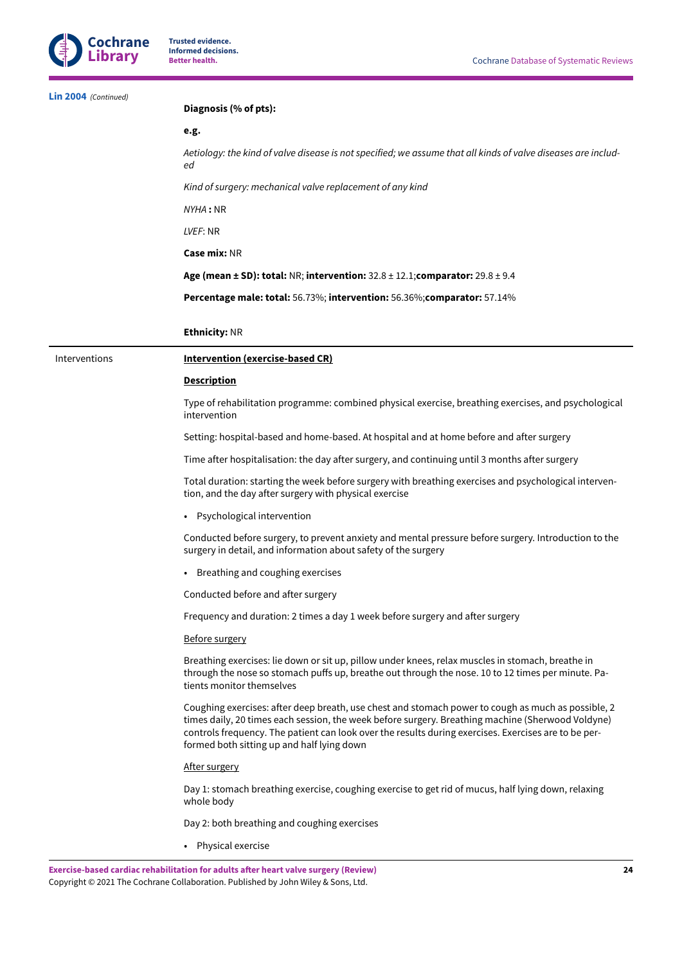| Lin 2004 (Continued) | Diagnosis (% of pts):                                                                                                                                                                                                                                                                                                                                         |
|----------------------|---------------------------------------------------------------------------------------------------------------------------------------------------------------------------------------------------------------------------------------------------------------------------------------------------------------------------------------------------------------|
|                      | e.g.                                                                                                                                                                                                                                                                                                                                                          |
|                      | Aetiology: the kind of valve disease is not specified; we assume that all kinds of valve diseases are includ-<br>еd                                                                                                                                                                                                                                           |
|                      | Kind of surgery: mechanical valve replacement of any kind                                                                                                                                                                                                                                                                                                     |
|                      | NYHA: NR                                                                                                                                                                                                                                                                                                                                                      |
|                      | LVEF: NR                                                                                                                                                                                                                                                                                                                                                      |
|                      | Case mix: NR                                                                                                                                                                                                                                                                                                                                                  |
|                      | Age (mean $\pm$ SD): total: NR; intervention: 32.8 $\pm$ 12.1; comparator: 29.8 $\pm$ 9.4                                                                                                                                                                                                                                                                     |
|                      | <b>Percentage male: total:</b> 56.73%; intervention: 56.36%; comparator: 57.14%                                                                                                                                                                                                                                                                               |
|                      | <b>Ethnicity: NR</b>                                                                                                                                                                                                                                                                                                                                          |
| Interventions        | Intervention (exercise-based CR)                                                                                                                                                                                                                                                                                                                              |
|                      | <b>Description</b>                                                                                                                                                                                                                                                                                                                                            |
|                      | Type of rehabilitation programme: combined physical exercise, breathing exercises, and psychological<br>intervention                                                                                                                                                                                                                                          |
|                      | Setting: hospital-based and home-based. At hospital and at home before and after surgery                                                                                                                                                                                                                                                                      |
|                      | Time after hospitalisation: the day after surgery, and continuing until 3 months after surgery                                                                                                                                                                                                                                                                |
|                      | Total duration: starting the week before surgery with breathing exercises and psychological interven-<br>tion, and the day after surgery with physical exercise                                                                                                                                                                                               |
|                      | • Psychological intervention                                                                                                                                                                                                                                                                                                                                  |
|                      | Conducted before surgery, to prevent anxiety and mental pressure before surgery. Introduction to the<br>surgery in detail, and information about safety of the surgery                                                                                                                                                                                        |
|                      | • Breathing and coughing exercises                                                                                                                                                                                                                                                                                                                            |
|                      | Conducted before and after surgery                                                                                                                                                                                                                                                                                                                            |
|                      | Frequency and duration: 2 times a day 1 week before surgery and after surgery                                                                                                                                                                                                                                                                                 |
|                      | <b>Before surgery</b>                                                                                                                                                                                                                                                                                                                                         |
|                      | Breathing exercises: lie down or sit up, pillow under knees, relax muscles in stomach, breathe in<br>through the nose so stomach puffs up, breathe out through the nose. 10 to 12 times per minute. Pa-<br>tients monitor themselves                                                                                                                          |
|                      | Coughing exercises: after deep breath, use chest and stomach power to cough as much as possible, 2<br>times daily, 20 times each session, the week before surgery. Breathing machine (Sherwood Voldyne)<br>controls frequency. The patient can look over the results during exercises. Exercises are to be per-<br>formed both sitting up and half lying down |
|                      | After surgery                                                                                                                                                                                                                                                                                                                                                 |
|                      | Day 1: stomach breathing exercise, coughing exercise to get rid of mucus, half lying down, relaxing<br>whole body                                                                                                                                                                                                                                             |
|                      | Day 2: both breathing and coughing exercises                                                                                                                                                                                                                                                                                                                  |
|                      | • Physical exercise                                                                                                                                                                                                                                                                                                                                           |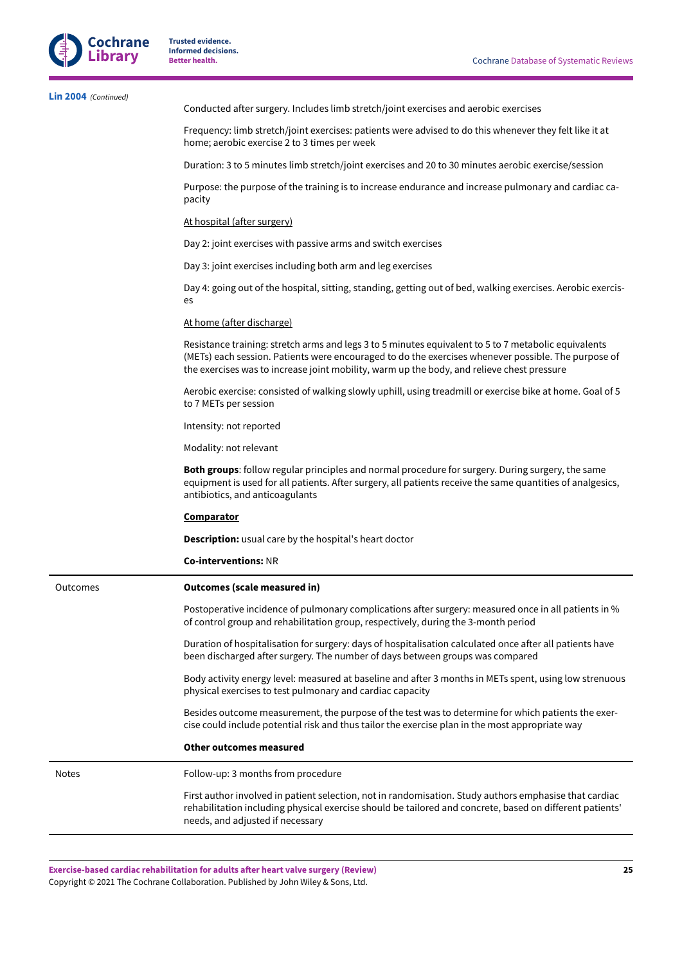

| Lin 2004 (Continued) | Conducted after surgery. Includes limb stretch/joint exercises and aerobic exercises                                                                                                                                                                                                                      |
|----------------------|-----------------------------------------------------------------------------------------------------------------------------------------------------------------------------------------------------------------------------------------------------------------------------------------------------------|
|                      | Frequency: limb stretch/joint exercises: patients were advised to do this whenever they felt like it at<br>home; aerobic exercise 2 to 3 times per week                                                                                                                                                   |
|                      | Duration: 3 to 5 minutes limb stretch/joint exercises and 20 to 30 minutes aerobic exercise/session                                                                                                                                                                                                       |
|                      | Purpose: the purpose of the training is to increase endurance and increase pulmonary and cardiac ca-<br>pacity                                                                                                                                                                                            |
|                      | At hospital (after surgery)                                                                                                                                                                                                                                                                               |
|                      | Day 2: joint exercises with passive arms and switch exercises                                                                                                                                                                                                                                             |
|                      | Day 3: joint exercises including both arm and leg exercises                                                                                                                                                                                                                                               |
|                      | Day 4: going out of the hospital, sitting, standing, getting out of bed, walking exercises. Aerobic exercis-<br>es                                                                                                                                                                                        |
|                      | At home (after discharge)                                                                                                                                                                                                                                                                                 |
|                      | Resistance training: stretch arms and legs 3 to 5 minutes equivalent to 5 to 7 metabolic equivalents<br>(METs) each session. Patients were encouraged to do the exercises whenever possible. The purpose of<br>the exercises was to increase joint mobility, warm up the body, and relieve chest pressure |
|                      | Aerobic exercise: consisted of walking slowly uphill, using treadmill or exercise bike at home. Goal of 5<br>to 7 METs per session                                                                                                                                                                        |
|                      | Intensity: not reported                                                                                                                                                                                                                                                                                   |
|                      | Modality: not relevant                                                                                                                                                                                                                                                                                    |
|                      | Both groups: follow regular principles and normal procedure for surgery. During surgery, the same<br>equipment is used for all patients. After surgery, all patients receive the same quantities of analgesics,<br>antibiotics, and anticoagulants                                                        |
|                      | <b>Comparator</b>                                                                                                                                                                                                                                                                                         |
|                      | <b>Description:</b> usual care by the hospital's heart doctor                                                                                                                                                                                                                                             |
|                      | <b>Co-interventions: NR</b>                                                                                                                                                                                                                                                                               |
| Outcomes             | <b>Outcomes (scale measured in)</b>                                                                                                                                                                                                                                                                       |
|                      | Postoperative incidence of pulmonary complications after surgery: measured once in all patients in %<br>of control group and rehabilitation group, respectively, during the 3-month period                                                                                                                |
|                      | Duration of hospitalisation for surgery: days of hospitalisation calculated once after all patients have<br>been discharged after surgery. The number of days between groups was compared                                                                                                                 |
|                      | Body activity energy level: measured at baseline and after 3 months in METs spent, using low strenuous<br>physical exercises to test pulmonary and cardiac capacity                                                                                                                                       |
|                      | Besides outcome measurement, the purpose of the test was to determine for which patients the exer-<br>cise could include potential risk and thus tailor the exercise plan in the most appropriate way                                                                                                     |
|                      | <b>Other outcomes measured</b>                                                                                                                                                                                                                                                                            |
| Notes                | Follow-up: 3 months from procedure                                                                                                                                                                                                                                                                        |
|                      | First author involved in patient selection, not in randomisation. Study authors emphasise that cardiac<br>rehabilitation including physical exercise should be tailored and concrete, based on different patients'<br>needs, and adjusted if necessary                                                    |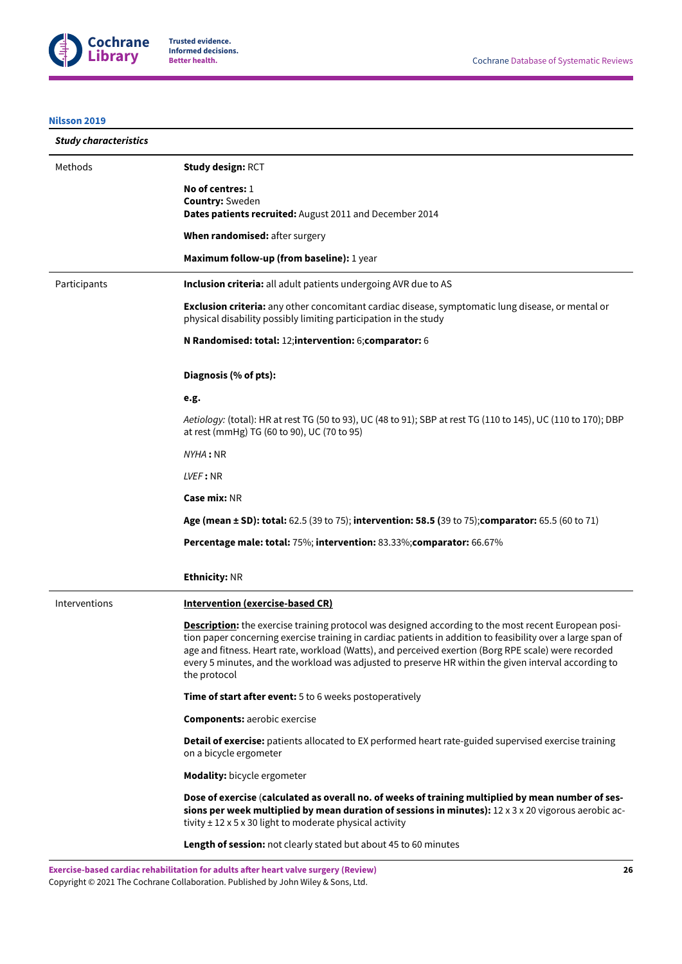

## **[Nilsson 2019](#page-17-3)**

| <b>Study characteristics</b> |                                                                                                                                                                                                                                                                                                                                                                                                                                                            |
|------------------------------|------------------------------------------------------------------------------------------------------------------------------------------------------------------------------------------------------------------------------------------------------------------------------------------------------------------------------------------------------------------------------------------------------------------------------------------------------------|
| Methods                      | <b>Study design: RCT</b>                                                                                                                                                                                                                                                                                                                                                                                                                                   |
|                              | No of centres: 1                                                                                                                                                                                                                                                                                                                                                                                                                                           |
|                              | <b>Country: Sweden</b><br>Dates patients recruited: August 2011 and December 2014                                                                                                                                                                                                                                                                                                                                                                          |
|                              | When randomised: after surgery                                                                                                                                                                                                                                                                                                                                                                                                                             |
|                              | Maximum follow-up (from baseline): 1 year                                                                                                                                                                                                                                                                                                                                                                                                                  |
| Participants                 | <b>Inclusion criteria:</b> all adult patients undergoing AVR due to AS                                                                                                                                                                                                                                                                                                                                                                                     |
|                              | <b>Exclusion criteria:</b> any other concomitant cardiac disease, symptomatic lung disease, or mental or<br>physical disability possibly limiting participation in the study                                                                                                                                                                                                                                                                               |
|                              | N Randomised: total: 12;intervention: 6;comparator: 6                                                                                                                                                                                                                                                                                                                                                                                                      |
|                              | Diagnosis (% of pts):                                                                                                                                                                                                                                                                                                                                                                                                                                      |
|                              | e.g.                                                                                                                                                                                                                                                                                                                                                                                                                                                       |
|                              | Aetiology: (total): HR at rest TG (50 to 93), UC (48 to 91); SBP at rest TG (110 to 145), UC (110 to 170); DBP<br>at rest (mmHg) TG (60 to 90), UC (70 to 95)                                                                                                                                                                                                                                                                                              |
|                              | NYHA: NR                                                                                                                                                                                                                                                                                                                                                                                                                                                   |
|                              | LVEF: NR                                                                                                                                                                                                                                                                                                                                                                                                                                                   |
|                              | <b>Case mix: NR</b>                                                                                                                                                                                                                                                                                                                                                                                                                                        |
|                              | Age (mean ± SD): total: 62.5 (39 to 75); intervention: 58.5 (39 to 75); comparator: 65.5 (60 to 71)                                                                                                                                                                                                                                                                                                                                                        |
|                              | <b>Percentage male: total: 75%; intervention: 83.33%; comparator: 66.67%</b>                                                                                                                                                                                                                                                                                                                                                                               |
|                              | <b>Ethnicity: NR</b>                                                                                                                                                                                                                                                                                                                                                                                                                                       |
| Interventions                | Intervention (exercise-based CR)                                                                                                                                                                                                                                                                                                                                                                                                                           |
|                              | <b>Description:</b> the exercise training protocol was designed according to the most recent European posi-<br>tion paper concerning exercise training in cardiac patients in addition to feasibility over a large span of<br>age and fitness. Heart rate, workload (Watts), and perceived exertion (Borg RPE scale) were recorded<br>every 5 minutes, and the workload was adjusted to preserve HR within the given interval according to<br>the protocol |
|                              | Time of start after event: 5 to 6 weeks postoperatively                                                                                                                                                                                                                                                                                                                                                                                                    |
|                              | <b>Components: aerobic exercise</b>                                                                                                                                                                                                                                                                                                                                                                                                                        |
|                              | Detail of exercise: patients allocated to EX performed heart rate-guided supervised exercise training<br>on a bicycle ergometer                                                                                                                                                                                                                                                                                                                            |
|                              | <b>Modality:</b> bicycle ergometer                                                                                                                                                                                                                                                                                                                                                                                                                         |
|                              | Dose of exercise (calculated as overall no. of weeks of training multiplied by mean number of ses-<br>sions per week multiplied by mean duration of sessions in minutes): 12 x 3 x 20 vigorous aerobic ac-<br>tivity $\pm$ 12 x 5 x 30 light to moderate physical activity                                                                                                                                                                                 |
|                              | Length of session: not clearly stated but about 45 to 60 minutes                                                                                                                                                                                                                                                                                                                                                                                           |

**Exercise-based cardiac rehabilitation for adults aer heart valve surgery (Review)** Copyright © 2021 The Cochrane Collaboration. Published by John Wiley & Sons, Ltd.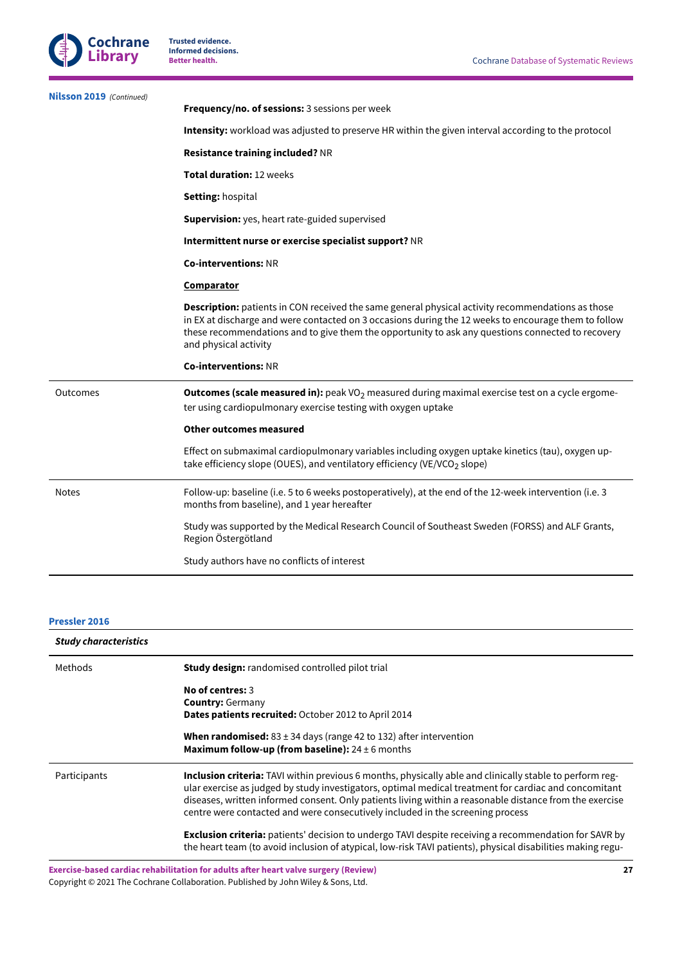

| <b>Nilsson 2019</b> (Continued) | Frequency/no. of sessions: 3 sessions per week                                                                                                                                                                                                                                                                                                 |
|---------------------------------|------------------------------------------------------------------------------------------------------------------------------------------------------------------------------------------------------------------------------------------------------------------------------------------------------------------------------------------------|
|                                 | Intensity: workload was adjusted to preserve HR within the given interval according to the protocol                                                                                                                                                                                                                                            |
|                                 | <b>Resistance training included? NR</b>                                                                                                                                                                                                                                                                                                        |
|                                 | Total duration: 12 weeks                                                                                                                                                                                                                                                                                                                       |
|                                 | <b>Setting: hospital</b>                                                                                                                                                                                                                                                                                                                       |
|                                 | <b>Supervision:</b> yes, heart rate-guided supervised                                                                                                                                                                                                                                                                                          |
|                                 | Intermittent nurse or exercise specialist support? NR                                                                                                                                                                                                                                                                                          |
|                                 | <b>Co-interventions: NR</b>                                                                                                                                                                                                                                                                                                                    |
|                                 | <b>Comparator</b>                                                                                                                                                                                                                                                                                                                              |
|                                 | <b>Description:</b> patients in CON received the same general physical activity recommendations as those<br>in EX at discharge and were contacted on 3 occasions during the 12 weeks to encourage them to follow<br>these recommendations and to give them the opportunity to ask any questions connected to recovery<br>and physical activity |
|                                 | <b>Co-interventions: NR</b>                                                                                                                                                                                                                                                                                                                    |
| Outcomes                        | <b>Outcomes (scale measured in):</b> peak $VO2$ measured during maximal exercise test on a cycle ergome-<br>ter using cardiopulmonary exercise testing with oxygen uptake                                                                                                                                                                      |
|                                 | <b>Other outcomes measured</b>                                                                                                                                                                                                                                                                                                                 |
|                                 | Effect on submaximal cardiopulmonary variables including oxygen uptake kinetics (tau), oxygen up-<br>take efficiency slope (OUES), and ventilatory efficiency (VE/VCO <sub>2</sub> slope)                                                                                                                                                      |
| <b>Notes</b>                    | Follow-up: baseline (i.e. 5 to 6 weeks postoperatively), at the end of the 12-week intervention (i.e. 3<br>months from baseline), and 1 year hereafter                                                                                                                                                                                         |
|                                 | Study was supported by the Medical Research Council of Southeast Sweden (FORSS) and ALF Grants,<br>Region Östergötland                                                                                                                                                                                                                         |
|                                 | Study authors have no conflicts of interest                                                                                                                                                                                                                                                                                                    |
|                                 |                                                                                                                                                                                                                                                                                                                                                |

## **[Pressler](#page-17-4) 2016**

| <b>Study characteristics</b> |                                                                                                                                                                                                                                                                                                                                                                                                                       |
|------------------------------|-----------------------------------------------------------------------------------------------------------------------------------------------------------------------------------------------------------------------------------------------------------------------------------------------------------------------------------------------------------------------------------------------------------------------|
| Methods                      | <b>Study design:</b> randomised controlled pilot trial                                                                                                                                                                                                                                                                                                                                                                |
|                              | No of centres: 3                                                                                                                                                                                                                                                                                                                                                                                                      |
|                              | <b>Country: Germany</b>                                                                                                                                                                                                                                                                                                                                                                                               |
|                              | Dates patients recruited: October 2012 to April 2014                                                                                                                                                                                                                                                                                                                                                                  |
|                              | <b>When randomised:</b> $83 \pm 34$ days (range 42 to 132) after intervention<br><b>Maximum follow-up (from baseline):</b> $24 \pm 6$ months                                                                                                                                                                                                                                                                          |
| Participants                 | <b>Inclusion criteria:</b> TAVI within previous 6 months, physically able and clinically stable to perform reg-<br>ular exercise as judged by study investigators, optimal medical treatment for cardiac and concomitant<br>diseases, written informed consent. Only patients living within a reasonable distance from the exercise<br>centre were contacted and were consecutively included in the screening process |
|                              | <b>Exclusion criteria:</b> patients' decision to undergo TAVI despite receiving a recommendation for SAVR by<br>the heart team (to avoid inclusion of atypical, low-risk TAVI patients), physical disabilities making regu-                                                                                                                                                                                           |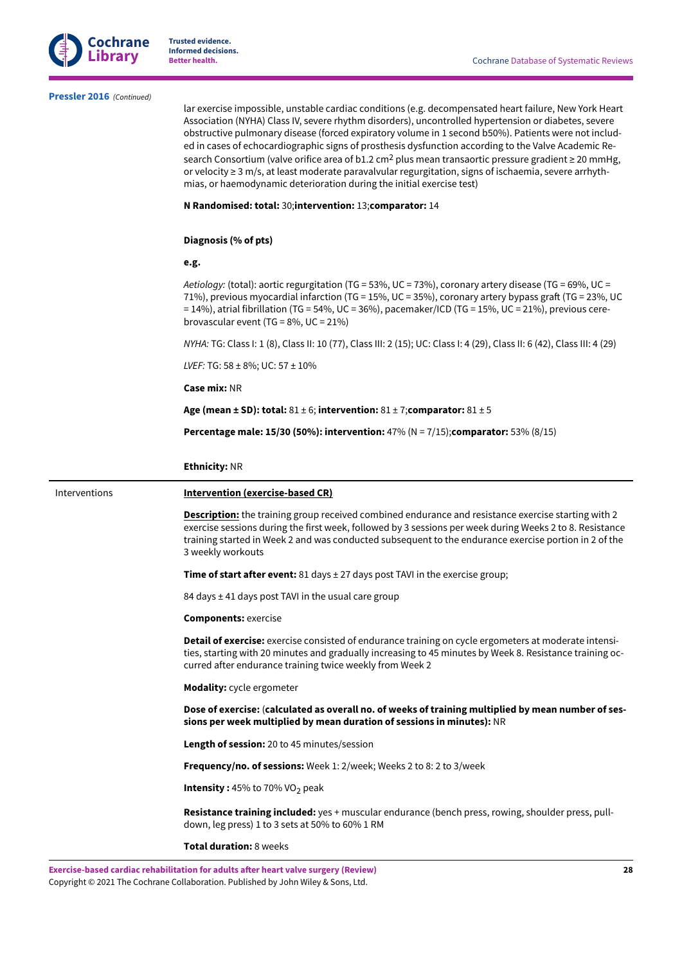

#### **[Pressler](#page-17-4) 2016**  *(Continued)*

lar exercise impossible, unstable cardiac conditions (e.g. decompensated heart failure, New York Heart Association (NYHA) Class IV, severe rhythm disorders), uncontrolled hypertension or diabetes, severe obstructive pulmonary disease (forced expiratory volume in 1 second b50%). Patients were not included in cases of echocardiographic signs of prosthesis dysfunction according to the Valve Academic Research Consortium (valve orifice area of b1.2 cm<sup>2</sup> plus mean transaortic pressure gradient ≥ 20 mmHg, or velocity ≥ 3 m/s, at least moderate paravalvular regurgitation, signs of ischaemia, severe arrhythmias, or haemodynamic deterioration during the initial exercise test)

## **N Randomised: total:** 30;**intervention:** 13;**comparator:** 14

#### **Diagnosis (% of pts)**

#### **e.g.**

*Aetiology:* (total): aortic regurgitation (TG = 53%, UC = 73%), coronary artery disease (TG = 69%, UC = 71%), previous myocardial infarction (TG = 15%, UC = 35%), coronary artery bypass graft (TG = 23%, UC  $= 14\%)$ , atrial fibrillation (TG = 54%, UC = 36%), pacemaker/ICD (TG = 15%, UC = 21%), previous cerebrovascular event (TG =  $8\%$ , UC =  $21\%$ )

*NYHA:* TG: Class I: 1 (8), Class II: 10 (77), Class III: 2 (15); UC: Class I: 4 (29), Class II: 6 (42), Class III: 4 (29)

*LVEF:* TG: 58 ± 8%; UC: 57 ± 10%

#### **Case mix:** NR

**Age (mean ± SD): total:** 81 ± 6; **intervention:** 81 ± 7;**comparator:** 81 ± 5

**Percentage male: 15/30 (50%): intervention:** 47% (N = 7/15);**comparator:** 53% (8/15)

#### **Ethnicity:** NR

## Interventions **Intervention (exercise-based CR)**

**Description:** the training group received combined endurance and resistance exercise starting with 2 exercise sessions during the first week, followed by 3 sessions per week during Weeks 2 to 8. Resistance training started in Week 2 and was conducted subsequent to the endurance exercise portion in 2 of the 3 weekly workouts

**Time of start after event:** 81 days ± 27 days post TAVI in the exercise group;

84 days  $\pm$  41 days post TAVI in the usual care group

**Components:** exercise

**Detail of exercise:** exercise consisted of endurance training on cycle ergometers at moderate intensities, starting with 20 minutes and gradually increasing to 45 minutes by Week 8. Resistance training occurred after endurance training twice weekly from Week 2

**Modality:** cycle ergometer

**Dose of exercise:** (**calculated as overall no. of weeks of training multiplied by mean number of sessions per week multiplied by mean duration of sessions in minutes):** NR

**Length of session:** 20 to 45 minutes/session

**Frequency/no. of sessions:** Week 1: 2/week; Weeks 2 to 8: 2 to 3/week

**Intensity: 45% to 70% VO<sub>2</sub> peak** 

**Resistance training included:** yes + muscular endurance (bench press, rowing, shoulder press, pulldown, leg press) 1 to 3 sets at 50% to 60% 1 RM

**Total duration:** 8 weeks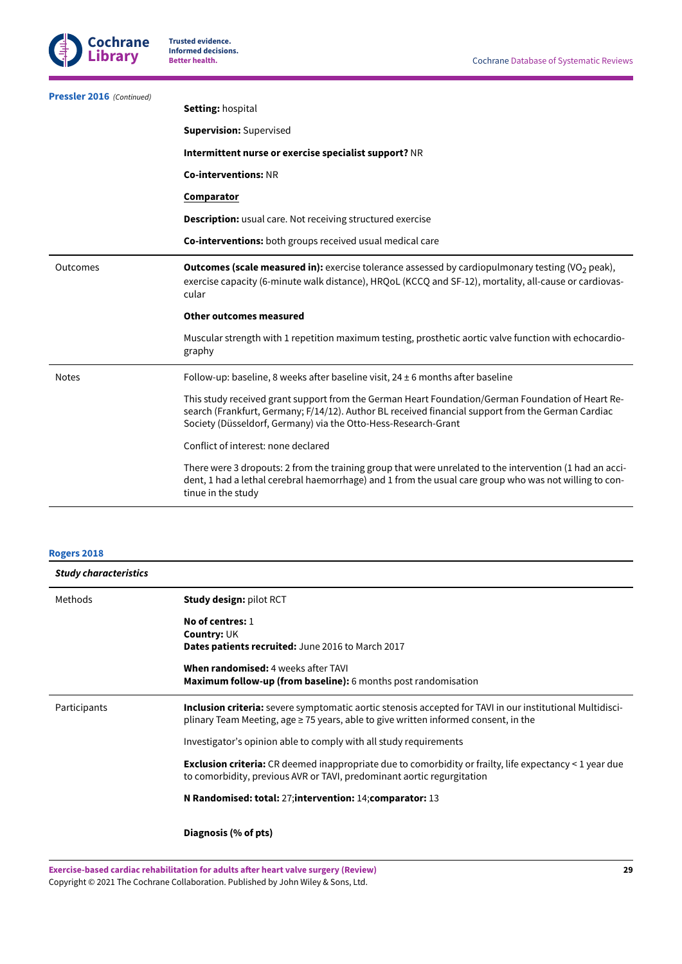

| <b>Pressler 2016</b> (Continued) |                                                                                                                                                                                                                                                                           |
|----------------------------------|---------------------------------------------------------------------------------------------------------------------------------------------------------------------------------------------------------------------------------------------------------------------------|
|                                  | Setting: hospital                                                                                                                                                                                                                                                         |
|                                  | <b>Supervision: Supervised</b>                                                                                                                                                                                                                                            |
|                                  | Intermittent nurse or exercise specialist support? NR                                                                                                                                                                                                                     |
|                                  | <b>Co-interventions: NR</b>                                                                                                                                                                                                                                               |
|                                  | Comparator                                                                                                                                                                                                                                                                |
|                                  | <b>Description:</b> usual care. Not receiving structured exercise                                                                                                                                                                                                         |
|                                  | Co-interventions: both groups received usual medical care                                                                                                                                                                                                                 |
| Outcomes                         | <b>Outcomes (scale measured in):</b> exercise tolerance assessed by cardiopulmonary testing (VO <sub>2</sub> peak),<br>exercise capacity (6-minute walk distance), HRQoL (KCCQ and SF-12), mortality, all-cause or cardiovas-<br>cular                                    |
|                                  | Other outcomes measured                                                                                                                                                                                                                                                   |
|                                  | Muscular strength with 1 repetition maximum testing, prosthetic aortic valve function with echocardio-<br>graphy                                                                                                                                                          |
| <b>Notes</b>                     | Follow-up: baseline, 8 weeks after baseline visit, $24 \pm 6$ months after baseline                                                                                                                                                                                       |
|                                  | This study received grant support from the German Heart Foundation/German Foundation of Heart Re-<br>search (Frankfurt, Germany; F/14/12). Author BL received financial support from the German Cardiac<br>Society (Düsseldorf, Germany) via the Otto-Hess-Research-Grant |
|                                  | Conflict of interest: none declared                                                                                                                                                                                                                                       |
|                                  | There were 3 dropouts: 2 from the training group that were unrelated to the intervention (1 had an acci-<br>dent, 1 had a lethal cerebral haemorrhage) and 1 from the usual care group who was not willing to con-<br>tinue in the study                                  |
|                                  |                                                                                                                                                                                                                                                                           |

## **[Rogers](#page-17-5) 2018**

| <b>Study characteristics</b> |                                                                                                                                                                                                         |
|------------------------------|---------------------------------------------------------------------------------------------------------------------------------------------------------------------------------------------------------|
| Methods                      | <b>Study design: pilot RCT</b>                                                                                                                                                                          |
|                              | No of centres: 1<br>Country: UK                                                                                                                                                                         |
|                              | Dates patients recruited: June 2016 to March 2017                                                                                                                                                       |
|                              | When randomised: 4 weeks after TAVI<br><b>Maximum follow-up (from baseline):</b> 6 months post randomisation                                                                                            |
| Participants                 | <b>Inclusion criteria:</b> severe symptomatic aortic stenosis accepted for TAVI in our institutional Multidisci-<br>plinary Team Meeting, age ≥ 75 years, able to give written informed consent, in the |
|                              | Investigator's opinion able to comply with all study requirements                                                                                                                                       |
|                              | <b>Exclusion criteria:</b> CR deemed inappropriate due to comorbidity or frailty, life expectancy $\leq 1$ year due<br>to comorbidity, previous AVR or TAVI, predominant aortic regurgitation           |
|                              | N Randomised: total: 27; intervention: 14; comparator: 13                                                                                                                                               |
|                              | Diagnosis (% of pts)                                                                                                                                                                                    |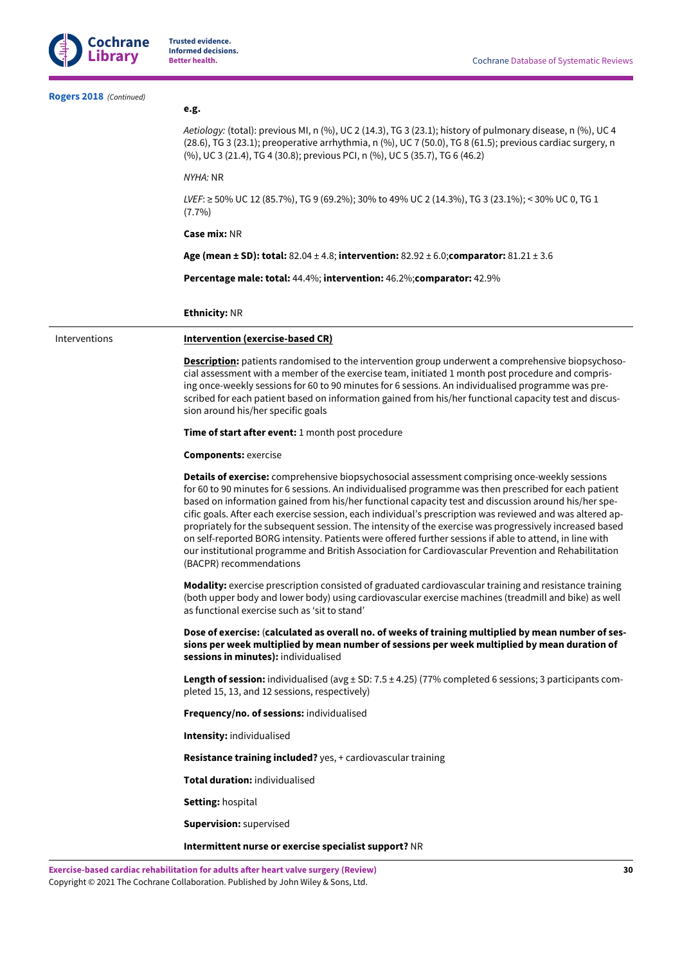

| Rogers 2018 (Continued) |                                                                                                                                                                                                                                                                                                                                                                                                                                                                                                                                                                                                                                                                                                                                                                                      |
|-------------------------|--------------------------------------------------------------------------------------------------------------------------------------------------------------------------------------------------------------------------------------------------------------------------------------------------------------------------------------------------------------------------------------------------------------------------------------------------------------------------------------------------------------------------------------------------------------------------------------------------------------------------------------------------------------------------------------------------------------------------------------------------------------------------------------|
|                         | e.g.                                                                                                                                                                                                                                                                                                                                                                                                                                                                                                                                                                                                                                                                                                                                                                                 |
|                         | Aetiology: (total): previous MI, n (%), UC 2 (14.3), TG 3 (23.1); history of pulmonary disease, n (%), UC 4<br>(28.6), TG 3 (23.1); preoperative arrhythmia, n (%), UC 7 (50.0), TG 8 (61.5); previous cardiac surgery, n<br>(%), UC 3 (21.4), TG 4 (30.8); previous PCI, n (%), UC 5 (35.7), TG 6 (46.2)                                                                                                                                                                                                                                                                                                                                                                                                                                                                            |
|                         | NYHA: NR                                                                                                                                                                                                                                                                                                                                                                                                                                                                                                                                                                                                                                                                                                                                                                             |
|                         | <i>LVEF</i> : ≥ 50% UC 12 (85.7%), TG 9 (69.2%); 30% to 49% UC 2 (14.3%), TG 3 (23.1%); < 30% UC 0, TG 1<br>$(7.7\%)$                                                                                                                                                                                                                                                                                                                                                                                                                                                                                                                                                                                                                                                                |
|                         | <b>Case mix: NR</b>                                                                                                                                                                                                                                                                                                                                                                                                                                                                                                                                                                                                                                                                                                                                                                  |
|                         | Age (mean ± SD): total: $82.04 \pm 4.8$ ; intervention: $82.92 \pm 6.0$ ; comparator: $81.21 \pm 3.6$                                                                                                                                                                                                                                                                                                                                                                                                                                                                                                                                                                                                                                                                                |
|                         | Percentage male: total: 44.4%; intervention: 46.2%; comparator: 42.9%                                                                                                                                                                                                                                                                                                                                                                                                                                                                                                                                                                                                                                                                                                                |
|                         | <b>Ethnicity: NR</b>                                                                                                                                                                                                                                                                                                                                                                                                                                                                                                                                                                                                                                                                                                                                                                 |
| Interventions           | Intervention (exercise-based CR)                                                                                                                                                                                                                                                                                                                                                                                                                                                                                                                                                                                                                                                                                                                                                     |
|                         | <b>Description:</b> patients randomised to the intervention group underwent a comprehensive biopsychoso-<br>cial assessment with a member of the exercise team, initiated 1 month post procedure and compris-<br>ing once-weekly sessions for 60 to 90 minutes for 6 sessions. An individualised programme was pre-<br>scribed for each patient based on information gained from his/her functional capacity test and discus-<br>sion around his/her specific goals                                                                                                                                                                                                                                                                                                                  |
|                         | <b>Time of start after event:</b> 1 month post procedure                                                                                                                                                                                                                                                                                                                                                                                                                                                                                                                                                                                                                                                                                                                             |
|                         | <b>Components: exercise</b>                                                                                                                                                                                                                                                                                                                                                                                                                                                                                                                                                                                                                                                                                                                                                          |
|                         | Details of exercise: comprehensive biopsychosocial assessment comprising once-weekly sessions<br>for 60 to 90 minutes for 6 sessions. An individualised programme was then prescribed for each patient<br>based on information gained from his/her functional capacity test and discussion around his/her spe-<br>cific goals. After each exercise session, each individual's prescription was reviewed and was altered ap-<br>propriately for the subsequent session. The intensity of the exercise was progressively increased based<br>on self-reported BORG intensity. Patients were offered further sessions if able to attend, in line with<br>our institutional programme and British Association for Cardiovascular Prevention and Rehabilitation<br>(BACPR) recommendations |
|                         | Modality: exercise prescription consisted of graduated cardiovascular training and resistance training<br>(both upper body and lower body) using cardiovascular exercise machines (treadmill and bike) as well<br>as functional exercise such as 'sit to stand'                                                                                                                                                                                                                                                                                                                                                                                                                                                                                                                      |
|                         | Dose of exercise: (calculated as overall no. of weeks of training multiplied by mean number of ses-<br>sions per week multiplied by mean number of sessions per week multiplied by mean duration of<br>sessions in minutes): individualised                                                                                                                                                                                                                                                                                                                                                                                                                                                                                                                                          |
|                         | Length of session: individualised (avg $\pm$ SD: 7.5 $\pm$ 4.25) (77% completed 6 sessions; 3 participants com-<br>pleted 15, 13, and 12 sessions, respectively)                                                                                                                                                                                                                                                                                                                                                                                                                                                                                                                                                                                                                     |
|                         | Frequency/no. of sessions: individualised                                                                                                                                                                                                                                                                                                                                                                                                                                                                                                                                                                                                                                                                                                                                            |
|                         | Intensity: individualised                                                                                                                                                                                                                                                                                                                                                                                                                                                                                                                                                                                                                                                                                                                                                            |
|                         | Resistance training included? yes, + cardiovascular training                                                                                                                                                                                                                                                                                                                                                                                                                                                                                                                                                                                                                                                                                                                         |
|                         | Total duration: individualised                                                                                                                                                                                                                                                                                                                                                                                                                                                                                                                                                                                                                                                                                                                                                       |
|                         | Setting: hospital                                                                                                                                                                                                                                                                                                                                                                                                                                                                                                                                                                                                                                                                                                                                                                    |
|                         | <b>Supervision: supervised</b>                                                                                                                                                                                                                                                                                                                                                                                                                                                                                                                                                                                                                                                                                                                                                       |
|                         | Intermittent nurse or exercise specialist support? NR                                                                                                                                                                                                                                                                                                                                                                                                                                                                                                                                                                                                                                                                                                                                |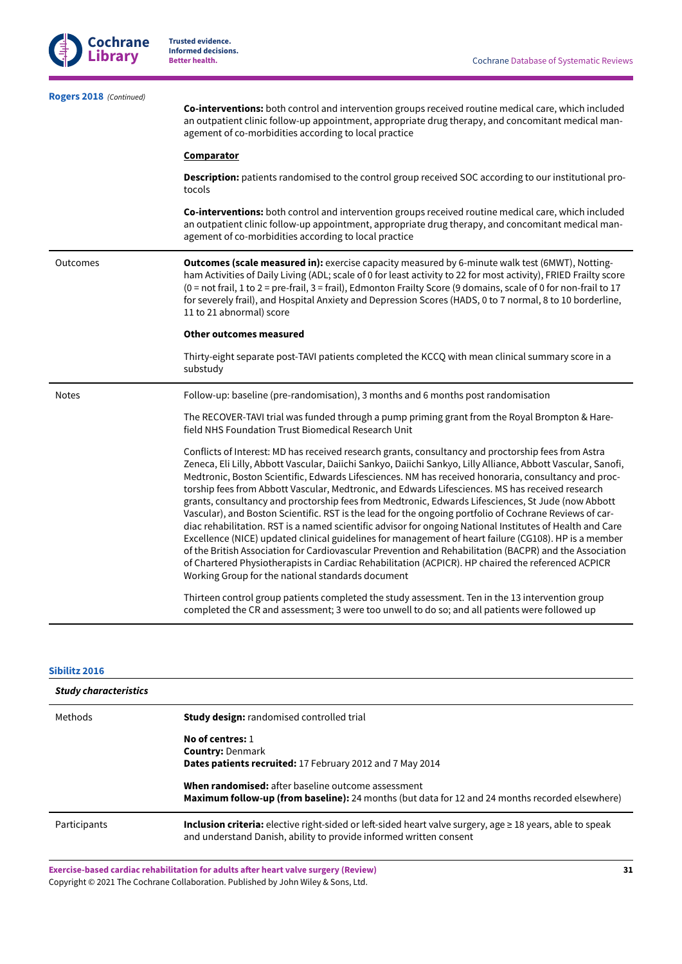| Rogers 2018 (Continued) | Co-interventions: both control and intervention groups received routine medical care, which included<br>an outpatient clinic follow-up appointment, appropriate drug therapy, and concomitant medical man-<br>agement of co-morbidities according to local practice<br><b>Comparator</b><br>Description: patients randomised to the control group received SOC according to our institutional pro-                                                                                                                                                                                                                                                                                                                                                                                                                                                                                                                                                                                                                                                                                                                                           |
|-------------------------|----------------------------------------------------------------------------------------------------------------------------------------------------------------------------------------------------------------------------------------------------------------------------------------------------------------------------------------------------------------------------------------------------------------------------------------------------------------------------------------------------------------------------------------------------------------------------------------------------------------------------------------------------------------------------------------------------------------------------------------------------------------------------------------------------------------------------------------------------------------------------------------------------------------------------------------------------------------------------------------------------------------------------------------------------------------------------------------------------------------------------------------------|
|                         | tocols<br>Co-interventions: both control and intervention groups received routine medical care, which included<br>an outpatient clinic follow-up appointment, appropriate drug therapy, and concomitant medical man-<br>agement of co-morbidities according to local practice                                                                                                                                                                                                                                                                                                                                                                                                                                                                                                                                                                                                                                                                                                                                                                                                                                                                |
| Outcomes                | Outcomes (scale measured in): exercise capacity measured by 6-minute walk test (6MWT), Notting-<br>ham Activities of Daily Living (ADL; scale of 0 for least activity to 22 for most activity), FRIED Frailty score<br>(0 = not frail, 1 to 2 = pre-frail, 3 = frail), Edmonton Frailty Score (9 domains, scale of 0 for non-frail to 17<br>for severely frail), and Hospital Anxiety and Depression Scores (HADS, 0 to 7 normal, 8 to 10 borderline,<br>11 to 21 abnormal) score                                                                                                                                                                                                                                                                                                                                                                                                                                                                                                                                                                                                                                                            |
|                         | Other outcomes measured                                                                                                                                                                                                                                                                                                                                                                                                                                                                                                                                                                                                                                                                                                                                                                                                                                                                                                                                                                                                                                                                                                                      |
|                         | Thirty-eight separate post-TAVI patients completed the KCCQ with mean clinical summary score in a<br>substudy                                                                                                                                                                                                                                                                                                                                                                                                                                                                                                                                                                                                                                                                                                                                                                                                                                                                                                                                                                                                                                |
| <b>Notes</b>            | Follow-up: baseline (pre-randomisation), 3 months and 6 months post randomisation                                                                                                                                                                                                                                                                                                                                                                                                                                                                                                                                                                                                                                                                                                                                                                                                                                                                                                                                                                                                                                                            |
|                         | The RECOVER-TAVI trial was funded through a pump priming grant from the Royal Brompton & Hare-<br>field NHS Foundation Trust Biomedical Research Unit                                                                                                                                                                                                                                                                                                                                                                                                                                                                                                                                                                                                                                                                                                                                                                                                                                                                                                                                                                                        |
|                         | Conflicts of Interest: MD has received research grants, consultancy and proctorship fees from Astra<br>Zeneca, Eli Lilly, Abbott Vascular, Daiichi Sankyo, Daiichi Sankyo, Lilly Alliance, Abbott Vascular, Sanofi,<br>Medtronic, Boston Scientific, Edwards Lifesciences. NM has received honoraria, consultancy and proc-<br>torship fees from Abbott Vascular, Medtronic, and Edwards Lifesciences. MS has received research<br>grants, consultancy and proctorship fees from Medtronic, Edwards Lifesciences, St Jude (now Abbott<br>Vascular), and Boston Scientific. RST is the lead for the ongoing portfolio of Cochrane Reviews of car-<br>diac rehabilitation. RST is a named scientific advisor for ongoing National Institutes of Health and Care<br>Excellence (NICE) updated clinical guidelines for management of heart failure (CG108). HP is a member<br>of the British Association for Cardiovascular Prevention and Rehabilitation (BACPR) and the Association<br>of Chartered Physiotherapists in Cardiac Rehabilitation (ACPICR). HP chaired the referenced ACPICR<br>Working Group for the national standards document |
|                         | Thirteen control group patients completed the study assessment. Ten in the 13 intervention group<br>completed the CR and assessment; 3 were too unwell to do so; and all patients were followed up                                                                                                                                                                                                                                                                                                                                                                                                                                                                                                                                                                                                                                                                                                                                                                                                                                                                                                                                           |

## **[Sibilitz 2016](#page-17-1)**

| <b>Study characteristics</b> |                                                                                                                                                                                             |
|------------------------------|---------------------------------------------------------------------------------------------------------------------------------------------------------------------------------------------|
| Methods                      | <b>Study design:</b> randomised controlled trial                                                                                                                                            |
|                              | No of centres: 1                                                                                                                                                                            |
|                              | <b>Country: Denmark</b>                                                                                                                                                                     |
|                              | <b>Dates patients recruited:</b> 17 February 2012 and 7 May 2014                                                                                                                            |
|                              | <b>When randomised:</b> after baseline outcome assessment                                                                                                                                   |
|                              | <b>Maximum follow-up (from baseline):</b> 24 months (but data for 12 and 24 months recorded elsewhere)                                                                                      |
| Participants                 | <b>Inclusion criteria:</b> elective right-sided or left-sided heart valve surgery, age $\geq 18$ years, able to speak<br>and understand Danish, ability to provide informed written consent |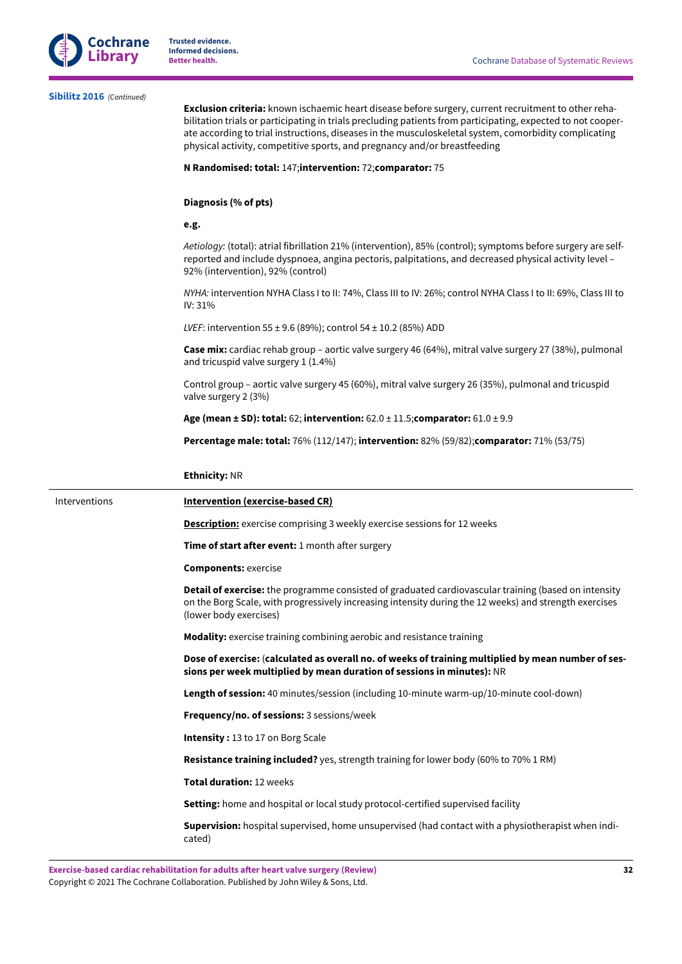

## **[Sibilitz 2016](#page-17-1)**  *(Continued)*

**Exclusion criteria:** known ischaemic heart disease before surgery, current recruitment to other rehabilitation trials or participating in trials precluding patients from participating, expected to not cooperate according to trial instructions, diseases in the musculoskeletal system, comorbidity complicating physical activity, competitive sports, and pregnancy and/or breastfeeding

#### **N Randomised: total:** 147;**intervention:** 72;**comparator:** 75

#### **Diagnosis (% of pts)**

#### **e.g.**

*Aetiology:* (total): atrial fibrillation 21% (intervention), 85% (control); symptoms before surgery are selfreported and include dyspnoea, angina pectoris, palpitations, and decreased physical activity level – 92% (intervention), 92% (control)

*NYHA:* intervention NYHA Class I to II: 74%, Class III to IV: 26%; control NYHA Class I to II: 69%, Class III to IV: 31%

*LVEF*: intervention 55 ± 9.6 (89%); control 54 ± 10.2 (85%) ADD

**Case mix:** cardiac rehab group – aortic valve surgery 46 (64%), mitral valve surgery 27 (38%), pulmonal and tricuspid valve surgery 1 (1.4%)

Control group – aortic valve surgery 45 (60%), mitral valve surgery 26 (35%), pulmonal and tricuspid valve surgery 2 (3%)

**Age (mean ± SD): total:** 62; **intervention:** 62.0 ± 11.5;**comparator:** 61.0 ± 9.9

**Percentage male: total:** 76% (112/147); **intervention:** 82% (59/82);**comparator:** 71% (53/75)

#### **Ethnicity:** NR

### Interventions **Intervention (exercise-based CR)**

**Description:** exercise comprising 3 weekly exercise sessions for 12 weeks

**Time of start after event:** 1 month after surgery

**Components:** exercise

**Detail of exercise:** the programme consisted of graduated cardiovascular training (based on intensity on the Borg Scale, with progressively increasing intensity during the 12 weeks) and strength exercises (lower body exercises)

**Modality:** exercise training combining aerobic and resistance training

**Dose of exercise:** (**calculated as overall no. of weeks of training multiplied by mean number of sessions per week multiplied by mean duration of sessions in minutes):** NR

**Length of session:** 40 minutes/session (including 10-minute warm-up/10-minute cool-down)

**Frequency/no. of sessions:** 3 sessions/week

**Intensity :** 13 to 17 on Borg Scale

**Resistance training included?** yes, strength training for lower body (60% to 70% 1 RM)

**Total duration:** 12 weeks

**Setting:** home and hospital or local study protocol-certified supervised facility

**Supervision:** hospital supervised, home unsupervised (had contact with a physiotherapist when indicated)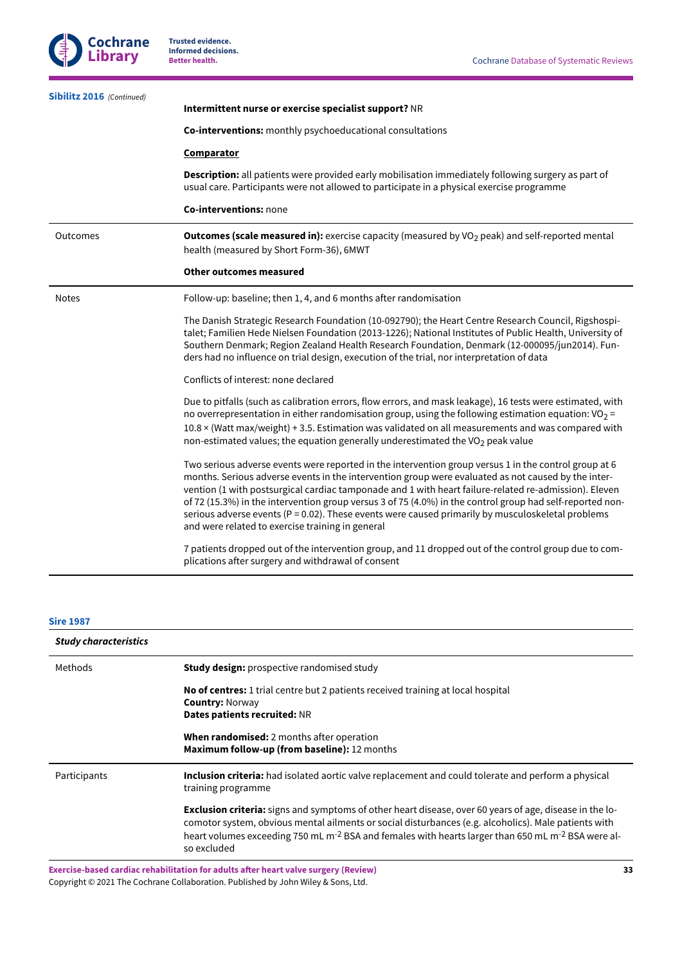| Sibilitz 2016 (Continued) | Intermittent nurse or exercise specialist support? NR                                                                                                                                                                                                                                                                                                                                                                                                                                                                                                                                           |
|---------------------------|-------------------------------------------------------------------------------------------------------------------------------------------------------------------------------------------------------------------------------------------------------------------------------------------------------------------------------------------------------------------------------------------------------------------------------------------------------------------------------------------------------------------------------------------------------------------------------------------------|
|                           | Co-interventions: monthly psychoeducational consultations                                                                                                                                                                                                                                                                                                                                                                                                                                                                                                                                       |
|                           | <b>Comparator</b>                                                                                                                                                                                                                                                                                                                                                                                                                                                                                                                                                                               |
|                           | <b>Description:</b> all patients were provided early mobilisation immediately following surgery as part of<br>usual care. Participants were not allowed to participate in a physical exercise programme                                                                                                                                                                                                                                                                                                                                                                                         |
|                           | Co-interventions: none                                                                                                                                                                                                                                                                                                                                                                                                                                                                                                                                                                          |
| Outcomes                  | <b>Outcomes (scale measured in):</b> exercise capacity (measured by VO <sub>2</sub> peak) and self-reported mental<br>health (measured by Short Form-36), 6MWT                                                                                                                                                                                                                                                                                                                                                                                                                                  |
|                           | <b>Other outcomes measured</b>                                                                                                                                                                                                                                                                                                                                                                                                                                                                                                                                                                  |
| <b>Notes</b>              | Follow-up: baseline; then 1, 4, and 6 months after randomisation                                                                                                                                                                                                                                                                                                                                                                                                                                                                                                                                |
|                           | The Danish Strategic Research Foundation (10-092790); the Heart Centre Research Council, Rigshospi-<br>talet; Familien Hede Nielsen Foundation (2013-1226); National Institutes of Public Health, University of<br>Southern Denmark; Region Zealand Health Research Foundation, Denmark (12-000095/jun2014). Fun-<br>ders had no influence on trial design, execution of the trial, nor interpretation of data                                                                                                                                                                                  |
|                           | Conflicts of interest: none declared                                                                                                                                                                                                                                                                                                                                                                                                                                                                                                                                                            |
|                           | Due to pitfalls (such as calibration errors, flow errors, and mask leakage), 16 tests were estimated, with<br>no overrepresentation in either randomisation group, using the following estimation equation: $VO_2 =$<br>10.8 x (Watt max/weight) + 3.5. Estimation was validated on all measurements and was compared with<br>non-estimated values; the equation generally underestimated the $VO2$ peak value                                                                                                                                                                                  |
|                           | Two serious adverse events were reported in the intervention group versus 1 in the control group at 6<br>months. Serious adverse events in the intervention group were evaluated as not caused by the inter-<br>vention (1 with postsurgical cardiac tamponade and 1 with heart failure-related re-admission). Eleven<br>of 72 (15.3%) in the intervention group versus 3 of 75 (4.0%) in the control group had self-reported non-<br>serious adverse events ( $P = 0.02$ ). These events were caused primarily by musculoskeletal problems<br>and were related to exercise training in general |
|                           | 7 patients dropped out of the intervention group, and 11 dropped out of the control group due to com-<br>plications after surgery and withdrawal of consent                                                                                                                                                                                                                                                                                                                                                                                                                                     |

## **Sire [1987](#page-17-2)**

| <b>Study characteristics</b> |                                                                                                                                                                                                                                                                                                                                                                     |
|------------------------------|---------------------------------------------------------------------------------------------------------------------------------------------------------------------------------------------------------------------------------------------------------------------------------------------------------------------------------------------------------------------|
| Methods                      | <b>Study design:</b> prospective randomised study                                                                                                                                                                                                                                                                                                                   |
|                              | <b>No of centres:</b> 1 trial centre but 2 patients received training at local hospital<br><b>Country: Norway</b><br>Dates patients recruited: NR                                                                                                                                                                                                                   |
|                              | <b>When randomised:</b> 2 months after operation<br>Maximum follow-up (from baseline): 12 months                                                                                                                                                                                                                                                                    |
| Participants                 | <b>Inclusion criteria:</b> had isolated aortic valve replacement and could tolerate and perform a physical<br>training programme                                                                                                                                                                                                                                    |
|                              | <b>Exclusion criteria:</b> signs and symptoms of other heart disease, over 60 years of age, disease in the lo-<br>comotor system, obvious mental ailments or social disturbances (e.g. alcoholics). Male patients with<br>heart volumes exceeding 750 mL m <sup>-2</sup> BSA and females with hearts larger than 650 mL m <sup>-2</sup> BSA were al-<br>so excluded |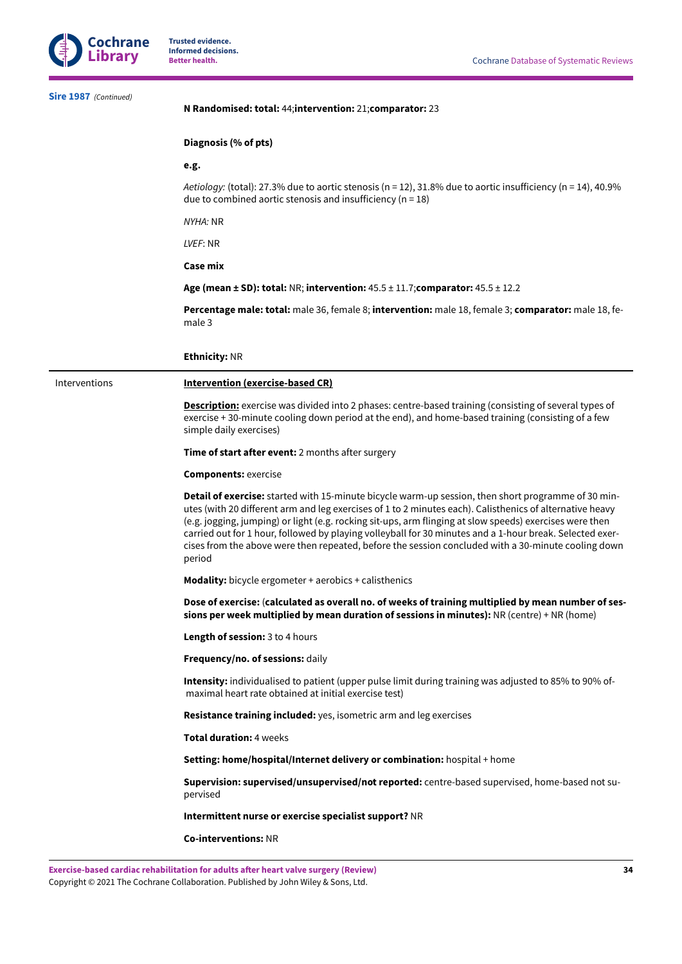

| Sire 1987 (Continued) | N Randomised: total: 44; intervention: 21; comparator: 23                                                                                                                                                                                                                                                                                                                                                                                                                                                                                                |
|-----------------------|----------------------------------------------------------------------------------------------------------------------------------------------------------------------------------------------------------------------------------------------------------------------------------------------------------------------------------------------------------------------------------------------------------------------------------------------------------------------------------------------------------------------------------------------------------|
|                       | Diagnosis (% of pts)                                                                                                                                                                                                                                                                                                                                                                                                                                                                                                                                     |
|                       | e.g.                                                                                                                                                                                                                                                                                                                                                                                                                                                                                                                                                     |
|                       | Aetiology: (total): 27.3% due to aortic stenosis (n = 12), 31.8% due to aortic insufficiency (n = 14), 40.9%<br>due to combined aortic stenosis and insufficiency ( $n = 18$ )                                                                                                                                                                                                                                                                                                                                                                           |
|                       | <i>NYHA:</i> NR                                                                                                                                                                                                                                                                                                                                                                                                                                                                                                                                          |
|                       | LVEF: NR                                                                                                                                                                                                                                                                                                                                                                                                                                                                                                                                                 |
|                       | <b>Case mix</b>                                                                                                                                                                                                                                                                                                                                                                                                                                                                                                                                          |
|                       | Age (mean $\pm$ SD): total: NR; intervention: $45.5 \pm 11.7$ ; comparator: $45.5 \pm 12.2$                                                                                                                                                                                                                                                                                                                                                                                                                                                              |
|                       | Percentage male: total: male 36, female 8; intervention: male 18, female 3; comparator: male 18, fe-<br>male 3                                                                                                                                                                                                                                                                                                                                                                                                                                           |
|                       | <b>Ethnicity: NR</b>                                                                                                                                                                                                                                                                                                                                                                                                                                                                                                                                     |
| Interventions         | <b>Intervention (exercise-based CR)</b>                                                                                                                                                                                                                                                                                                                                                                                                                                                                                                                  |
|                       | <b>Description:</b> exercise was divided into 2 phases: centre-based training (consisting of several types of<br>exercise +30-minute cooling down period at the end), and home-based training (consisting of a few<br>simple daily exercises)                                                                                                                                                                                                                                                                                                            |
|                       | <b>Time of start after event:</b> 2 months after surgery                                                                                                                                                                                                                                                                                                                                                                                                                                                                                                 |
|                       | <b>Components: exercise</b>                                                                                                                                                                                                                                                                                                                                                                                                                                                                                                                              |
|                       | Detail of exercise: started with 15-minute bicycle warm-up session, then short programme of 30 min-<br>utes (with 20 different arm and leg exercises of 1 to 2 minutes each). Calisthenics of alternative heavy<br>(e.g. jogging, jumping) or light (e.g. rocking sit-ups, arm flinging at slow speeds) exercises were then<br>carried out for 1 hour, followed by playing volleyball for 30 minutes and a 1-hour break. Selected exer-<br>cises from the above were then repeated, before the session concluded with a 30-minute cooling down<br>period |
|                       | <b>Modality:</b> bicycle ergometer + aerobics + calisthenics                                                                                                                                                                                                                                                                                                                                                                                                                                                                                             |
|                       | Dose of exercise: (calculated as overall no. of weeks of training multiplied by mean number of ses-<br>sions per week multiplied by mean duration of sessions in minutes): NR (centre) + NR (home)                                                                                                                                                                                                                                                                                                                                                       |
|                       | Length of session: 3 to 4 hours                                                                                                                                                                                                                                                                                                                                                                                                                                                                                                                          |
|                       | Frequency/no. of sessions: daily                                                                                                                                                                                                                                                                                                                                                                                                                                                                                                                         |
|                       | <b>Intensity:</b> individualised to patient (upper pulse limit during training was adjusted to 85% to 90% of-<br>maximal heart rate obtained at initial exercise test)                                                                                                                                                                                                                                                                                                                                                                                   |
|                       | Resistance training included: yes, isometric arm and leg exercises                                                                                                                                                                                                                                                                                                                                                                                                                                                                                       |
|                       | Total duration: 4 weeks                                                                                                                                                                                                                                                                                                                                                                                                                                                                                                                                  |
|                       | Setting: home/hospital/Internet delivery or combination: hospital + home                                                                                                                                                                                                                                                                                                                                                                                                                                                                                 |
|                       | Supervision: supervised/unsupervised/not reported: centre-based supervised, home-based not su-<br>pervised                                                                                                                                                                                                                                                                                                                                                                                                                                               |
|                       | Intermittent nurse or exercise specialist support? NR                                                                                                                                                                                                                                                                                                                                                                                                                                                                                                    |
|                       | <b>Co-interventions: NR</b>                                                                                                                                                                                                                                                                                                                                                                                                                                                                                                                              |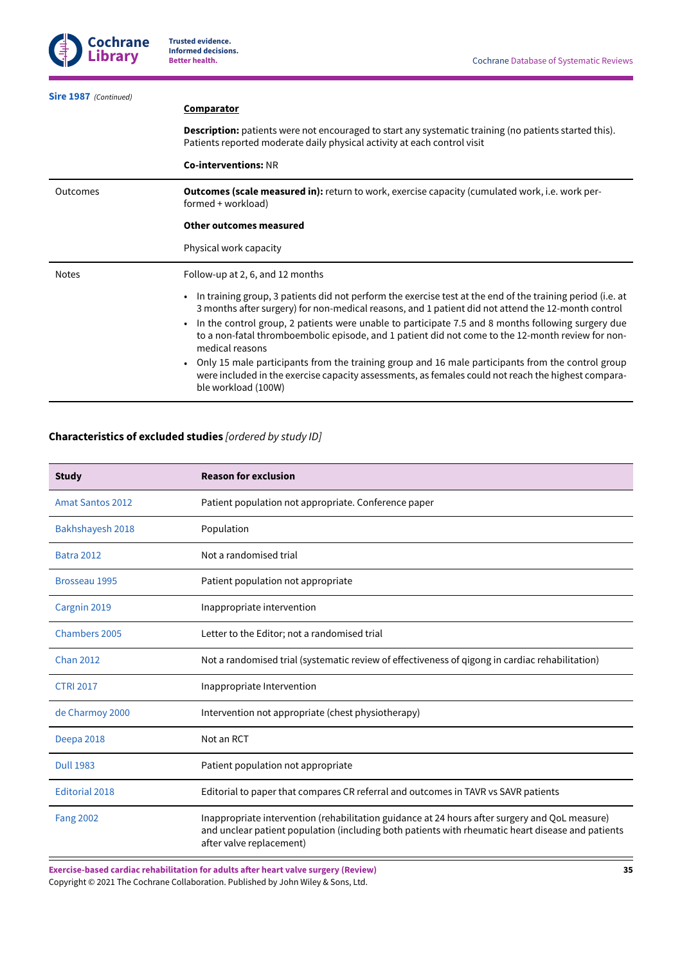| Sire 1987 (Continued) |                                                                                                                                                                                                                                                                                                                                                                                                                                                                                                                                                                                                                                                                                                             |
|-----------------------|-------------------------------------------------------------------------------------------------------------------------------------------------------------------------------------------------------------------------------------------------------------------------------------------------------------------------------------------------------------------------------------------------------------------------------------------------------------------------------------------------------------------------------------------------------------------------------------------------------------------------------------------------------------------------------------------------------------|
|                       | <b>Comparator</b>                                                                                                                                                                                                                                                                                                                                                                                                                                                                                                                                                                                                                                                                                           |
|                       | <b>Description:</b> patients were not encouraged to start any systematic training (no patients started this).<br>Patients reported moderate daily physical activity at each control visit                                                                                                                                                                                                                                                                                                                                                                                                                                                                                                                   |
|                       | <b>Co-interventions: NR</b>                                                                                                                                                                                                                                                                                                                                                                                                                                                                                                                                                                                                                                                                                 |
| Outcomes              | <b>Outcomes (scale measured in):</b> return to work, exercise capacity (cumulated work, i.e. work per-<br>formed + workload)                                                                                                                                                                                                                                                                                                                                                                                                                                                                                                                                                                                |
|                       | Other outcomes measured                                                                                                                                                                                                                                                                                                                                                                                                                                                                                                                                                                                                                                                                                     |
|                       | Physical work capacity                                                                                                                                                                                                                                                                                                                                                                                                                                                                                                                                                                                                                                                                                      |
| <b>Notes</b>          | Follow-up at 2, 6, and 12 months                                                                                                                                                                                                                                                                                                                                                                                                                                                                                                                                                                                                                                                                            |
|                       | In training group, 3 patients did not perform the exercise test at the end of the training period (i.e. at<br>$\bullet$<br>3 months after surgery) for non-medical reasons, and 1 patient did not attend the 12-month control<br>In the control group, 2 patients were unable to participate 7.5 and 8 months following surgery due<br>$\bullet$<br>to a non-fatal thromboembolic episode, and 1 patient did not come to the 12-month review for non-<br>medical reasons<br>Only 15 male participants from the training group and 16 male participants from the control group<br>were included in the exercise capacity assessments, as females could not reach the highest compara-<br>ble workload (100W) |

## <span id="page-36-0"></span>**Characteristics of excluded studies** *[ordered by study ID]*

| <b>Study</b>            | <b>Reason for exclusion</b>                                                                                                                                                                                                     |
|-------------------------|---------------------------------------------------------------------------------------------------------------------------------------------------------------------------------------------------------------------------------|
| <b>Amat Santos 2012</b> | Patient population not appropriate. Conference paper                                                                                                                                                                            |
| Bakhshayesh 2018        | Population                                                                                                                                                                                                                      |
| <b>Batra 2012</b>       | Not a randomised trial                                                                                                                                                                                                          |
| Brosseau 1995           | Patient population not appropriate                                                                                                                                                                                              |
| Cargnin 2019            | Inappropriate intervention                                                                                                                                                                                                      |
| <b>Chambers 2005</b>    | Letter to the Editor; not a randomised trial                                                                                                                                                                                    |
| <b>Chan 2012</b>        | Not a randomised trial (systematic review of effectiveness of qigong in cardiac rehabilitation)                                                                                                                                 |
| <b>CTRI 2017</b>        | Inappropriate Intervention                                                                                                                                                                                                      |
| de Charmoy 2000         | Intervention not appropriate (chest physiotherapy)                                                                                                                                                                              |
| Deepa 2018              | Not an RCT                                                                                                                                                                                                                      |
| <b>Dull 1983</b>        | Patient population not appropriate                                                                                                                                                                                              |
| <b>Editorial 2018</b>   | Editorial to paper that compares CR referral and outcomes in TAVR vs SAVR patients                                                                                                                                              |
| <b>Fang 2002</b>        | Inappropriate intervention (rehabilitation guidance at 24 hours after surgery and QoL measure)<br>and unclear patient population (including both patients with rheumatic heart disease and patients<br>after valve replacement) |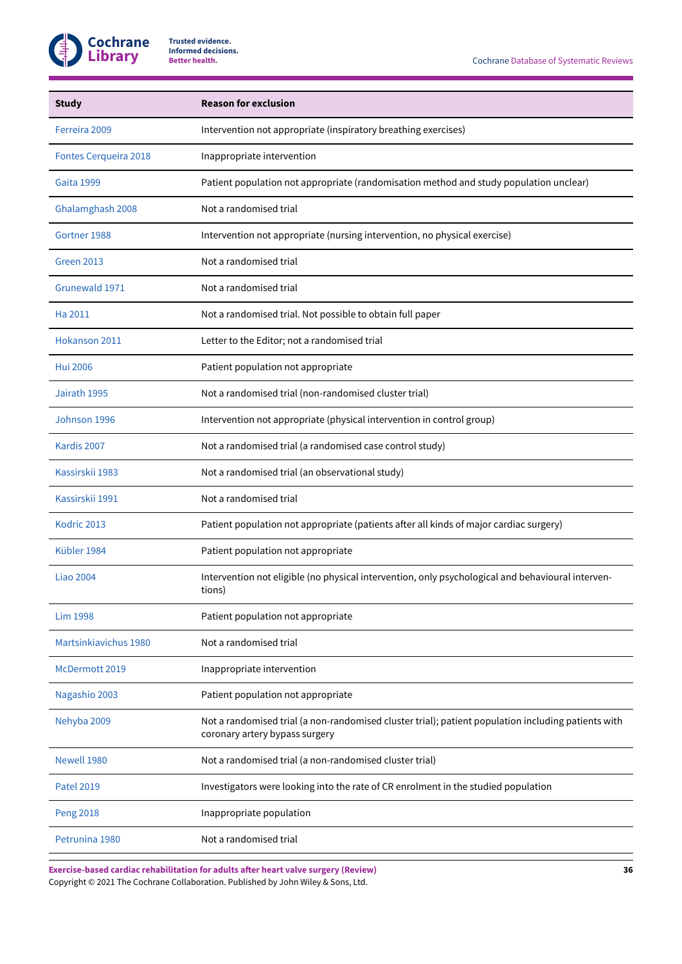

| <b>Study</b>                 | <b>Reason for exclusion</b>                                                                                                           |
|------------------------------|---------------------------------------------------------------------------------------------------------------------------------------|
| Ferreira 2009                | Intervention not appropriate (inspiratory breathing exercises)                                                                        |
| <b>Fontes Cerqueira 2018</b> | Inappropriate intervention                                                                                                            |
| Gaita 1999                   | Patient population not appropriate (randomisation method and study population unclear)                                                |
| Ghalamghash 2008             | Not a randomised trial                                                                                                                |
| Gortner 1988                 | Intervention not appropriate (nursing intervention, no physical exercise)                                                             |
| <b>Green 2013</b>            | Not a randomised trial                                                                                                                |
| Grunewald 1971               | Not a randomised trial                                                                                                                |
| Ha 2011                      | Not a randomised trial. Not possible to obtain full paper                                                                             |
| Hokanson 2011                | Letter to the Editor; not a randomised trial                                                                                          |
| <b>Hui 2006</b>              | Patient population not appropriate                                                                                                    |
| Jairath 1995                 | Not a randomised trial (non-randomised cluster trial)                                                                                 |
| Johnson 1996                 | Intervention not appropriate (physical intervention in control group)                                                                 |
| Kardis 2007                  | Not a randomised trial (a randomised case control study)                                                                              |
| Kassirskii 1983              | Not a randomised trial (an observational study)                                                                                       |
| Kassirskii 1991              | Not a randomised trial                                                                                                                |
| Kodric 2013                  | Patient population not appropriate (patients after all kinds of major cardiac surgery)                                                |
| Kübler 1984                  | Patient population not appropriate                                                                                                    |
| <b>Liao 2004</b>             | Intervention not eligible (no physical intervention, only psychological and behavioural interven-<br>tions)                           |
| Lim 1998                     | Patient population not appropriate                                                                                                    |
| Martsinkiavichus 1980        | Not a randomised trial                                                                                                                |
| McDermott 2019               | Inappropriate intervention                                                                                                            |
| Nagashio 2003                | Patient population not appropriate                                                                                                    |
| Nehyba 2009                  | Not a randomised trial (a non-randomised cluster trial); patient population including patients with<br>coronary artery bypass surgery |
| Newell 1980                  | Not a randomised trial (a non-randomised cluster trial)                                                                               |
| <b>Patel 2019</b>            | Investigators were looking into the rate of CR enrolment in the studied population                                                    |
| <b>Peng 2018</b>             | Inappropriate population                                                                                                              |
| Petrunina 1980               | Not a randomised trial                                                                                                                |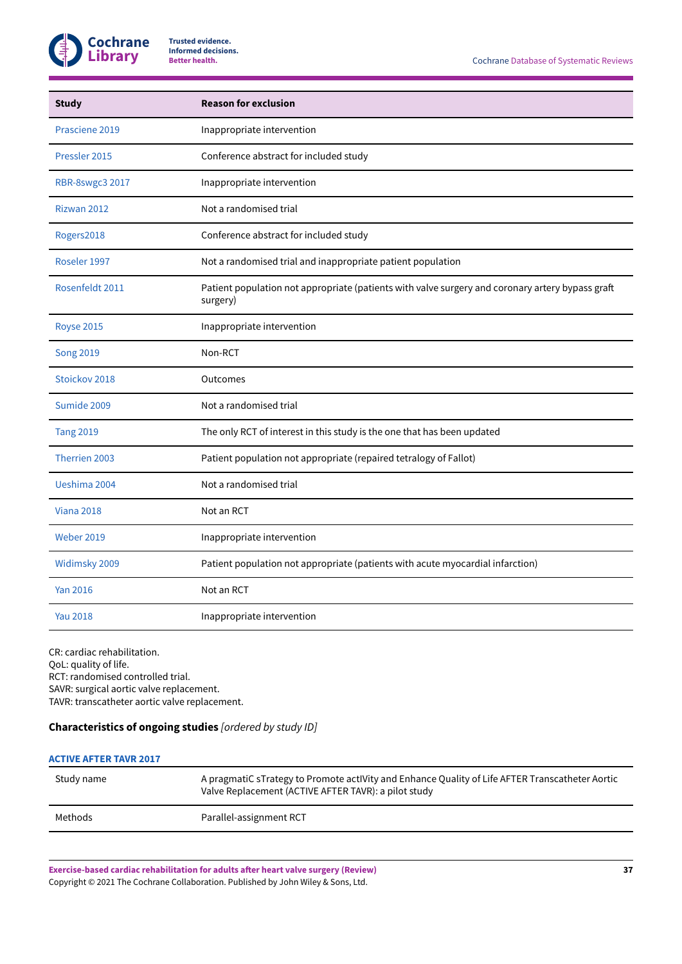

| <b>Study</b>           | <b>Reason for exclusion</b>                                                                                  |
|------------------------|--------------------------------------------------------------------------------------------------------------|
| Prasciene 2019         | Inappropriate intervention                                                                                   |
| Pressler 2015          | Conference abstract for included study                                                                       |
| <b>RBR-8swgc3 2017</b> | Inappropriate intervention                                                                                   |
| Rizwan 2012            | Not a randomised trial                                                                                       |
| Rogers2018             | Conference abstract for included study                                                                       |
| Roseler 1997           | Not a randomised trial and inappropriate patient population                                                  |
| Rosenfeldt 2011        | Patient population not appropriate (patients with valve surgery and coronary artery bypass graft<br>surgery) |
| <b>Royse 2015</b>      | Inappropriate intervention                                                                                   |
| <b>Song 2019</b>       | Non-RCT                                                                                                      |
| Stoickov 2018          | Outcomes                                                                                                     |
| Sumide 2009            | Not a randomised trial                                                                                       |
| <b>Tang 2019</b>       | The only RCT of interest in this study is the one that has been updated                                      |
| Therrien 2003          | Patient population not appropriate (repaired tetralogy of Fallot)                                            |
| Ueshima 2004           | Not a randomised trial                                                                                       |
| <b>Viana 2018</b>      | Not an RCT                                                                                                   |
| <b>Weber 2019</b>      | Inappropriate intervention                                                                                   |
| Widimsky 2009          | Patient population not appropriate (patients with acute myocardial infarction)                               |
| <b>Yan 2016</b>        | Not an RCT                                                                                                   |
| <b>Yau 2018</b>        | Inappropriate intervention                                                                                   |

CR: cardiac rehabilitation. QoL: quality of life. RCT: randomised controlled trial. SAVR: surgical aortic valve replacement. TAVR: transcatheter aortic valve replacement.

## <span id="page-38-0"></span>**Characteristics of ongoing studies** *[ordered by study ID]*

## **[ACTIVE](#page-20-0) AFTER TAVR 2017**

| Study name | A pragmatiC sTrategy to Promote actiVity and Enhance Quality of Life AFTER Transcatheter Aortic<br>Valve Replacement (ACTIVE AFTER TAVR): a pilot study |
|------------|---------------------------------------------------------------------------------------------------------------------------------------------------------|
| Methods    | Parallel-assignment RCT                                                                                                                                 |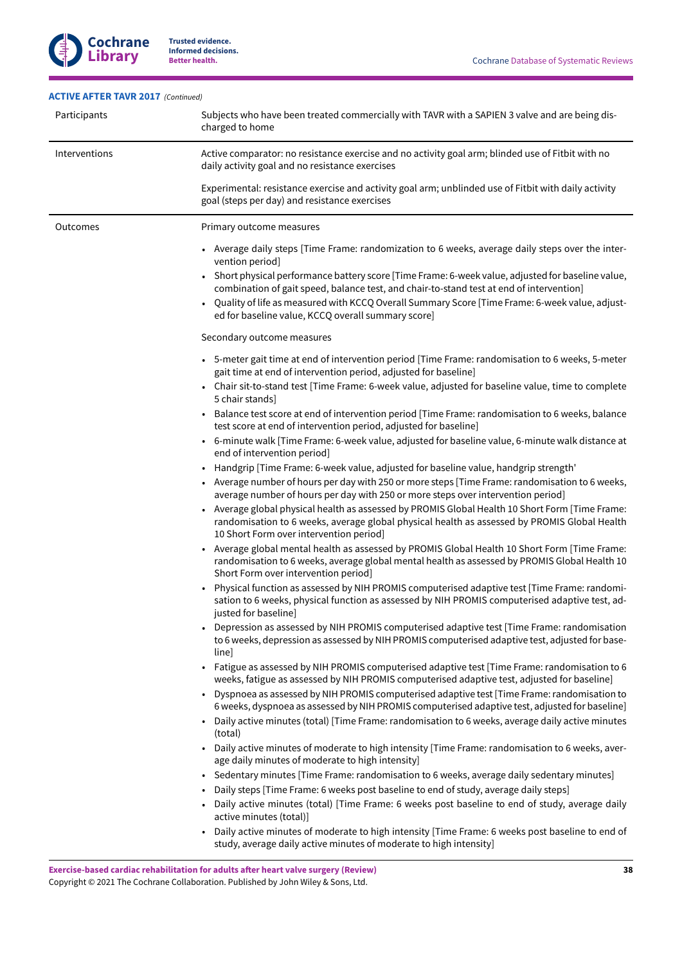## **[ACTIVE](#page-20-0) AFTER TAVR 2017**  *(Continued)*

Ĭ.

J.

**Cochrane Library**

| Participants  | Subjects who have been treated commercially with TAVR with a SAPIEN 3 valve and are being dis-<br>charged to home                                                                                                                                                                                                                                                                                                                                                           |
|---------------|-----------------------------------------------------------------------------------------------------------------------------------------------------------------------------------------------------------------------------------------------------------------------------------------------------------------------------------------------------------------------------------------------------------------------------------------------------------------------------|
| Interventions | Active comparator: no resistance exercise and no activity goal arm; blinded use of Fitbit with no<br>daily activity goal and no resistance exercises                                                                                                                                                                                                                                                                                                                        |
|               | Experimental: resistance exercise and activity goal arm; unblinded use of Fitbit with daily activity<br>goal (steps per day) and resistance exercises                                                                                                                                                                                                                                                                                                                       |
| Outcomes      | Primary outcome measures                                                                                                                                                                                                                                                                                                                                                                                                                                                    |
|               | • Average daily steps [Time Frame: randomization to 6 weeks, average daily steps over the inter-<br>vention period]<br>Short physical performance battery score [Time Frame: 6-week value, adjusted for baseline value,<br>combination of gait speed, balance test, and chair-to-stand test at end of intervention]<br>Quality of life as measured with KCCQ Overall Summary Score [Time Frame: 6-week value, adjust-<br>ed for baseline value, KCCQ overall summary score] |
|               | Secondary outcome measures                                                                                                                                                                                                                                                                                                                                                                                                                                                  |
|               | • 5-meter gait time at end of intervention period [Time Frame: randomisation to 6 weeks, 5-meter<br>gait time at end of intervention period, adjusted for baseline]                                                                                                                                                                                                                                                                                                         |
|               | Chair sit-to-stand test [Time Frame: 6-week value, adjusted for baseline value, time to complete<br>$\bullet$<br>5 chair stands]                                                                                                                                                                                                                                                                                                                                            |
|               | Balance test score at end of intervention period [Time Frame: randomisation to 6 weeks, balance<br>$\bullet$<br>test score at end of intervention period, adjusted for baseline]                                                                                                                                                                                                                                                                                            |
|               | 6-minute walk [Time Frame: 6-week value, adjusted for baseline value, 6-minute walk distance at<br>end of intervention period]                                                                                                                                                                                                                                                                                                                                              |
|               | Handgrip [Time Frame: 6-week value, adjusted for baseline value, handgrip strength'<br>- Average number of hours per day with 250 or more steps [Time Frame: randomisation to 6 weeks,<br>average number of hours per day with 250 or more steps over intervention period]                                                                                                                                                                                                  |
|               | Average global physical health as assessed by PROMIS Global Health 10 Short Form [Time Frame:<br>randomisation to 6 weeks, average global physical health as assessed by PROMIS Global Health<br>10 Short Form over intervention period]                                                                                                                                                                                                                                    |
|               | Average global mental health as assessed by PROMIS Global Health 10 Short Form [Time Frame:<br>randomisation to 6 weeks, average global mental health as assessed by PROMIS Global Health 10<br>Short Form over intervention period]                                                                                                                                                                                                                                        |
|               | Physical function as assessed by NIH PROMIS computerised adaptive test [Time Frame: randomi-<br>sation to 6 weeks, physical function as assessed by NIH PROMIS computerised adaptive test, ad-<br>justed for baseline]                                                                                                                                                                                                                                                      |
|               | Depression as assessed by NIH PROMIS computerised adaptive test [Time Frame: randomisation<br>to 6 weeks, depression as assessed by NIH PROMIS computerised adaptive test, adjusted for base-<br>line]                                                                                                                                                                                                                                                                      |
|               | Fatigue as assessed by NIH PROMIS computerised adaptive test [Time Frame: randomisation to 6<br>weeks, fatigue as assessed by NIH PROMIS computerised adaptive test, adjusted for baseline]                                                                                                                                                                                                                                                                                 |
|               | Dyspnoea as assessed by NIH PROMIS computerised adaptive test [Time Frame: randomisation to<br>6 weeks, dyspnoea as assessed by NIH PROMIS computerised adaptive test, adjusted for baseline]                                                                                                                                                                                                                                                                               |
|               | Daily active minutes (total) [Time Frame: randomisation to 6 weeks, average daily active minutes<br>(total)                                                                                                                                                                                                                                                                                                                                                                 |
|               | Daily active minutes of moderate to high intensity [Time Frame: randomisation to 6 weeks, aver-<br>age daily minutes of moderate to high intensity]                                                                                                                                                                                                                                                                                                                         |
|               | Sedentary minutes [Time Frame: randomisation to 6 weeks, average daily sedentary minutes]<br>Daily steps [Time Frame: 6 weeks post baseline to end of study, average daily steps]<br>Daily active minutes (total) [Time Frame: 6 weeks post baseline to end of study, average daily<br>active minutes (total)]                                                                                                                                                              |
|               |                                                                                                                                                                                                                                                                                                                                                                                                                                                                             |

• Daily active minutes of moderate to high intensity [Time Frame: 6 weeks post baseline to end of study, average daily active minutes of moderate to high intensity]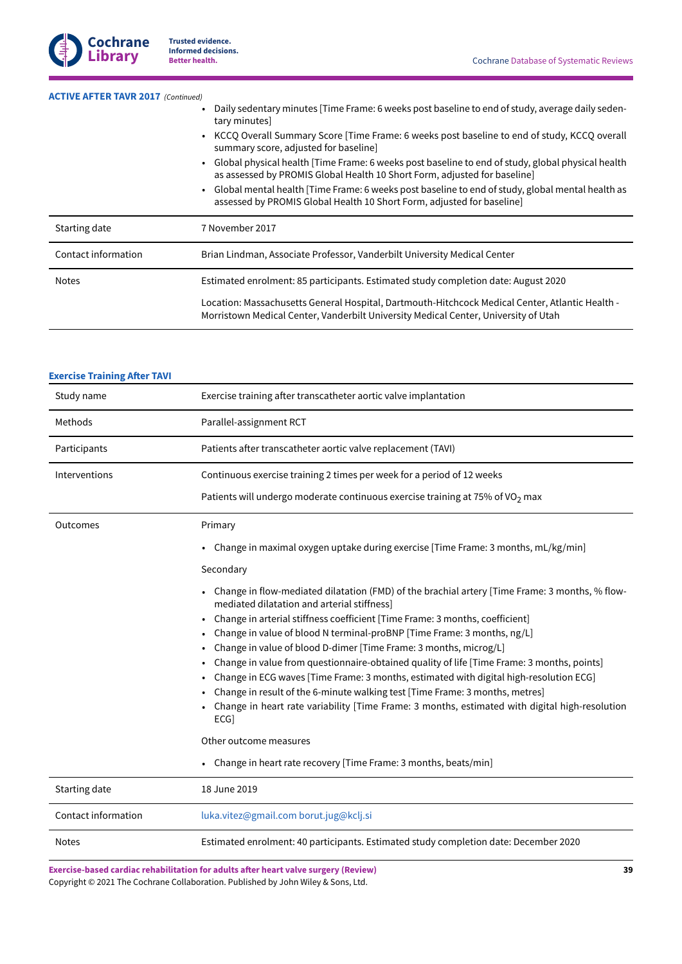

| <b>ACTIVE AFTER TAVR 2017 (Continued)</b> |                                                                                                                                                                                                                                                               |
|-------------------------------------------|---------------------------------------------------------------------------------------------------------------------------------------------------------------------------------------------------------------------------------------------------------------|
|                                           | . Daily sedentary minutes [Time Frame: 6 weeks post baseline to end of study, average daily seden-<br>tary minutes]<br>• KCCQ Overall Summary Score [Time Frame: 6 weeks post baseline to end of study, KCCQ overall<br>summary score, adjusted for baseline] |
|                                           |                                                                                                                                                                                                                                                               |
|                                           | • Global mental health [Time Frame: 6 weeks post baseline to end of study, global mental health as<br>assessed by PROMIS Global Health 10 Short Form, adjusted for baseline]                                                                                  |
| Starting date                             | 7 November 2017                                                                                                                                                                                                                                               |
| Contact information                       | Brian Lindman, Associate Professor, Vanderbilt University Medical Center                                                                                                                                                                                      |
| <b>Notes</b>                              | Estimated enrolment: 85 participants. Estimated study completion date: August 2020                                                                                                                                                                            |
|                                           | Location: Massachusetts General Hospital, Dartmouth-Hitchcock Medical Center, Atlantic Health -                                                                                                                                                               |

## **Exercise [Training](#page-20-1) After TAVI**

| Study name          | Exercise training after transcatheter aortic valve implantation                                                                                                                      |
|---------------------|--------------------------------------------------------------------------------------------------------------------------------------------------------------------------------------|
| Methods             | Parallel-assignment RCT                                                                                                                                                              |
| Participants        | Patients after transcatheter aortic valve replacement (TAVI)                                                                                                                         |
| Interventions       | Continuous exercise training 2 times per week for a period of 12 weeks                                                                                                               |
|                     | Patients will undergo moderate continuous exercise training at 75% of VO <sub>2</sub> max                                                                                            |
| Outcomes            | Primary                                                                                                                                                                              |
|                     | Change in maximal oxygen uptake during exercise [Time Frame: 3 months, mL/kg/min]                                                                                                    |
|                     | Secondary                                                                                                                                                                            |
|                     | Change in flow-mediated dilatation (FMD) of the brachial artery [Time Frame: 3 months, % flow-<br>mediated dilatation and arterial stiffness]                                        |
|                     | Change in arterial stiffness coefficient [Time Frame: 3 months, coefficient]                                                                                                         |
|                     | Change in value of blood N terminal-proBNP [Time Frame: 3 months, ng/L]                                                                                                              |
|                     | Change in value of blood D-dimer [Time Frame: 3 months, microg/L]                                                                                                                    |
|                     | Change in value from questionnaire-obtained quality of life [Time Frame: 3 months, points]<br>Change in ECG waves [Time Frame: 3 months, estimated with digital high-resolution ECG] |
|                     | Change in result of the 6-minute walking test [Time Frame: 3 months, metres]                                                                                                         |
|                     | Change in heart rate variability [Time Frame: 3 months, estimated with digital high-resolution<br>ECG]                                                                               |
|                     | Other outcome measures                                                                                                                                                               |
|                     | Change in heart rate recovery [Time Frame: 3 months, beats/min]                                                                                                                      |
| Starting date       | 18 June 2019                                                                                                                                                                         |
| Contact information | luka.vitez@gmail.com borut.jug@kclj.si                                                                                                                                               |
| <b>Notes</b>        | Estimated enrolment: 40 participants. Estimated study completion date: December 2020                                                                                                 |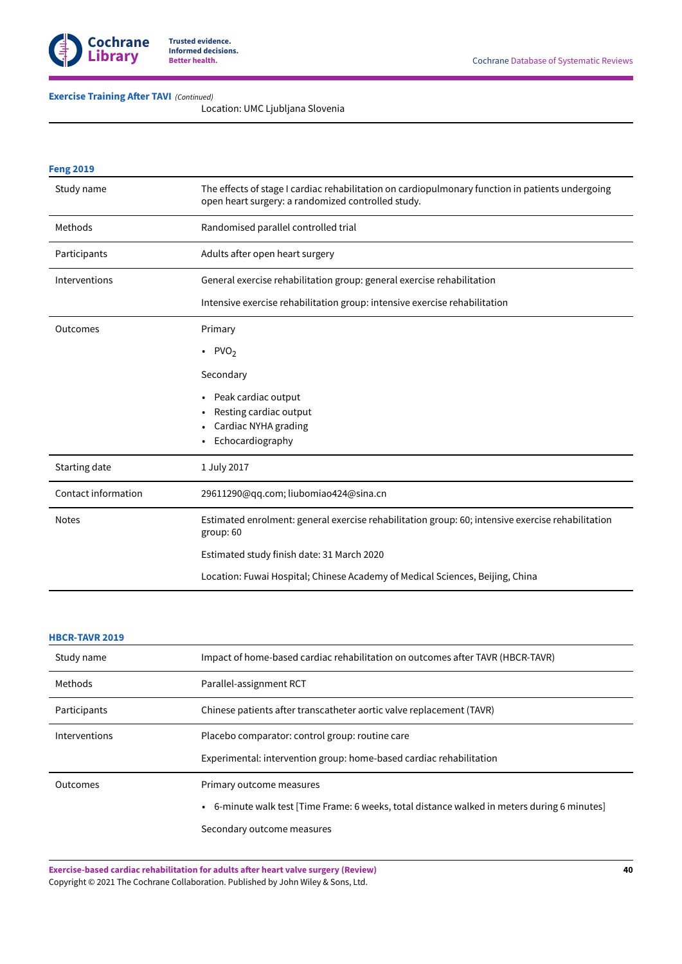

## **Exercise [Training](#page-20-1) After TAVI** (Continued)

Location: UMC Ljubljana Slovenia

| <b>Feng 2019</b>    |                                                                                                                                                        |
|---------------------|--------------------------------------------------------------------------------------------------------------------------------------------------------|
| Study name          | The effects of stage I cardiac rehabilitation on cardiopulmonary function in patients undergoing<br>open heart surgery: a randomized controlled study. |
| Methods             | Randomised parallel controlled trial                                                                                                                   |
| Participants        | Adults after open heart surgery                                                                                                                        |
| Interventions       | General exercise rehabilitation group: general exercise rehabilitation                                                                                 |
|                     | Intensive exercise rehabilitation group: intensive exercise rehabilitation                                                                             |
| Outcomes            | Primary                                                                                                                                                |
|                     | $\cdot$ PVO <sub>2</sub>                                                                                                                               |
|                     | Secondary                                                                                                                                              |
|                     | Peak cardiac output                                                                                                                                    |
|                     | Resting cardiac output                                                                                                                                 |
|                     | Cardiac NYHA grading                                                                                                                                   |
|                     | Echocardiography                                                                                                                                       |
| Starting date       | 1 July 2017                                                                                                                                            |
| Contact information | 29611290@qq.com; liubomiao424@sina.cn                                                                                                                  |
| <b>Notes</b>        | Estimated enrolment: general exercise rehabilitation group: 60; intensive exercise rehabilitation<br>group: 60                                         |
|                     | Estimated study finish date: 31 March 2020                                                                                                             |
|                     | Location: Fuwai Hospital; Chinese Academy of Medical Sciences, Beijing, China                                                                          |

## **[HBCR-TAVR](#page-20-3) 2019**

| Study name    | Impact of home-based cardiac rehabilitation on outcomes after TAVR (HBCR-TAVR)               |
|---------------|----------------------------------------------------------------------------------------------|
| Methods       | Parallel-assignment RCT                                                                      |
| Participants  | Chinese patients after transcatheter aortic valve replacement (TAVR)                         |
| Interventions | Placebo comparator: control group: routine care                                              |
|               | Experimental: intervention group: home-based cardiac rehabilitation                          |
| Outcomes      | Primary outcome measures                                                                     |
|               | • 6-minute walk test [Time Frame: 6 weeks, total distance walked in meters during 6 minutes] |
|               | Secondary outcome measures                                                                   |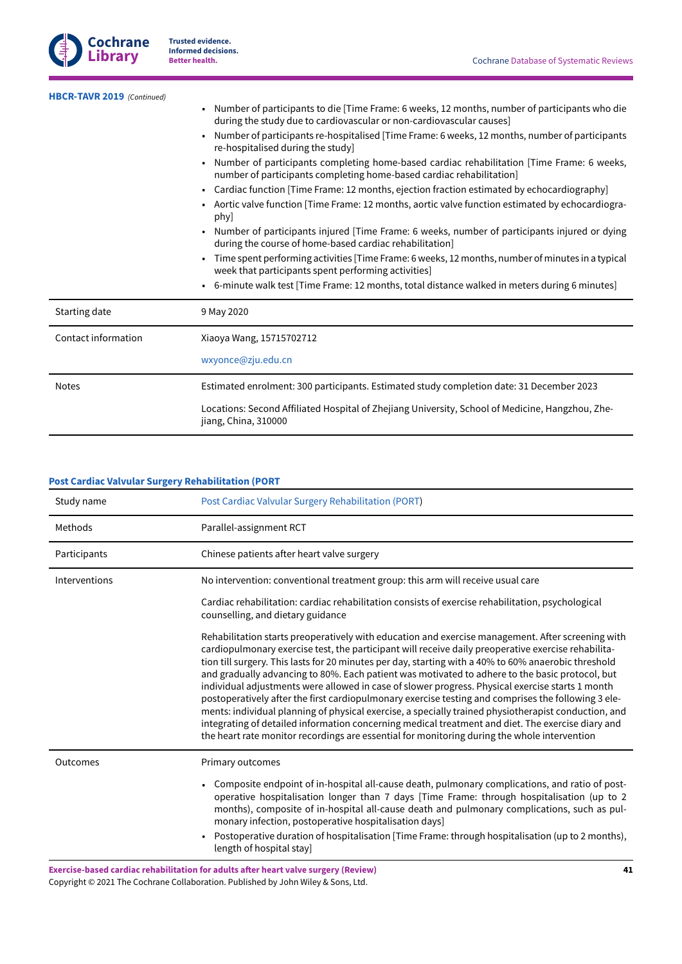

| HBCR-TAVR 2019 (Continued) |                                                                                                                                                                       |  |
|----------------------------|-----------------------------------------------------------------------------------------------------------------------------------------------------------------------|--|
|                            | Number of participants to die [Time Frame: 6 weeks, 12 months, number of participants who die<br>during the study due to cardiovascular or non-cardiovascular causes] |  |
|                            | Number of participants re-hospitalised [Time Frame: 6 weeks, 12 months, number of participants<br>re-hospitalised during the study]                                   |  |
|                            | Number of participants completing home-based cardiac rehabilitation [Time Frame: 6 weeks,<br>number of participants completing home-based cardiac rehabilitation]     |  |
|                            | • Cardiac function [Time Frame: 12 months, ejection fraction estimated by echocardiography]                                                                           |  |
|                            | Aortic valve function [Time Frame: 12 months, aortic valve function estimated by echocardiogra-<br>phy]                                                               |  |
|                            | Number of participants injured [Time Frame: 6 weeks, number of participants injured or dying<br>during the course of home-based cardiac rehabilitation]               |  |
|                            | Time spent performing activities [Time Frame: 6 weeks, 12 months, number of minutes in a typical<br>week that participants spent performing activities]               |  |
|                            | 6-minute walk test [Time Frame: 12 months, total distance walked in meters during 6 minutes]                                                                          |  |
| Starting date              | 9 May 2020                                                                                                                                                            |  |
| Contact information        | Xiaoya Wang, 15715702712                                                                                                                                              |  |
|                            | wxyonce@zju.edu.cn                                                                                                                                                    |  |
| <b>Notes</b>               | Estimated enrolment: 300 participants. Estimated study completion date: 31 December 2023                                                                              |  |
|                            | Locations: Second Affiliated Hospital of Zhejiang University, School of Medicine, Hangzhou, Zhe-<br>jiang, China, 310000                                              |  |

|  | <b>Post Cardiac Valvular Surgery Rehabilitation (PORT</b> |
|--|-----------------------------------------------------------|
|--|-----------------------------------------------------------|

| Study name    | Post Cardiac Valvular Surgery Rehabilitation (PORT)                                                                                                                                                                                                                                                                                                                                                                                                                                                                                                                                                                                                                                                                                                                                                                                                                                                                                         |
|---------------|---------------------------------------------------------------------------------------------------------------------------------------------------------------------------------------------------------------------------------------------------------------------------------------------------------------------------------------------------------------------------------------------------------------------------------------------------------------------------------------------------------------------------------------------------------------------------------------------------------------------------------------------------------------------------------------------------------------------------------------------------------------------------------------------------------------------------------------------------------------------------------------------------------------------------------------------|
| Methods       | Parallel-assignment RCT                                                                                                                                                                                                                                                                                                                                                                                                                                                                                                                                                                                                                                                                                                                                                                                                                                                                                                                     |
| Participants  | Chinese patients after heart valve surgery                                                                                                                                                                                                                                                                                                                                                                                                                                                                                                                                                                                                                                                                                                                                                                                                                                                                                                  |
| Interventions | No intervention: conventional treatment group: this arm will receive usual care                                                                                                                                                                                                                                                                                                                                                                                                                                                                                                                                                                                                                                                                                                                                                                                                                                                             |
|               | Cardiac rehabilitation: cardiac rehabilitation consists of exercise rehabilitation, psychological<br>counselling, and dietary guidance                                                                                                                                                                                                                                                                                                                                                                                                                                                                                                                                                                                                                                                                                                                                                                                                      |
|               | Rehabilitation starts preoperatively with education and exercise management. After screening with<br>cardiopulmonary exercise test, the participant will receive daily preoperative exercise rehabilita-<br>tion till surgery. This lasts for 20 minutes per day, starting with a 40% to 60% anaerobic threshold<br>and gradually advancing to 80%. Each patient was motivated to adhere to the basic protocol, but<br>individual adjustments were allowed in case of slower progress. Physical exercise starts 1 month<br>postoperatively after the first cardiopulmonary exercise testing and comprises the following 3 ele-<br>ments: individual planning of physical exercise, a specially trained physiotherapist conduction, and<br>integrating of detailed information concerning medical treatment and diet. The exercise diary and<br>the heart rate monitor recordings are essential for monitoring during the whole intervention |
| Outcomes      | Primary outcomes                                                                                                                                                                                                                                                                                                                                                                                                                                                                                                                                                                                                                                                                                                                                                                                                                                                                                                                            |
|               | Composite endpoint of in-hospital all-cause death, pulmonary complications, and ratio of post-<br>operative hospitalisation longer than 7 days [Time Frame: through hospitalisation (up to 2<br>months), composite of in-hospital all-cause death and pulmonary complications, such as pul-<br>monary infection, postoperative hospitalisation days]<br>Postoperative duration of hospitalisation [Time Frame: through hospitalisation (up to 2 months),<br>length of hospital stay]                                                                                                                                                                                                                                                                                                                                                                                                                                                        |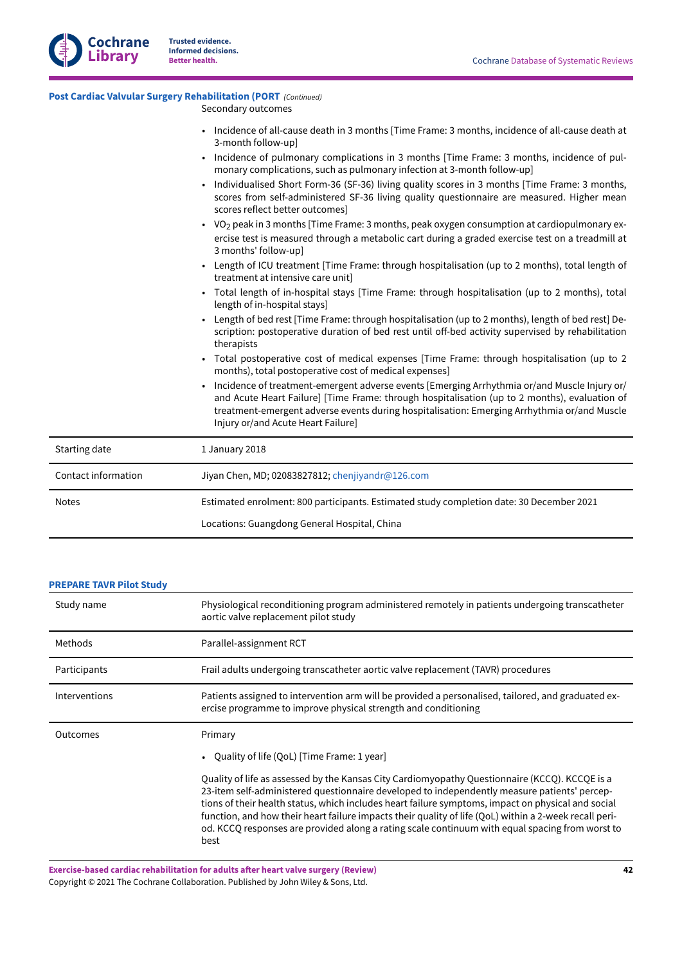**Library**

## **Post Cardiac Valvular Surgery [Rehabilitation](#page-20-4) (PORT**  *(Continued)*

Secondary outcomes

- Incidence of all-cause death in 3 months [Time Frame: 3 months, incidence of all-cause death at 3-month follow-up]
	- Incidence of pulmonary complications in 3 months [Time Frame: 3 months, incidence of pulmonary complications, such as pulmonary infection at 3-month follow-up]
	- Individualised Short Form-36 (SF-36) living quality scores in 3 months [Time Frame: 3 months, scores from self-administered SF-36 living quality questionnaire are measured. Higher mean scores reflect better outcomes]
	- VO<sub>2</sub> peak in 3 months [Time Frame: 3 months, peak oxygen consumption at cardiopulmonary exercise test is measured through a metabolic cart during a graded exercise test on a treadmill at 3 months' follow-up]
	- Length of ICU treatment [Time Frame: through hospitalisation (up to 2 months), total length of treatment at intensive care unit]
	- Total length of in-hospital stays [Time Frame: through hospitalisation (up to 2 months), total length of in-hospital stays]
	- Length of bed rest [Time Frame: through hospitalisation (up to 2 months), length of bed rest] Description: postoperative duration of bed rest until off-bed activity supervised by rehabilitation therapists
	- Total postoperative cost of medical expenses [Time Frame: through hospitalisation (up to 2 months), total postoperative cost of medical expenses]
	- Incidence of treatment-emergent adverse events [Emerging Arrhythmia or/and Muscle Injury or/ and Acute Heart Failure] [Time Frame: through hospitalisation (up to 2 months), evaluation of treatment-emergent adverse events during hospitalisation: Emerging Arrhythmia or/and Muscle Injury or/and Acute Heart Failure]

| Starting date       | 1 January 2018                                                                           |
|---------------------|------------------------------------------------------------------------------------------|
| Contact information | Jiyan Chen, MD; 02083827812; chenjiyandr@126.com                                         |
| <b>Notes</b>        | Estimated enrolment: 800 participants. Estimated study completion date: 30 December 2021 |
|                     | Locations: Guangdong General Hospital, China                                             |

## **[PREPARE](#page-20-5) TAVR Pilot Study**

| Study name    | Physiological reconditioning program administered remotely in patients undergoing transcatheter<br>aortic valve replacement pilot study                                                                                                                                                                                                                                                                                                                                                                                                                                            |
|---------------|------------------------------------------------------------------------------------------------------------------------------------------------------------------------------------------------------------------------------------------------------------------------------------------------------------------------------------------------------------------------------------------------------------------------------------------------------------------------------------------------------------------------------------------------------------------------------------|
| Methods       | Parallel-assignment RCT                                                                                                                                                                                                                                                                                                                                                                                                                                                                                                                                                            |
| Participants  | Frail adults undergoing transcatheter aortic valve replacement (TAVR) procedures                                                                                                                                                                                                                                                                                                                                                                                                                                                                                                   |
| Interventions | Patients assigned to intervention arm will be provided a personalised, tailored, and graduated ex-<br>ercise programme to improve physical strength and conditioning                                                                                                                                                                                                                                                                                                                                                                                                               |
| Outcomes      | Primary<br>Quality of life (QoL) [Time Frame: 1 year]<br>Quality of life as assessed by the Kansas City Cardiomyopathy Questionnaire (KCCQ). KCCQE is a<br>23-item self-administered questionnaire developed to independently measure patients' percep-<br>tions of their health status, which includes heart failure symptoms, impact on physical and social<br>function, and how their heart failure impacts their quality of life (QoL) within a 2-week recall peri-<br>od. KCCQ responses are provided along a rating scale continuum with equal spacing from worst to<br>best |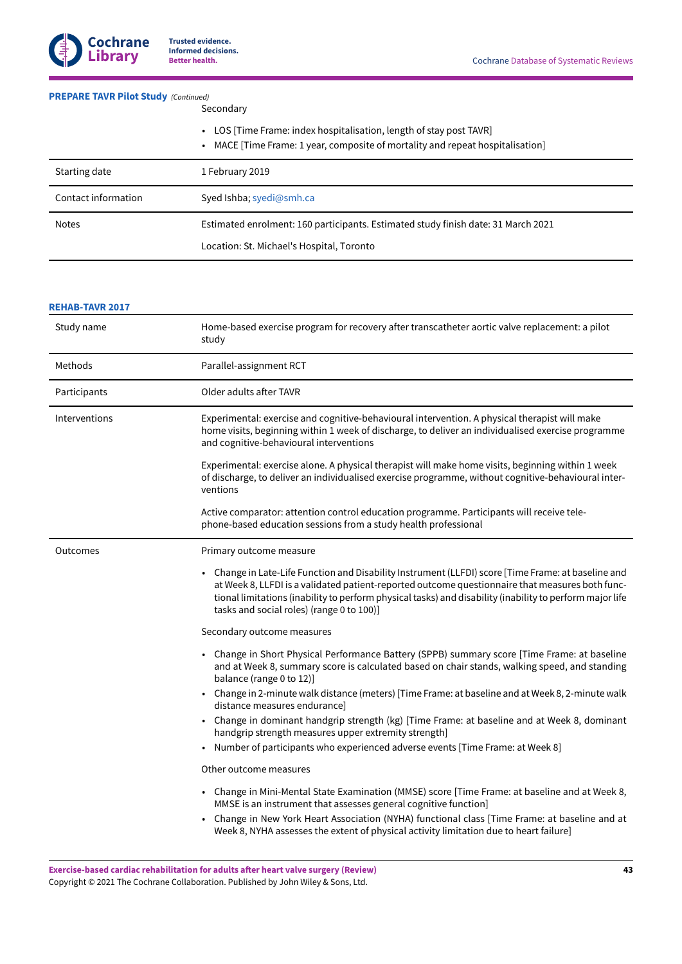## **[PREPARE](#page-20-5) TAVR Pilot Study**  *(Continued)*

- Secondary
- LOS [Time Frame: index hospitalisation, length of stay post TAVR]
- MACE [Time Frame: 1 year, composite of mortality and repeat hospitalisation]

| Starting date       | 1 February 2019                                                                   |
|---------------------|-----------------------------------------------------------------------------------|
|                     |                                                                                   |
| Contact information |                                                                                   |
|                     | Syed Ishba; syedi@smh.ca                                                          |
|                     |                                                                                   |
| <b>Notes</b>        | Estimated enrolment: 160 participants. Estimated study finish date: 31 March 2021 |
|                     |                                                                                   |
|                     | Location: St. Michael's Hospital, Toronto                                         |
|                     |                                                                                   |

#### **[REHAB-TAVR](#page-21-10) 2017**

| Study name    | Home-based exercise program for recovery after transcatheter aortic valve replacement: a pilot<br>study                                                                                                                                                                                                                                                         |
|---------------|-----------------------------------------------------------------------------------------------------------------------------------------------------------------------------------------------------------------------------------------------------------------------------------------------------------------------------------------------------------------|
| Methods       | Parallel-assignment RCT                                                                                                                                                                                                                                                                                                                                         |
| Participants  | Older adults after TAVR                                                                                                                                                                                                                                                                                                                                         |
| Interventions | Experimental: exercise and cognitive-behavioural intervention. A physical therapist will make<br>home visits, beginning within 1 week of discharge, to deliver an individualised exercise programme<br>and cognitive-behavioural interventions                                                                                                                  |
|               | Experimental: exercise alone. A physical therapist will make home visits, beginning within 1 week<br>of discharge, to deliver an individualised exercise programme, without cognitive-behavioural inter-<br>ventions                                                                                                                                            |
|               | Active comparator: attention control education programme. Participants will receive tele-<br>phone-based education sessions from a study health professional                                                                                                                                                                                                    |
| Outcomes      | Primary outcome measure                                                                                                                                                                                                                                                                                                                                         |
|               | • Change in Late-Life Function and Disability Instrument (LLFDI) score [Time Frame: at baseline and<br>at Week 8, LLFDI is a validated patient-reported outcome questionnaire that measures both func-<br>tional limitations (inability to perform physical tasks) and disability (inability to perform major life<br>tasks and social roles) (range 0 to 100)] |
|               | Secondary outcome measures                                                                                                                                                                                                                                                                                                                                      |
|               | Change in Short Physical Performance Battery (SPPB) summary score [Time Frame: at baseline<br>and at Week 8, summary score is calculated based on chair stands, walking speed, and standing<br>balance (range 0 to 12)]                                                                                                                                         |
|               | Change in 2-minute walk distance (meters) [Time Frame: at baseline and at Week 8, 2-minute walk<br>$\bullet$<br>distance measures endurance]                                                                                                                                                                                                                    |
|               | Change in dominant handgrip strength (kg) [Time Frame: at baseline and at Week 8, dominant<br>٠<br>handgrip strength measures upper extremity strength]                                                                                                                                                                                                         |
|               | Number of participants who experienced adverse events [Time Frame: at Week 8]                                                                                                                                                                                                                                                                                   |
|               | Other outcome measures                                                                                                                                                                                                                                                                                                                                          |
|               | • Change in Mini-Mental State Examination (MMSE) score [Time Frame: at baseline and at Week 8,<br>MMSE is an instrument that assesses general cognitive function]                                                                                                                                                                                               |
|               | Change in New York Heart Association (NYHA) functional class [Time Frame: at baseline and at<br>Week 8, NYHA assesses the extent of physical activity limitation due to heart failure]                                                                                                                                                                          |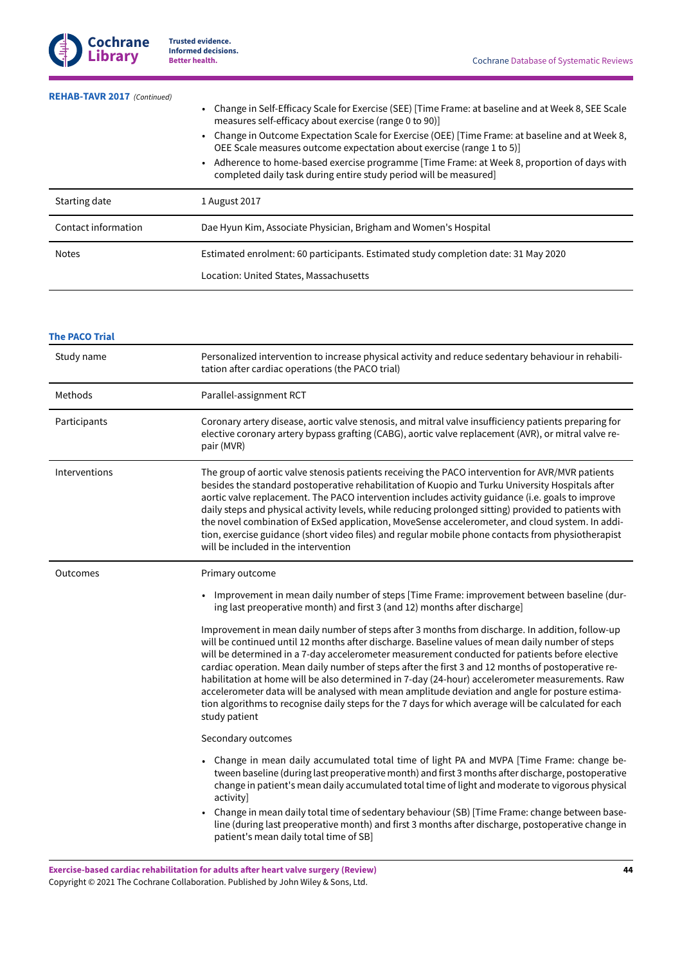| <b>REHAB-TAVR 2017</b> (Continued) | • Change in Self-Efficacy Scale for Exercise (SEE) [Time Frame: at baseline and at Week 8, SEE Scale<br>measures self-efficacy about exercise (range 0 to 90)]<br>• Change in Outcome Expectation Scale for Exercise (OEE) [Time Frame: at baseline and at Week 8,<br>OEE Scale measures outcome expectation about exercise (range 1 to 5)]<br>- Adherence to home-based exercise programme [Time Frame: at Week 8, proportion of days with<br>completed daily task during entire study period will be measured] |
|------------------------------------|------------------------------------------------------------------------------------------------------------------------------------------------------------------------------------------------------------------------------------------------------------------------------------------------------------------------------------------------------------------------------------------------------------------------------------------------------------------------------------------------------------------|
| Starting date                      | 1 August 2017                                                                                                                                                                                                                                                                                                                                                                                                                                                                                                    |
| Contact information                | Dae Hyun Kim, Associate Physician, Brigham and Women's Hospital                                                                                                                                                                                                                                                                                                                                                                                                                                                  |
| <b>Notes</b>                       | Estimated enrolment: 60 participants. Estimated study completion date: 31 May 2020<br>Location: United States, Massachusetts                                                                                                                                                                                                                                                                                                                                                                                     |

## **The [PACO](#page-21-11) Trial**

| Study name    | Personalized intervention to increase physical activity and reduce sedentary behaviour in rehabili-<br>tation after cardiac operations (the PACO trial)                                                                                                                                                                                                                                                                                                                                                                                                                                                                                                                                                                                     |
|---------------|---------------------------------------------------------------------------------------------------------------------------------------------------------------------------------------------------------------------------------------------------------------------------------------------------------------------------------------------------------------------------------------------------------------------------------------------------------------------------------------------------------------------------------------------------------------------------------------------------------------------------------------------------------------------------------------------------------------------------------------------|
| Methods       | Parallel-assignment RCT                                                                                                                                                                                                                                                                                                                                                                                                                                                                                                                                                                                                                                                                                                                     |
| Participants  | Coronary artery disease, aortic valve stenosis, and mitral valve insufficiency patients preparing for<br>elective coronary artery bypass grafting (CABG), aortic valve replacement (AVR), or mitral valve re-<br>pair (MVR)                                                                                                                                                                                                                                                                                                                                                                                                                                                                                                                 |
| Interventions | The group of aortic valve stenosis patients receiving the PACO intervention for AVR/MVR patients<br>besides the standard postoperative rehabilitation of Kuopio and Turku University Hospitals after<br>aortic valve replacement. The PACO intervention includes activity guidance (i.e. goals to improve<br>daily steps and physical activity levels, while reducing prolonged sitting) provided to patients with<br>the novel combination of ExSed application, MoveSense accelerometer, and cloud system. In addi-<br>tion, exercise guidance (short video files) and regular mobile phone contacts from physiotherapist<br>will be included in the intervention                                                                         |
| Outcomes      | Primary outcome                                                                                                                                                                                                                                                                                                                                                                                                                                                                                                                                                                                                                                                                                                                             |
|               | Improvement in mean daily number of steps [Time Frame: improvement between baseline (dur-<br>$\bullet$<br>ing last preoperative month) and first 3 (and 12) months after discharge]                                                                                                                                                                                                                                                                                                                                                                                                                                                                                                                                                         |
|               | Improvement in mean daily number of steps after 3 months from discharge. In addition, follow-up<br>will be continued until 12 months after discharge. Baseline values of mean daily number of steps<br>will be determined in a 7-day accelerometer measurement conducted for patients before elective<br>cardiac operation. Mean daily number of steps after the first 3 and 12 months of postoperative re-<br>habilitation at home will be also determined in 7-day (24-hour) accelerometer measurements. Raw<br>accelerometer data will be analysed with mean amplitude deviation and angle for posture estima-<br>tion algorithms to recognise daily steps for the 7 days for which average will be calculated for each<br>study patient |
|               | Secondary outcomes                                                                                                                                                                                                                                                                                                                                                                                                                                                                                                                                                                                                                                                                                                                          |
|               | Change in mean daily accumulated total time of light PA and MVPA [Time Frame: change be-<br>tween baseline (during last preoperative month) and first 3 months after discharge, postoperative<br>change in patient's mean daily accumulated total time of light and moderate to vigorous physical<br>activity]                                                                                                                                                                                                                                                                                                                                                                                                                              |
|               | Change in mean daily total time of sedentary behaviour (SB) [Time Frame: change between base-<br>line (during last preoperative month) and first 3 months after discharge, postoperative change in<br>patient's mean daily total time of SB]                                                                                                                                                                                                                                                                                                                                                                                                                                                                                                |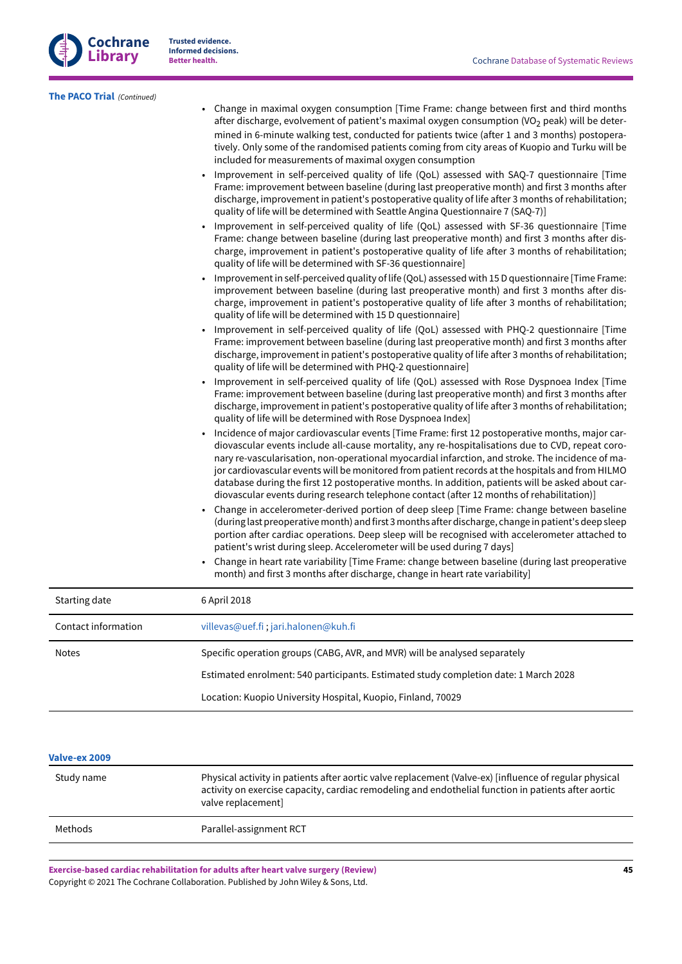| <b>Cochrane</b> |
|-----------------|
| Library         |

**The [PACO](#page-21-11) Trial**  *(Continued)*

• Change in maximal oxygen consumption [Time Frame: change between first and third months after discharge, evolvement of patient's maximal oxygen consumption  $(VO<sub>2</sub> peak)$  will be determined in 6-minute walking test, conducted for patients twice (after 1 and 3 months) postoperatively. Only some of the randomised patients coming from city areas of Kuopio and Turku will be included for measurements of maximal oxygen consumption • Improvement in self-perceived quality of life (QoL) assessed with SAQ-7 questionnaire [Time Frame: improvement between baseline (during last preoperative month) and first 3 months after discharge, improvement in patient's postoperative quality of life after 3 months of rehabilitation; quality of life will be determined with Seattle Angina Questionnaire 7 (SAQ-7)] • Improvement in self-perceived quality of life (QoL) assessed with SF-36 questionnaire [Time Frame: change between baseline (during last preoperative month) and first 3 months after discharge, improvement in patient's postoperative quality of life after 3 months of rehabilitation; quality of life will be determined with SF-36 questionnaire] • Improvementin self-perceived quality of life (QoL) assessed with 15 D questionnaire [Time Frame: improvement between baseline (during last preoperative month) and first 3 months after discharge, improvement in patient's postoperative quality of life after 3 months of rehabilitation; quality of life will be determined with 15 D questionnaire] • Improvement in self-perceived quality of life (QoL) assessed with PHQ-2 questionnaire [Time Frame: improvement between baseline (during last preoperative month) and first 3 months after discharge, improvement in patient's postoperative quality of life after 3 months of rehabilitation; quality of life will be determined with PHQ-2 questionnaire] • Improvement in self-perceived quality of life (QoL) assessed with Rose Dyspnoea Index [Time Frame: improvement between baseline (during last preoperative month) and first 3 months after discharge, improvement in patient's postoperative quality of life after 3 months of rehabilitation; quality of life will be determined with Rose Dyspnoea Index] • Incidence of major cardiovascular events [Time Frame: first 12 postoperative months, major cardiovascular events include all-cause mortality, any re-hospitalisations due to CVD, repeat coronary re-vascularisation, non-operational myocardial infarction, and stroke. The incidence of major cardiovascular events will be monitored from patient records at the hospitals and from HILMO database during the first 12 postoperative months. In addition, patients will be asked about cardiovascular events during research telephone contact (after 12 months of rehabilitation)] • Change in accelerometer-derived portion of deep sleep [Time Frame: change between baseline (during last preoperative month) and first 3 months after discharge, change in patient's deep sleep portion after cardiac operations. Deep sleep will be recognised with accelerometer attached to patient's wrist during sleep. Accelerometer will be used during 7 days] • Change in heart rate variability [Time Frame: change between baseline (during last preoperative month) and first 3 months after discharge, change in heart rate variability] Starting date 6 April 2018 Contact information [villevas@uef.fi](mailto:villevas@uef.fi) ; [jari.halonen@kuh.fi](mailto:jari.halonen@kuh.fi) Notes Specific operation groups (CABG, AVR, and MVR) will be analysed separately Estimated enrolment: 540 participants. Estimated study completion date: 1 March 2028 Location: Kuopio University Hospital, Kuopio, Finland, 70029

## **[Valve-ex](#page-21-12) 2009**

| Study name | Physical activity in patients after aortic valve replacement (Valve-ex) [influence of regular physical<br>activity on exercise capacity, cardiac remodeling and endothelial function in patients after aortic<br>valve replacement] |
|------------|-------------------------------------------------------------------------------------------------------------------------------------------------------------------------------------------------------------------------------------|
| Methods    | Parallel-assignment RCT                                                                                                                                                                                                             |
|            |                                                                                                                                                                                                                                     |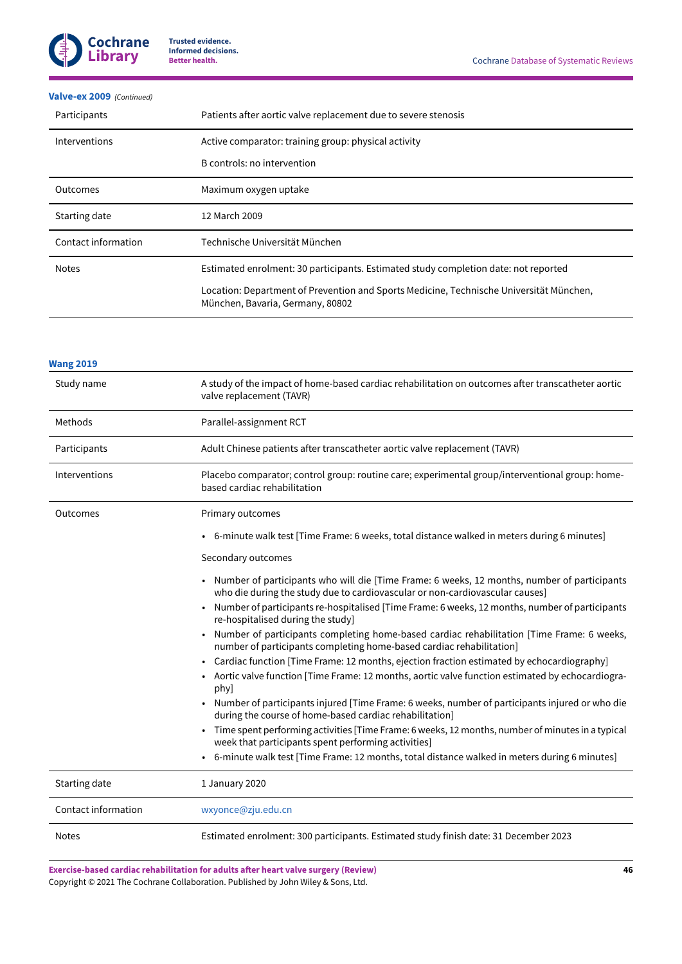

## **[Valve-ex](#page-21-12) 2009**  *(Continued)*

| Participants        | Patients after aortic valve replacement due to severe stenosis                                                              |
|---------------------|-----------------------------------------------------------------------------------------------------------------------------|
| Interventions       | Active comparator: training group: physical activity                                                                        |
|                     | B controls: no intervention                                                                                                 |
| Outcomes            | Maximum oxygen uptake                                                                                                       |
| Starting date       | 12 March 2009                                                                                                               |
| Contact information | Technische Universität München                                                                                              |
| <b>Notes</b>        | Estimated enrolment: 30 participants. Estimated study completion date: not reported                                         |
|                     | Location: Department of Prevention and Sports Medicine, Technische Universität München,<br>München, Bavaria, Germany, 80802 |

| <b>Wang 2019</b>    |                                                                                                                                                                                                        |
|---------------------|--------------------------------------------------------------------------------------------------------------------------------------------------------------------------------------------------------|
| Study name          | A study of the impact of home-based cardiac rehabilitation on outcomes after transcatheter aortic<br>valve replacement (TAVR)                                                                          |
| Methods             | Parallel-assignment RCT                                                                                                                                                                                |
| Participants        | Adult Chinese patients after transcatheter aortic valve replacement (TAVR)                                                                                                                             |
| Interventions       | Placebo comparator; control group: routine care; experimental group/interventional group: home-<br>based cardiac rehabilitation                                                                        |
| Outcomes            | Primary outcomes                                                                                                                                                                                       |
|                     | 6-minute walk test [Time Frame: 6 weeks, total distance walked in meters during 6 minutes]                                                                                                             |
|                     | Secondary outcomes                                                                                                                                                                                     |
|                     | Number of participants who will die [Time Frame: 6 weeks, 12 months, number of participants<br>who die during the study due to cardiovascular or non-cardiovascular causes]                            |
|                     | Number of participants re-hospitalised [Time Frame: 6 weeks, 12 months, number of participants<br>re-hospitalised during the study]                                                                    |
|                     | Number of participants completing home-based cardiac rehabilitation [Time Frame: 6 weeks,<br>number of participants completing home-based cardiac rehabilitation]                                      |
|                     | Cardiac function [Time Frame: 12 months, ejection fraction estimated by echocardiography]<br>- Aortic valve function [Time Frame: 12 months, aortic valve function estimated by echocardiogra-<br>phy] |
|                     | Number of participants injured [Time Frame: 6 weeks, number of participants injured or who die<br>during the course of home-based cardiac rehabilitation]                                              |
|                     | Time spent performing activities [Time Frame: 6 weeks, 12 months, number of minutes in a typical<br>$\bullet$<br>week that participants spent performing activities]                                   |
|                     | 6-minute walk test [Time Frame: 12 months, total distance walked in meters during 6 minutes]                                                                                                           |
| Starting date       | 1 January 2020                                                                                                                                                                                         |
| Contact information | wxyonce@zju.edu.cn                                                                                                                                                                                     |
| <b>Notes</b>        | Estimated enrolment: 300 participants. Estimated study finish date: 31 December 2023                                                                                                                   |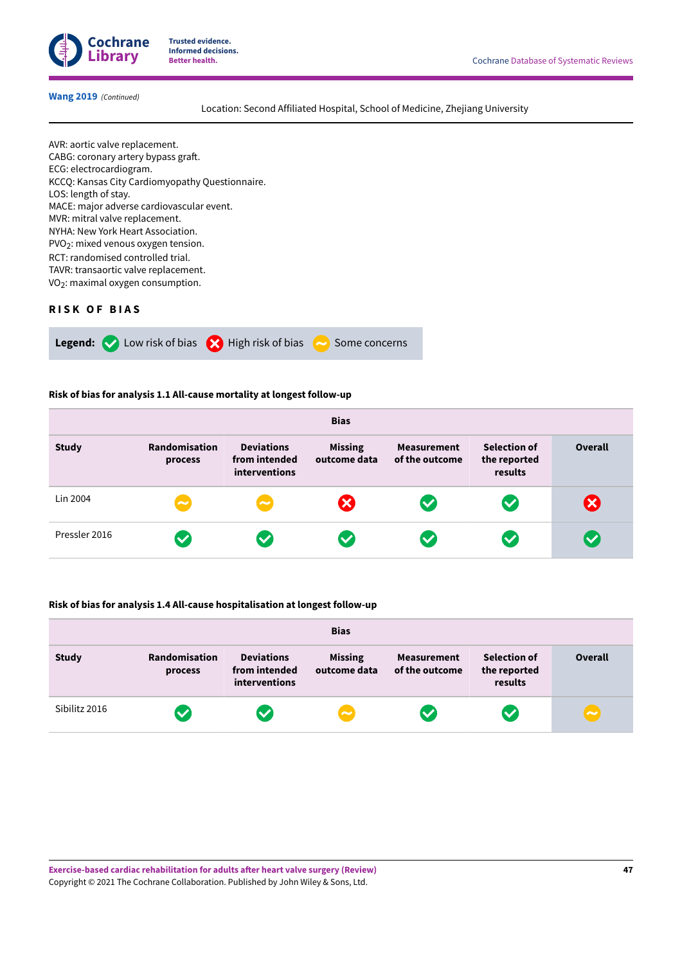

## **[Wang](#page-21-13) 2019**  *(Continued)*

Location: Second Affiliated Hospital, School of Medicine, Zhejiang University

AVR: aortic valve replacement. CABG: coronary artery bypass graft. ECG: electrocardiogram. KCCQ: Kansas City Cardiomyopathy Questionnaire. LOS: length of stay. MACE: major adverse cardiovascular event. MVR: mitral valve replacement. NYHA: New York Heart Association. PVO<sub>2</sub>: mixed venous oxygen tension. RCT: randomised controlled trial. TAVR: transaortic valve replacement. VO<sub>2</sub>: maximal oxygen consumption.

## <span id="page-48-0"></span>**R I S K O F B I A S**



#### **Risk of bias for analysis 1.1 All-cause mortality at longest follow-up**

| <b>Bias</b>   |                          |                                                            |                                |                                      |                                                |                           |  |
|---------------|--------------------------|------------------------------------------------------------|--------------------------------|--------------------------------------|------------------------------------------------|---------------------------|--|
| <b>Study</b>  | Randomisation<br>process | <b>Deviations</b><br>from intended<br><b>interventions</b> | <b>Missing</b><br>outcome data | <b>Measurement</b><br>of the outcome | <b>Selection of</b><br>the reported<br>results | <b>Overall</b>            |  |
| Lin 2004      | $\sim$                   | $\sim$                                                     | $\boldsymbol{\alpha}$          | $\blacktriangledown$                 | $\blacktriangledown$                           | $\boldsymbol{\mathsf{x}}$ |  |
| Pressler 2016 | $\blacktriangledown$     | $\blacktriangledown$                                       | $\blacktriangledown$           | $\blacktriangledown$                 | $\blacktriangledown$                           | $\blacktriangledown$      |  |

## **Risk of bias for analysis 1.4 All-cause hospitalisation at longest follow-up**

| <b>Bias</b>   |                          |                                                     |                                |                                      |                                                |                       |
|---------------|--------------------------|-----------------------------------------------------|--------------------------------|--------------------------------------|------------------------------------------------|-----------------------|
| <b>Study</b>  | Randomisation<br>process | <b>Deviations</b><br>from intended<br>interventions | <b>Missing</b><br>outcome data | <b>Measurement</b><br>of the outcome | <b>Selection of</b><br>the reported<br>results | <b>Overall</b>        |
| Sibilitz 2016 | $\checkmark$             | $\overline{\mathbf{v}}$                             | $\sim$                         | $\blacktriangledown$                 | $\bullet$                                      | $\tilde{\phantom{a}}$ |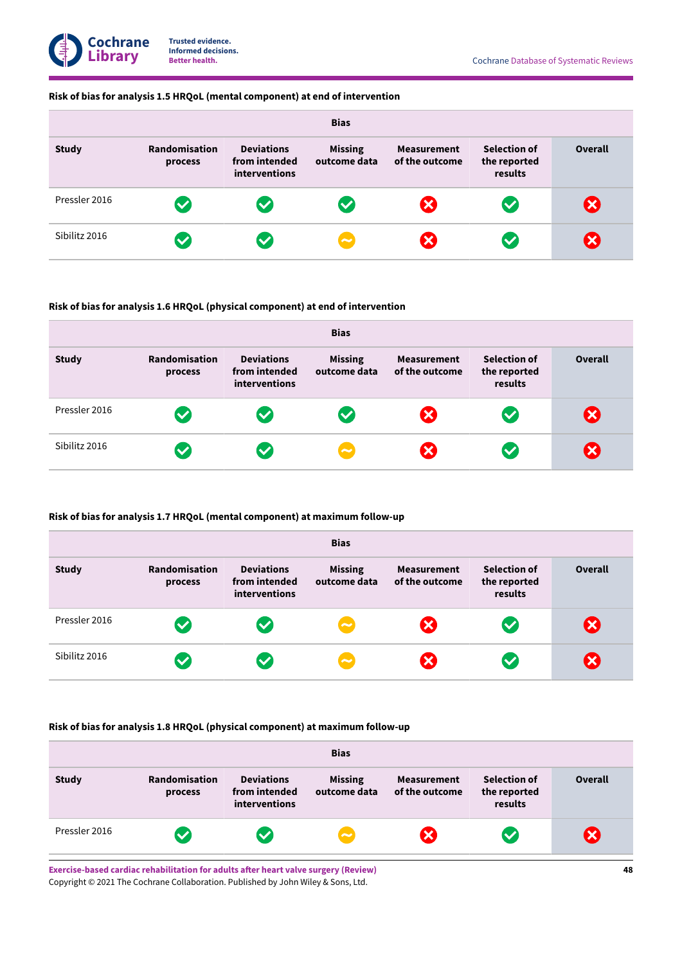## **Risk of bias for analysis 1.5 HRQoL (mental component) at end of intervention**

| <b>Bias</b>   |                          |                                                     |                                |                                      |                                                |                           |  |  |
|---------------|--------------------------|-----------------------------------------------------|--------------------------------|--------------------------------------|------------------------------------------------|---------------------------|--|--|
| <b>Study</b>  | Randomisation<br>process | <b>Deviations</b><br>from intended<br>interventions | <b>Missing</b><br>outcome data | <b>Measurement</b><br>of the outcome | <b>Selection of</b><br>the reported<br>results | <b>Overall</b>            |  |  |
| Pressler 2016 | $\blacktriangledown$     | $\blacktriangledown$                                | $\bullet$                      | $\boldsymbol{\times}$                | $\blacktriangledown$                           | $\mathbf x$               |  |  |
| Sibilitz 2016 | $\bullet$                | $\checkmark$                                        | $\overline{\phantom{a}}$       | $\mathbf x$                          | $\left\langle \mathbf{v}\right\rangle$         | $\boldsymbol{\mathsf{x}}$ |  |  |

## **Risk of bias for analysis 1.6 HRQoL (physical component) at end of intervention**

| <b>Bias</b>   |                          |                                                            |                                |                                      |                                                |                |  |
|---------------|--------------------------|------------------------------------------------------------|--------------------------------|--------------------------------------|------------------------------------------------|----------------|--|
| <b>Study</b>  | Randomisation<br>process | <b>Deviations</b><br>from intended<br><b>interventions</b> | <b>Missing</b><br>outcome data | <b>Measurement</b><br>of the outcome | <b>Selection of</b><br>the reported<br>results | <b>Overall</b> |  |
| Pressler 2016 | $\blacktriangledown$     | $\blacktriangledown$                                       | $\overline{\mathbf{v}}$        | $\mathbf{\mathbf{x}}$                | $\sim$                                         | X              |  |
| Sibilitz 2016 | $\blacktriangledown$     | $\blacktriangledown$                                       | $\overline{\phantom{a}}$       | $\bm{\times}$                        | $\sim$                                         | X              |  |

## **Risk of bias for analysis 1.7 HRQoL (mental component) at maximum follow-up**

| <b>Bias</b>   |                                 |                                                     |                                |                                      |                                                |                           |  |
|---------------|---------------------------------|-----------------------------------------------------|--------------------------------|--------------------------------------|------------------------------------------------|---------------------------|--|
| <b>Study</b>  | <b>Randomisation</b><br>process | <b>Deviations</b><br>from intended<br>interventions | <b>Missing</b><br>outcome data | <b>Measurement</b><br>of the outcome | <b>Selection of</b><br>the reported<br>results | <b>Overall</b>            |  |
| Pressler 2016 | $\blacktriangledown$            | $\blacktriangledown$                                | $\sim$                         | $\mathbf x$                          | $\bullet$                                      | $\boldsymbol{\mathsf{x}}$ |  |
| Sibilitz 2016 | $\blacktriangledown$            |                                                     | $\sim$                         | $\mathbf x$                          | $\boldsymbol{\nabla}$                          | ×                         |  |

## **Risk of bias for analysis 1.8 HRQoL (physical component) at maximum follow-up**

| <b>Bias</b>   |                          |                                                     |                                |                                      |                                                |                        |
|---------------|--------------------------|-----------------------------------------------------|--------------------------------|--------------------------------------|------------------------------------------------|------------------------|
| <b>Study</b>  | Randomisation<br>process | <b>Deviations</b><br>from intended<br>interventions | <b>Missing</b><br>outcome data | <b>Measurement</b><br>of the outcome | <b>Selection of</b><br>the reported<br>results | <b>Overall</b>         |
| Pressler 2016 | <b>V</b>                 |                                                     | $\left(\sim\right)$            | $\boldsymbol{\mathsf{x}}$            | $\bullet$                                      | $\vert\mathsf{x}\vert$ |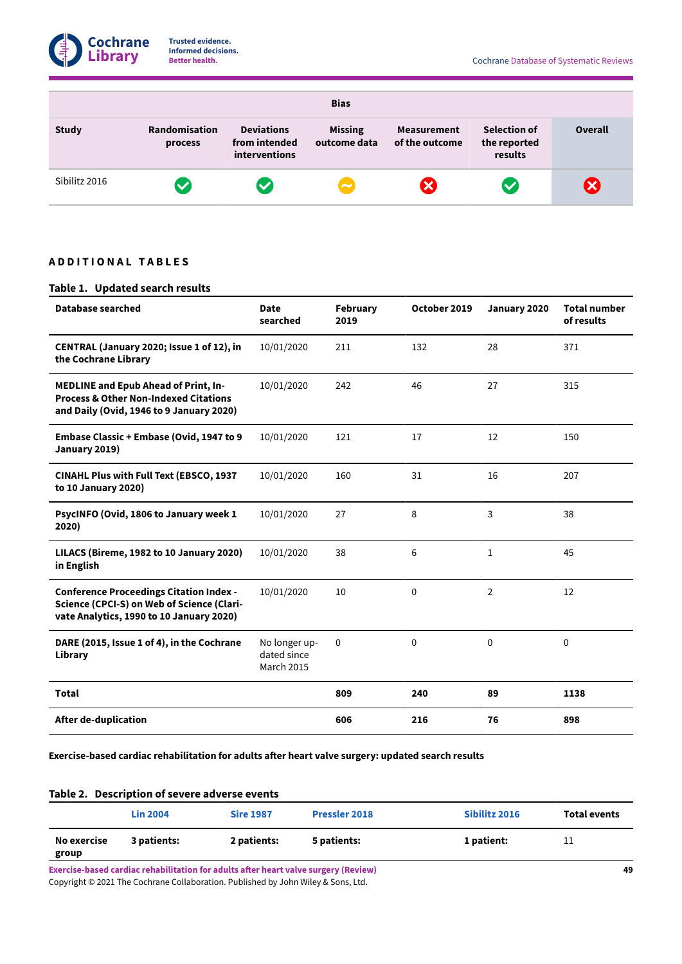

| <b>Bias</b>   |                          |                                                     |                                |                                              |                                                |                |  |
|---------------|--------------------------|-----------------------------------------------------|--------------------------------|----------------------------------------------|------------------------------------------------|----------------|--|
| <b>Study</b>  | Randomisation<br>process | <b>Deviations</b><br>from intended<br>interventions | <b>Missing</b><br>outcome data | Measurement<br>of the outcome                | <b>Selection of</b><br>the reported<br>results | <b>Overall</b> |  |
| Sibilitz 2016 | $\blacktriangledown$     | $\blacktriangledown$                                | $\left(\rightleftarrow$        | $\mathsf{X}% _{0}\!\left( \mathbf{1}\right)$ | $\bullet$                                      | $\bm{\times}$  |  |

## <span id="page-50-0"></span>**A D D I T I O N A L T A B L E S**

## <span id="page-50-1"></span>**Table 1. Updated search results**

| <b>Database searched</b>                                                                                                                    | <b>Date</b><br>searched                           | February<br>2019 | October 2019 | January 2020   | <b>Total number</b><br>of results |
|---------------------------------------------------------------------------------------------------------------------------------------------|---------------------------------------------------|------------------|--------------|----------------|-----------------------------------|
| CENTRAL (January 2020; Issue 1 of 12), in<br>the Cochrane Library                                                                           | 10/01/2020                                        | 211              | 132          | 28             | 371                               |
| <b>MEDLINE and Epub Ahead of Print, In-</b><br><b>Process &amp; Other Non-Indexed Citations</b><br>and Daily (Ovid, 1946 to 9 January 2020) | 10/01/2020                                        | 242              | 46           | 27             | 315                               |
| Embase Classic + Embase (Ovid, 1947 to 9<br>January 2019)                                                                                   | 10/01/2020                                        | 121              | 17           | 12             | 150                               |
| <b>CINAHL Plus with Full Text (EBSCO, 1937</b><br>to 10 January 2020)                                                                       | 10/01/2020                                        | 160              | 31           | 16             | 207                               |
| PsycINFO (Ovid, 1806 to January week 1<br>2020)                                                                                             | 10/01/2020                                        | 27               | 8            | 3              | 38                                |
| LILACS (Bireme, 1982 to 10 January 2020)<br>in English                                                                                      | 10/01/2020                                        | 38               | 6            | $\mathbf{1}$   | 45                                |
| <b>Conference Proceedings Citation Index -</b><br>Science (CPCI-S) on Web of Science (Clari-<br>vate Analytics, 1990 to 10 January 2020)    | 10/01/2020                                        | 10               | $\mathbf{0}$ | $\overline{2}$ | 12                                |
| DARE (2015, Issue 1 of 4), in the Cochrane<br>Library                                                                                       | No longer up-<br>dated since<br><b>March 2015</b> | 0                | 0            | $\mathbf 0$    | 0                                 |
| <b>Total</b>                                                                                                                                |                                                   | 809              | 240          | 89             | 1138                              |
| <b>After de-duplication</b>                                                                                                                 |                                                   | 606              | 216          | 76             | 898                               |

## **Exercise-based cardiac rehabilitation for adults aer heart valve surgery: updated search results**

<span id="page-50-2"></span>

|                      | <b>Lin 2004</b> | <b>Sire 1987</b> | <b>Pressler 2018</b> | Sibilitz 2016 | <b>Total events</b> |
|----------------------|-----------------|------------------|----------------------|---------------|---------------------|
| No exercise<br>group | 3 patients:     | 2 patients:      | 5 patients:          | 1 patient:    | 11                  |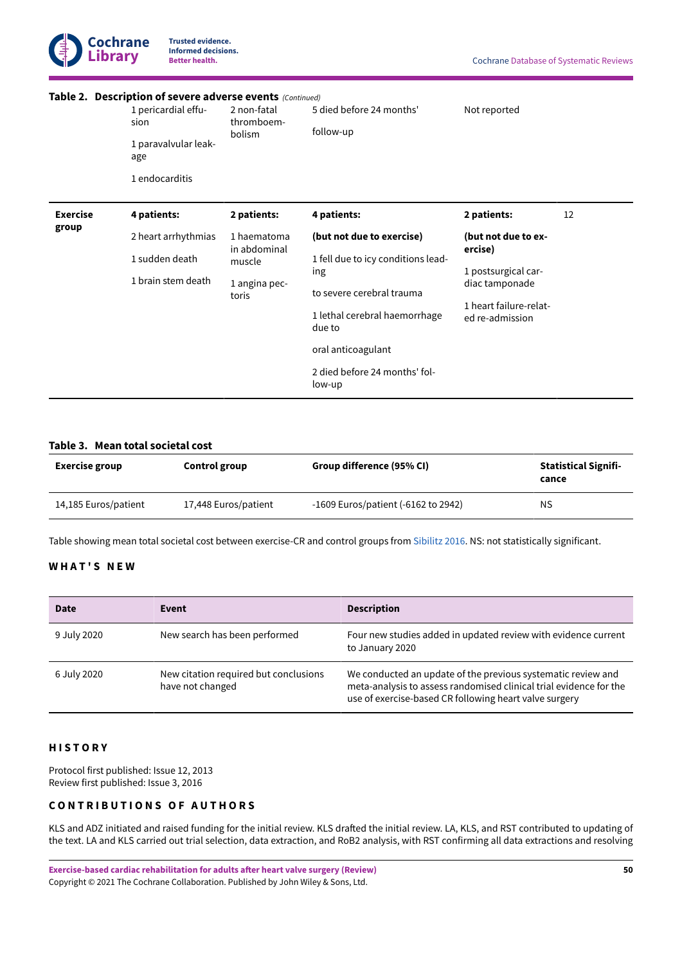

|                          | Table 2. Description of severe adverse events (Continued)<br>1 pericardial effu-<br>sion<br>1 paravalvular leak-<br>age<br>1 endocarditis | 2 non-fatal<br>thromboem-<br>bolism                             | 5 died before 24 months'<br>follow-up                                                                                                          | Not reported                                                                                                         |    |
|--------------------------|-------------------------------------------------------------------------------------------------------------------------------------------|-----------------------------------------------------------------|------------------------------------------------------------------------------------------------------------------------------------------------|----------------------------------------------------------------------------------------------------------------------|----|
| <b>Exercise</b><br>group | 4 patients:                                                                                                                               | 2 patients:                                                     | 4 patients:                                                                                                                                    | 2 patients:                                                                                                          | 12 |
|                          | 2 heart arrhythmias<br>1 sudden death<br>1 brain stem death                                                                               | 1 haematoma<br>in abdominal<br>muscle<br>1 angina pec-<br>toris | (but not due to exercise)<br>1 fell due to icy conditions lead-<br>ing<br>to severe cerebral trauma<br>1 lethal cerebral haemorrhage<br>due to | (but not due to ex-<br>ercise)<br>1 postsurgical car-<br>diac tamponade<br>1 heart failure-relat-<br>ed re-admission |    |
|                          |                                                                                                                                           |                                                                 | oral anticoagulant<br>2 died before 24 months' fol-                                                                                            |                                                                                                                      |    |

## <span id="page-51-3"></span>**Table 3. Mean total societal cost**

| Exercise group       | Control group        | Group difference (95% CI)           | <b>Statistical Signifi-</b><br>cance |
|----------------------|----------------------|-------------------------------------|--------------------------------------|
| 14,185 Euros/patient | 17,448 Euros/patient | -1609 Euros/patient (-6162 to 2942) | ΝS                                   |

Table showing mean total societal cost between exercise-CR and control groups from [Sibilitz 2016](#page-17-1). NS: not statistically significant.

low-up

## <span id="page-51-0"></span>**W H A T ' S N E W**

| <b>Date</b> | Event                                                     | <b>Description</b>                                                                                                                                                                           |
|-------------|-----------------------------------------------------------|----------------------------------------------------------------------------------------------------------------------------------------------------------------------------------------------|
| 9 July 2020 | New search has been performed                             | Four new studies added in updated review with evidence current<br>to January 2020                                                                                                            |
| 6 July 2020 | New citation required but conclusions<br>have not changed | We conducted an update of the previous systematic review and<br>meta-analysis to assess randomised clinical trial evidence for the<br>use of exercise-based CR following heart valve surgery |

## <span id="page-51-1"></span>**H I S T O R Y**

Protocol first published: Issue 12, 2013 Review first published: Issue 3, 2016

## <span id="page-51-2"></span>**C O N T R I B U T I O N S O F A U T H O R S**

KLS and ADZ initiated and raised funding for the initial review. KLS drafted the initial review. LA, KLS, and RST contributed to updating of the text. LA and KLS carried out trial selection, data extraction, and RoB2 analysis, with RST confirming all data extractions and resolving

**Exercise-based cardiac rehabilitation for adults aer heart valve surgery (Review)** Copyright © 2021 The Cochrane Collaboration. Published by John Wiley & Sons, Ltd.